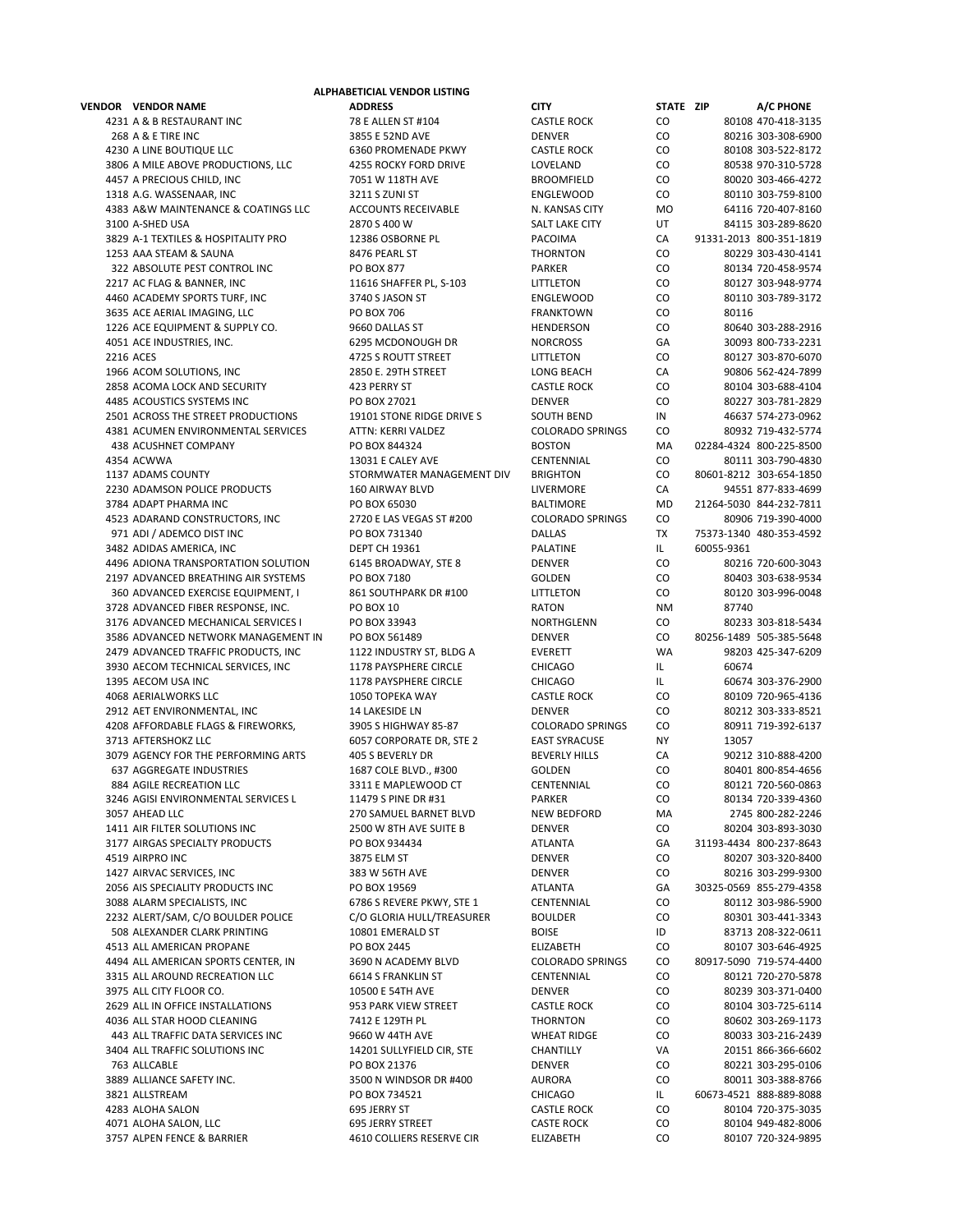**VENDOR VENDOR NAME ADDRESS CITY STATE ZIP A/C PHONE** 4231 A & B RESTAURANT INC 78 E ALLEN ST #104 CASTLE ROCK CO 80108 470‐418‐3135 268 A & E TIRE INC 3855 E 52ND AVE DENVER CO 80216 303‐308‐6900 4230 A LINE BOUTIQUE LLC 6360 PROMENADE PKWY CASTLE ROCK CO 80108 303‐522‐8172 3806 A MILE ABOVE PRODUCTIONS, LLC 4255 ROCKY FORD DRIVE LOVELAND CO 80538 970-310-5728 4457 A PRECIOUS CHILD, INC 7051 W 118TH AVE BROOMFIELD CO 80020 303‐466‐4272 1318 A.G. WASSENAAR, INC 3211 S ZUNI ST ENGLEWOOD CO 80110 303‐759‐8100 4383 A&W MAINTENANCE & COATINGS LLC ACCOUNTS RECEIVABLE N. KANSAS CITY MO 64116 720-407-8160 3100 A‐SHED USA 2870 S 400 W SALT LAKE CITY UT 84115 303‐289‐8620 3829 A-1 TEXTILES & HOSPITALITY PRO 12386 OSBORNE PL PACOIMA CA 91331-2013 800-351-1819 1253 AAA STEAM & SAUNA 8476 PEARL ST THORNTON CO 80229 303‐430‐4141 322 ABSOLUTE PEST CONTROL INC PO BOX 877 PARKER CO 80134 720-458-9574 2217 AC FLAG & BANNER, INC 11616 SHAFFER PL, S‐103 LITTLETON CO 80127 303‐948‐9774 4460 ACADEMY SPORTS TURF, INC 3740 S JASON ST ENGLEWOOD CO 80110 303‐789‐3172 3635 ACE AERIAL IMAGING, LLC PO BOX 706 FRANKTOWN CO 80116 1226 ACE EQUIPMENT & SUPPLY CO. 9660 DALLAS ST HENDERSON CO 80640 303‐288‐2916 4051 ACE INDUSTRIES, INC. 6295 MCDONOUGH DR NORCROSS GA 30093 800‐733‐2231 2216 ACES 4725 S ROUTT STREET LITTLETON CO 80127 303-870-6070 1966 ACOM SOLUTIONS, INC 2850 E. 29TH STREET LONG BEACH CA 90806 562‐424‐7899 2858 ACOMA LOCK AND SECURITY 423 PERRY ST CASTLE ROCK CO 80104 303‐688‐4104 4485 ACOUSTICS SYSTEMS INC PO BOX 27021 DENVER CO 80227 303‐781‐2829 2501 ACROSS THE STREET PRODUCTIONS 19101 STONE RIDGE DRIVE S SOUTH BEND IN 46637 574‐273‐0962 4381 ACUMEN ENVIRONMENTAL SERVICES ATTN: KERRI VALDEZ COLORADO SPRINGS CO 80932 719-432-5774 438 ACUSHNET COMPANY PO BOX 844324 BOSTON MA 02284‐4324 800‐225‐8500 4354 ACWWA 13031 E CALEY AVE CENTENNIAL CO 80111 303‐790‐4830 1137 ADAMS COUNTY STORMWATER MANAGEMENT DIV BRIGHTON CO 80601‐8212 303‐654‐1850 2230 ADAMSON POLICE PRODUCTS 160 AIRWAY BLVD LIVERMORE CA 94551 877‐833‐4699 3784 ADAPT PHARMA INC PO BOX 65030 BALTIMORE MD 21264‐5030 844‐232‐7811 4523 ADARAND CONSTRUCTORS, INC 2720 E LAS VEGAS ST #200 COLORADO SPRINGS CO 80906 719‐390‐4000 971 ADI / ADEMCO DIST INC PO BOX 731340 PO BOX 731340 DALLAS TX 75373-1340 480-353-4592 3482 ADIDAS AMERICA, INC DEPT CH 19361 PALATINE IL 60055‐9361 4496 ADIONA TRANSPORTATION SOLUTION 6145 BROADWAY, STE 8 2197 ADVANCED BREATHING AIR SYSTEMS PO BOX 7180 GOLDEN CO 80403 303‐638‐9534 360 ADVANCED EXERCISE EQUIPMENT, I 861 SOUTHPARK DR #100 LITTLETON CO 80120 303‐996‐0048 3728 ADVANCED FIBER RESPONSE. INC. 
2778 ADVANCED FIBER RESPONSE. INC. 
28 PO BOX 10 3176 ADVANCED MECHANICAL SERVICES I PO BOX 33943 NORTHGLENN CO 80233 303-818-5434 3586 ADVANCED NETWORK MANAGEMENT IN PO BOX 561489 DENVER CO 80256‐1489 505‐385‐5648 2479 ADVANCED TRAFFIC PRODUCTS, INC 1122 INDUSTRY ST, BLDG A EVERETT WA 98203 425-347-6209 3930 AECOM TECHNICAL SERVICES, INC 1178 PAYSPHERE CIRCLE CHICAGO IL BO674 1395 AECOM USA INC **1178 PAYSPHERE CIRCLE** CHICAGO IL 60674 303-376-2900 4068 AERIALWORKS LLC 1050 TOPEKA WAY CASTLE ROCK CO 80109 720‐965‐4136 2912 AET ENVIRONMENTAL, INC 14 LAKESIDE LN DENVER CO 80212 303‐333‐8521 4208 AFFORDABLE FLAGS & FIREWORKS, 3905 S HIGHWAY 85‐87 COLORADO SPRINGS CO 80911 719‐392‐6137 3713 AFTERSHOKZ LLC 6057 CORPORATE DR, STE 2 EAST SYRACUSE NY 13057 3079 AGENCY FOR THE PERFORMING ARTS 405 S BEVERLY DR BEVERLY HILLS CA 90212 310-888-4200 637 AGGREGATE INDUSTRIES 1687 COLE BLVD., #300 GOLDEN CO 80401 800‐854‐4656 884 AGILE RECREATION LLC 3311 E MAPLEWOOD CT CENTENNIAL CO 80121 720‐560‐0863 3246 AGISI ENVIRONMENTAL SERVICES L 11479 S PINE DR #31 PARKER CO 80134 720‐339‐4360 3057 AHEAD LLC 270 SAMUEL BARNET BLVD NEW BEDFORD MA 2745 800‐282‐2246 1411 AIR FILTER SOLUTIONS INC 2500 W 8TH AVE SUITE B DENVER CO 80204 303-893-3030 3177 AIRGAS SPECIALTY PRODUCTS PO BOX 934434 ATLANTA GA 31193‐4434 800‐237‐8643 4519 AIRPRO INC 3875 ELM ST DENVER CO 80207 303‐320‐8400 1427 AIRVAC SERVICES, INC 383 W 56TH AVE DENVER CO 80216 303‐299‐9300 2056 AIS SPECIALITY PRODUCTS INC PO BOX 19569 ATLANTA 303256 ATLANTA 3569 3088 ALARM SPECIALISTS, INC 6786 S REVERE PKWY, STE 1 CENTENNIAL CO 80112 303‐986‐5900 2232 ALERT/SAM, C/O BOULDER POLICE C/O GLORIA HULL/TREASURER BOULDER CO 80301 303‐441‐3343 508 ALEXANDER CLARK PRINTING 10801 EMERALD ST BOISE BOISE ID 83713 208‐322‐0611 4513 ALL AMERICAN PROPANE PO BOX 2445 ELIZABETH CO 80107 303‐646‐4925 4494 ALL AMERICAN SPORTS CENTER, IN 3690 N ACADEMY BLVD COLORADO SPRINGS CO 80917‐5090 719‐574‐4400 3315 ALL AROUND RECREATION LLC 6614 S FRANKLIN ST CENTENNIAL CO 80121 720‐270‐5878 3975 ALL CITY FLOOR CO. 10500 E 54TH AVE DENVER CO 80239 303‐371‐0400 2629 ALL IN OFFICE INSTALLATIONS 953 PARK VIEW STREET CASTLE ROCK CO 80104 303‐725‐6114 4036 ALL STAR HOOD CLEANING 7412 E 129TH PL THORNTON CO 80602 303‐269‐1173 443 ALL TRAFFIC DATA SERVICES INC 9660 W 44TH AVE WHEAT RIDGE CO 80033 303‐216‐2439 3404 ALL TRAFFIC SOLUTIONS INC 14201 SULLYFIELD CIR, STE CHANTILLY VA 20151 866‐366‐6602 763 ALLCABLE PO BOX 21376 DENVER CO 80221 303‐295‐0106 3889 ALLIANCE SAFETY INC. 3500 N WINDSOR DR #400 AURORA CO 80011 303‐388‐8766 3821 ALLSTREAM PO BOX 734521 CHICAGO IL 60673‐4521 888‐889‐8088 4283 ALOHA SALON 695 JERRY ST CASTLE ROCK CO 80104 720‐375‐3035 4071 ALOHA SALON, LLC 695 JERRY STREET CASTE ROCK CO 80104 949‐482‐8006<br>1997 ALPEN FENCE & BARRIER 4610 COLLIERS RESERVE CIR ELIZABETH CO 80107 720‐324‐9895 3757 ALPEN FENCE & BARRIER 4610 COLLIERS RESERVE CIR BEIZABETH CO

**ALPHABETICIAL VENDOR LISTING**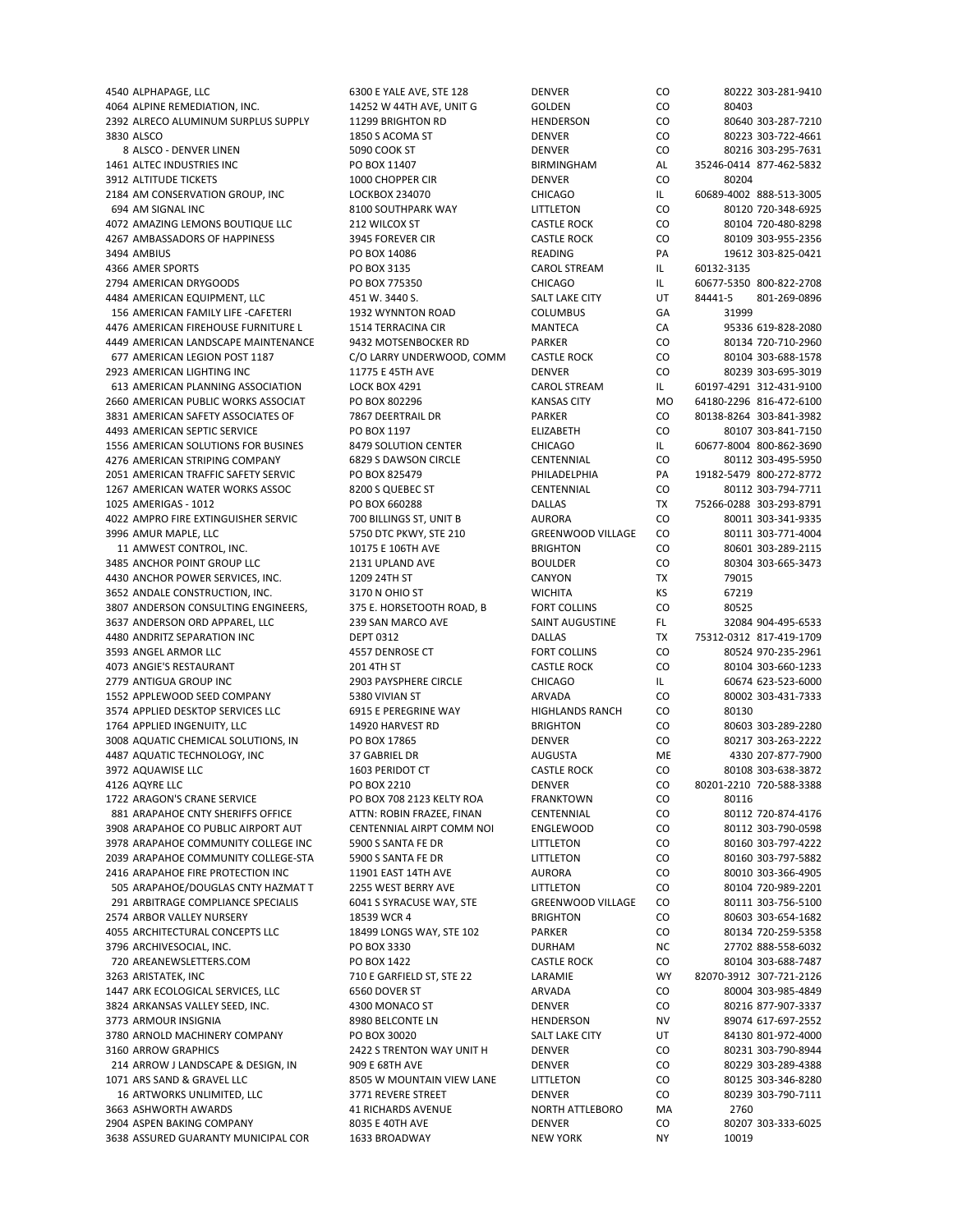4540 ALPHAPAGE, LLC 6300 E YALE AVE, STE 128 DENVER CO 80222 303-281-9410 4064 ALPINE REMEDIATION, INC.  $14252$  W 44TH AVE, UNIT G GOLDEN CO 80403 2392 ALRECO ALUMINUM SURPLUS SUPPLY 11299 BRIGHTON RD HENDERSON CO 80640 303‐287‐7210 3830 ALSCO 1850 S ACOMA ST DENVER CO 80223 303‐722‐4661 8 ALSCO - DENVER LINEN 5090 COOK ST DENVER DENVER CO 80216 303-295-7631 1461 ALTEC INDUSTRIES INC PO BOX 11407 BIRMINGHAM AL 35246‐0414 877‐462‐5832 3912 ALTITUDE TICKETS 1000 CHOPPER CIR DENVER CO 80204 2184 AM CONSERVATION GROUP, INC LOCKBOX 234070 CHICAGO IL 606869. 694 AM SIGNAL INC 8100 SOUTHPARK WAY LITTLETON CO 80120 720‐348‐6925 4072 AMAZING LEMONS BOUTIQUE LLC 212 WILCOX ST CASTLE ROCK CO 80104 720‐480‐8298 4267 AMBASSADORS OF HAPPINESS 3945 FOREVER CIR CASTLE ROCK CO 80109 303‐955‐2356 3494 AMBIUS PO BOX 14086 READING PA 19612 303‐825‐0421 4366 AMER SPORTS PO BOX 3135 CAROL STREAM IL 2794 AMERICAN DRYGOODS PO BOX 775350 CHICAGO IL 60677‐5350 800‐822‐2708 4484 AMERICAN EQUIPMENT, LLC 451 W. 3440 S. SALT LAKE CITY UT 84441‐5 801‐269‐0896 156 AMERICAN FAMILY LIFE -CAFETERI 1932 WYNNTON ROAD COLUMBUS GA 31999 4476 AMERICAN FIREHOUSE FURNITURE L 1514 TERRACINA CIR MANTECA CA 95336 619‐828‐2080 4449 AMERICAN LANDSCAPE MAINTENANCE 9432 MOTSENBOCKER RD PARKER PORT CO 80134 720‐710‐2960<br>677 AMERICAN LEGION POST 1187 C/O LARRY UNDERWOOD, COMM CASTLE ROCK CO 80104 303‐688‐1578 677 AMERICAN LEGION POST 1187 C/O LARRY UNDERWOOD, COMM CASTLE ROCK CO 80104 303‐688‐1578 2923 AMERICAN LIGHTING INC 11775 E 45TH AVE DENVER CO 80239 303‐695‐3019 613 AMERICAN PLANNING ASSOCIATION LOCK BOX 4291 CAROL STREAM IL 60197‐4291 312‐431‐9100 2660 AMERICAN PUBLIC WORKS ASSOCIAT PO BOX 802296 KANSAS CITY MO 64180‐2296 816‐472‐6100 3831 AMERICAN SAFETY ASSOCIATES OF 7867 DEERTRAIL DR PARKER CO 80138‐8264 303‐841‐3982 4493 AMERICAN SEPTIC SERVICE PO BOX 1197 ELIZABETH CO 80107 303‐841‐7150 1556 AMERICAN SOLUTIONS FOR BUSINES 8479 SOLUTION CENTER CHICAGO IL 60677‐8004 800‐862‐3690 4276 AMERICAN STRIPING COMPANY 6829 S DAWSON CIRCLE CENTENNIAL CO 80112 303‐495‐5950 2051 AMERICAN TRAFFIC SAFETY SERVIC PO BOX 825479 PHILADELPHIA PA 19182‐5479 800‐272‐8772 1267 AMERICAN WATER WORKS ASSOC 8200 S QUEBEC ST CENTENNIAL CO 80112 303‐794‐7711 1025 AMERIGAS ‐ 1012 PO BOX 660288 DALLAS TX 75266‐0288 303‐293‐8791 4022 AMPRO FIRE EXTINGUISHER SERVIC 700 BILLINGS ST, UNIT B AURORA CO 80011 303‐341‐9335 3996 AMUR MAPLE, LLC 5750 DTC PKWY, STE 210 GREENWOOD VILLAGE CO 80111 303‐771‐4004 11 AMWEST CONTROL, INC. 10175 E 106TH AVE BRIGHTON CO 80601 303‐289‐2115 3485 ANCHOR POINT GROUP LLC 2131 UPLAND AVE 4430 ANCHOR POWER SERVICES, INC. 1209 24TH ST CANYON TX 79015 3652 ANDALE CONSTRUCTION, INC. 3170 N OHIO ST WICHITA KS 67219 3807 ANDERSON CONSULTING ENGINEERS. 375 E. HORSETOOTH ROAD, B FORT COLLINS CO 80525 3637 ANDERSON ORD APPAREL, LLC 239 SAN MARCO AVE SAINT AUGUSTINE FL 32084 904‐495‐6533 4480 ANDRITZ SEPARATION INC DEPT 0312 DALLAS TX 75312‐0312 817‐419‐1709 3593 ANGEL ARMOR LLC **ARMOR LLC** 4557 DENROSE CT FORT COLLINS CO 80524 970‐235‐2961 4073 ANGIE'S RESTAURANT 201 4TH ST CASTLE ROCK CO 80104 303‐660‐1233 2779 ANTIGUA GROUP INC 2903 PAYSPHERE CIRCLE CHICAGO IL 60674 623-523-6000 1552 APPLEWOOD SEED COMPANY 5380 VIVIAN ST ARVADA CO 80002 303‐431‐7333 3574 APPLIED DESKTOP SERVICES LLC 6915 E PEREGRINE WAY HIGHLANDS RANCH CO 80130 1764 APPLIED INGENUITY, LLC 14920 HARVEST RD BRIGHTON CO 80603 303‐289‐2280 3008 AQUATIC CHEMICAL SOLUTIONS. IN PO BOX 17865 DENVER DENVER CO 80217 303-263-2222 4487 AQUATIC TECHNOLOGY, INC **37 GABRIEL DR** AUGUSTA ME 4330 207‐877‐7900 3972 AQUAWISE LLC 1603 PERIDOT CT CASTLE ROCK CO 80108 303‐638‐3872 4126 AQYRE LLC PO BOX 2210 DENVER CO 80201‐2210 720‐588‐3388 1722 ARAGON'S CRANE SERVICE PO BOX 708 2123 KELTY ROA FRANKTOWN CO 80116 881 ARAPAHOE CNTY SHERIFFS OFFICE ATTN: ROBIN FRAZEE, FINAN CENTENNIAL CO 80112 720-874-4176 3908 ARAPAHOE CO PUBLIC AIRPORT AUT CENTENNIAL AIRPT COMM NOI ENGLEWOOD CO 80112 303‐790‐0598 3978 ARAPAHOE COMMUNITY COLLEGE INC 5900 S SANTA FE DR LITTLETON CO 80160 303-797-4222 2039 ARAPAHOE COMMUNITY COLLEGE‐STA 5900 S SANTA FE DR LITTLETON CO 80160 303‐797‐5882 2416 ARAPAHOE FIRE PROTECTION INC 1901 EAST 14TH AVE AURORA CO 80010 303-366-4905<br>12256-2201 505 ARAPAHOE/DOUGLAS CNTY HAZMAT T 2255 WEST BERRY AVE LITTLETON CO 80104 720-989-2201 505 ARAPAHOE/DOUGLAS CNTY HAZMAT T 291 ARBITRAGE COMPLIANCE SPECIALIS 6041 S SYRACUSE WAY, STE GREENWOOD VILLAGE CO 80111 303-756-5100 2574 ARBOR VALLEY NURSERY 18539 WCR 4 BRIGHTON CO 80603 303‐654‐1682 4055 ARCHITECTURAL CONCEPTS LLC 18499 LONGS WAY, STE 102 PARKER CO 80134 720‐259‐5358 3796 ARCHIVESOCIAL, INC. PO BOX 3330 DURHAM NC 27702 888‐558‐6032 720 AREANEWSLETTERS.COM PO BOX 1422 CASTLE ROCK CO 80104 303‐688‐7487 3263 ARISTATEK, INC 710 E GARFIELD ST, STE 22 LARAMIE WY 82070‐3912 307‐721‐2126 1447 ARK ECOLOGICAL SERVICES, LLC 6560 DOVER ST ARVADA CO 80004 303‐985‐4849 3824 ARKANSAS VALLEY SEED, INC. 4300 MONACO ST DENVER CO 80216 877‐907‐3337 3773 ARMOUR INSIGNIA 8980 BELCONTE LN HENDERSON NV 89074 617‐697‐2552 3780 ARNOLD MACHINERY COMPANY PO BOX 30020 SALT LAKE CITY UT 84130 801‐972‐4000 3160 ARROW GRAPHICS 2422 S TRENTON WAY UNIT H DENVER CO 80231 303‐790‐8944 214 ARROW J LANDSCAPE & DESIGN, IN 909 E 68TH AVE DENVER CO 80229 303‐289‐4388 1071 ARS SAND & GRAVEL LLC 8505 W MOUNTAIN VIEW LANE LITTLETON CO 80125 303‐346‐8280 16 ARTWORKS UNLIMITED, LLC 3771 REVERE STREET DENVER CO 80239 303‐790‐7111 3663 ASHWORTH AWARDS 41 RICHARDS AVENUE NORTH ATTLEBORO MA 2760 2904 ASPEN BAKING COMPANY 8035 E 40TH AVE DENVER CO 80207 303‐333‐6025 3638 ASSURED GUARANTY MUNICIPAL COR 1633 BROADWAY NEW YORK NY NY 10019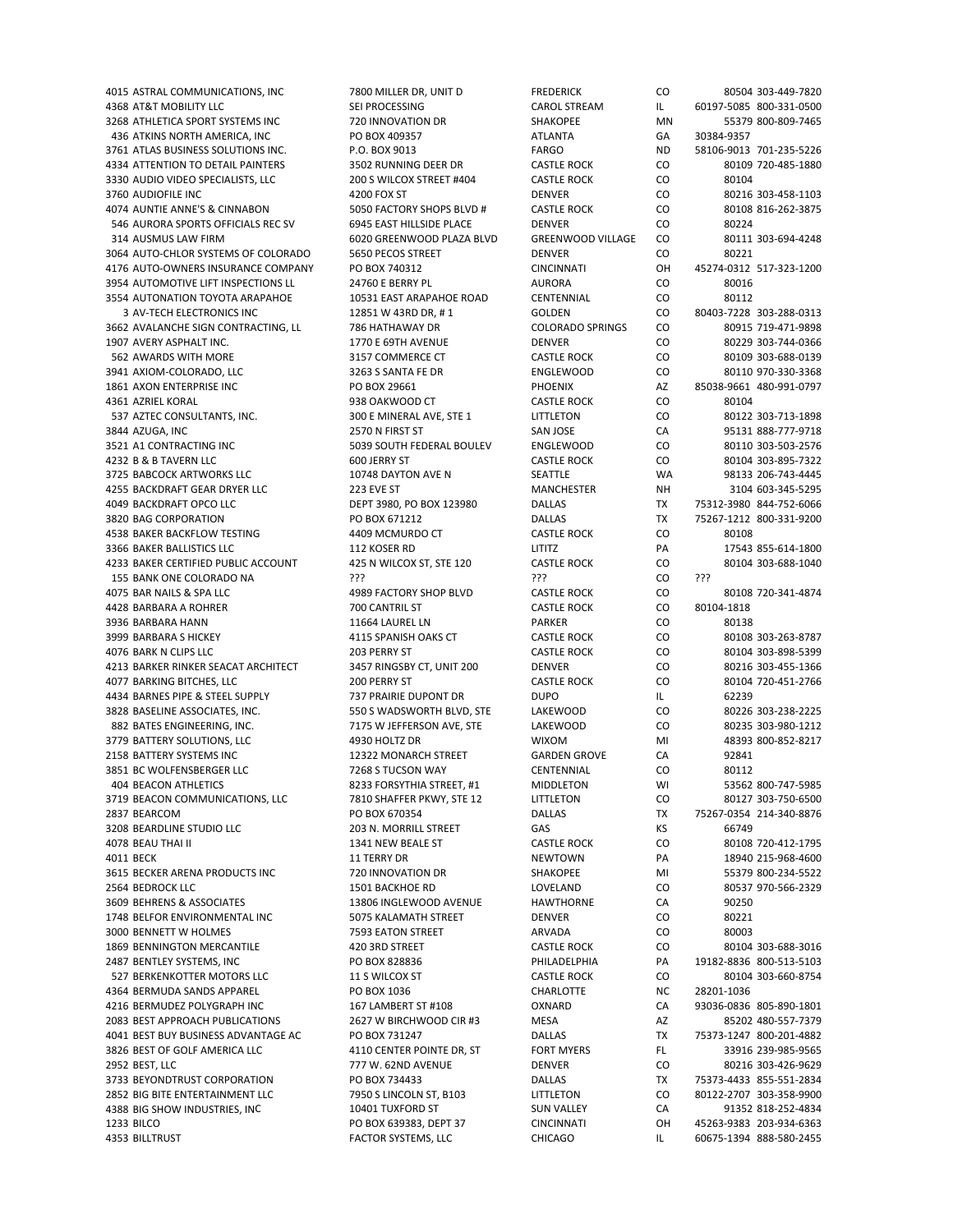4368 AT&T MOBILITY LLC SEI PROCESSING CAROL STREAM IL 60197‐5085 800‐331‐0500 3268 ATHLETICA SPORT SYSTEMS INC 720 INNOVATION DR SHAKOPEE MN 55379 800‐809‐7465 436 ATKINS NORTH AMERICA, INC PO BOX 409357 ATLANTA GA 30384‐9357 3761 ATLAS BUSINESS SOLUTIONS INC. P.O. BOX 9013 FARGO ND 58106‐9013 701‐235‐5226 4334 ATTENTION TO DETAIL PAINTERS 3502 RUNNING DEER DR CASTLE ROCK CO 80109 720‐485‐1880 3330 AUDIO VIDEO SPECIALISTS, LLC 200 S WILCOX STREET #404 CASTLE ROCK CO 80104 3760 AUDIOFILE INC **AUDIOFILE INC AUDIOFILE INC** 4200 FOX ST DENVER DENVER CO 80216 303‐458‐1103 4074 AUNTIE ANNE'S & CINNABON 5050 FACTORY SHOPS BLVD # CASTLE ROCK CO 80108 816‐262‐3875 546 AURORA SPORTS OFFICIALS REC SV 6945 EAST HILLSIDE PLACE DENVER CO 80224 314 AUSMUS LAW FIRM 6020 GREENWOOD PLAZA BLVD GREENWOOD VILLAGE CO 80111 303‐694‐4248 3064 AUTO-CHLOR SYSTEMS OF COLORADO 5650 PECOS STREET DENVER DENVER CO 80221 4176 AUTO‐OWNERS INSURANCE COMPANY PO BOX 740312 CINCINNATI OH 45274‐0312 517‐323‐1200 3954 AUTOMOTIVE LIFT INSPECTIONS LL 24760 E BERRY PL AURORA CO 80016 3554 AUTONATION TOYOTA ARAPAHOE 10531 EAST ARAPAHOE ROAD CENTENNIAL CO 80112 3 AV‐TECH ELECTRONICS INC 12851 W 43RD DR, # 1 GOLDEN CO 80403‐7228 303‐288‐0313 3662 AVALANCHE SIGN CONTRACTING, LL 786 HATHAWAY DR COLORADO SPRINGS CO 80915 719‐471‐9898 1907 AVERY ASPHALT INC. 1770 E 69TH AVENUE DENVER CO 80229 303‐744‐0366 562 AWARDS WITH MORE 3157 COMMERCE CT CASTLE ROCK CO 80109 303‐688‐0139 3941 AXIOM‐COLORADO, LLC 3263 S SANTA FE DR ENGLEWOOD CO 80110 970‐330‐3368 1861 AXON ENTERPRISE INC PO BOX 29661 PHOENIX AZ 85038‐9661 480‐991‐0797 4361 AZRIEL KORAL 938 OAKWOOD CT CASTLE ROCK CO 80104 537 AZTEC CONSULTANTS, INC. 300 E MINERAL AVE, STE 1 LITTLETON CO 80122 303-713-1898 3844 AZUGA, INC 2570 N FIRST ST SAN JOSE CA 95131 888‐777‐9718 3521 A1 CONTRACTING INC 5039 SOUTH FEDERAL BOULEV ENGLEWOOD CO 80110 303‐503‐2576 4232 B & B TAVERN LLC 600 JERRY ST CASTLE ROCK CO 80104 303‐895‐7322 3725 BABCOCK ARTWORKS LLC 10748 DAYTON AVE N SEATTLE WA 98133 206‐743‐4445 4255 BACKDRAFT GEAR DRYER LLC 223 EVE ST MANCHESTER NH 3104 603‐345‐5295 4049 BACKDRAFT OPCO LLC DEPT 3980, PO BOX 123980 DALLAS TX 75312‐3980 844‐752‐6066 3820 BAG CORPORATION PO BOX 671212 DALLAS TX 75267‐1212 800‐331‐9200 4538 BAKER BACKFLOW TESTING 4409 MCMURDO CT CASTLE ROCK CO 80108 3366 BAKER BALLISTICS LLC 112 KOSER RD LITITZ PA 17543 855‐614‐1800 4233 BAKER CERTIFIED PUBLIC ACCOUNT 155 BANK ONE COLORADO NA ??? ??? CO ??? 4075 BAR NAILS & SPA LLC 4989 FACTORY SHOP BLVD CASTLE ROCK CO 80108 720‐341‐4874 4428 BARBARA A ROHRER 700 CANTRIL ST CASTLE ROCK CO 80104‐1818 3936 BARBARA HANN 11664 LAUREL LN PARKER CO 80138 3999 BARBARA S HICKEY 4115 SPANISH OAKS CT CASTLE ROCK CO 80108 303‐263‐8787 4076 BARK N CLIPS LLC 203 PERRY ST CASTLE ROCK CO 80104 303‐898‐5399 4213 BARKER RINKER SEACAT ARCHITECT 3457 RINGSBY CT, UNIT 200 DENVER CO 80216 303‐455‐1366 4077 BARKING BITCHES, LLC 200 PERRY ST CASTLE ROCK CO 80104 720‐451‐2766 4434 BARNES PIPE & STEEL SUPPLY **1288 PRAIRIE DUPONT DR** DUPO **IL 62239** 3828 BASELINE ASSOCIATES, INC. 550 S WADSWORTH BLVD, STE LAKEWOOD CO 80226 303‐238‐2225 882 BATES ENGINEERING, INC. 7175 W JEFFERSON AVE, STE LAKEWOOD CO 80235 303‐980‐1212 3779 BATTERY SOLUTIONS, LLC 4930 HOLTZ DR WIXOM MI 48393 800‐852‐8217 2158 BATTERY SYSTEMS INC 12322 MONARCH STREET GARDEN GROVE CA 92841 3851 BC WOLFENSBERGER LLC 7268 S TUCSON WAY CENTENNIAL CO 80112 404 BEACON ATHLETICS 8233 FORSYTHIA STREET, #1 MIDDLETON WI 53562 800‐747‐5985 3719 BEACON COMMUNICATIONS, LLC **7810 SHAFFER PKWY, STE 12** LITTLETON CO 80127 303-750-6500 2837 BEARCOM PO BOX 670354 DALLAS TX 75267‐0354 214‐340‐8876 3208 BEARDLINE STUDIO LLC 203 N. MORRILL STREET GAS KS 66749 4078 BEAU THAI II 1341 NEW BEALE ST CASTLE ROCK CO 80108 720‐412‐1795 AM SEALE ST 4011 BECK 18940 215‐968‐4600 NEWTOWN PA 18940 215‐968‐4600 3615 BECKER ARENA PRODUCTS INC 720 INNOVATION DR SHAKOPEE MI 55379 800‐234‐5522 3609 BEHRENS & ASSOCIATES **13806 INGLEWOOD AVENUE** HAWTHORNE CA 90250 1748 BELFOR ENVIRONMENTAL INC 5075 KALAMATH STREET DENVER CO 80221 3000 BENNETT W HOLMES 7593 EATON STREET ARVADA CO 80003 1869 BENNINGTON MERCANTILE 420 3RD STREET CASTLE ROCK CO 80104 303‐688‐3016 2487 BENTLEY SYSTEMS, INC PO BOX 828836 PHILADELPHIA PA 19182‐8836 800‐513‐5103 527 BERKENKOTTER MOTORS LLC 11 S WILCOX ST CASTLE ROCK CO 80104 303‐660‐8754 4364 BERMUDA SANDS APPAREL PO BOX 1036 CHARLOTTE NC 28201‐1036 4216 BERMUDEZ POLYGRAPH INC 167 LAMBERT ST #108 OXNARD CA 93036‐0836 805‐890‐1801 2083 BEST APPROACH PUBLICATIONS 2627 W BIRCHWOOD CIR #3 MESA AZ 85202 480‐557‐7379 4041 BEST BUY BUSINESS ADVANTAGE AC PO BOX 731247 DALLAS TX 75373‐1247 800‐201‐4882 3826 BEST OF GOLF AMERICA LLC **4110 CENTER POINTE DR. ST** FORT MYERS FL 33916 239-985-9565 2952 BEST, LLC 777 W. 62ND AVENUE DENVER CO 80216 303‐426‐9629 3733 BEYONDTRUST CORPORATION PO BOX 734433 DALLAS DALLAS TX 75373-4433 855-551-2834 2852 BIG BITE ENTERTAINMENT LLC **1950 S LINCOLN ST, B103** LITTLETON CO 80122-2707 303-358-9900 4388 BIG SHOW INDUSTRIES, INC 10401 TUXFORD ST SUN VALLEY CA 91352 818‐252‐4834 1233 BILCO PO BOX 639383, DEPT 37 CINCINNATI OH 45263‐9383 203‐934‐6363 4353 BILLTRUST FACTOR SYSTEMS, LLC CHICAGO IL 60675‐1394 888‐580‐2455

4015 ASTRAL COMMUNICATIONS, INC 7800 MILLER DR, UNIT D FREDERICK CO 80504 303‐449‐7820 80537 970-566-2329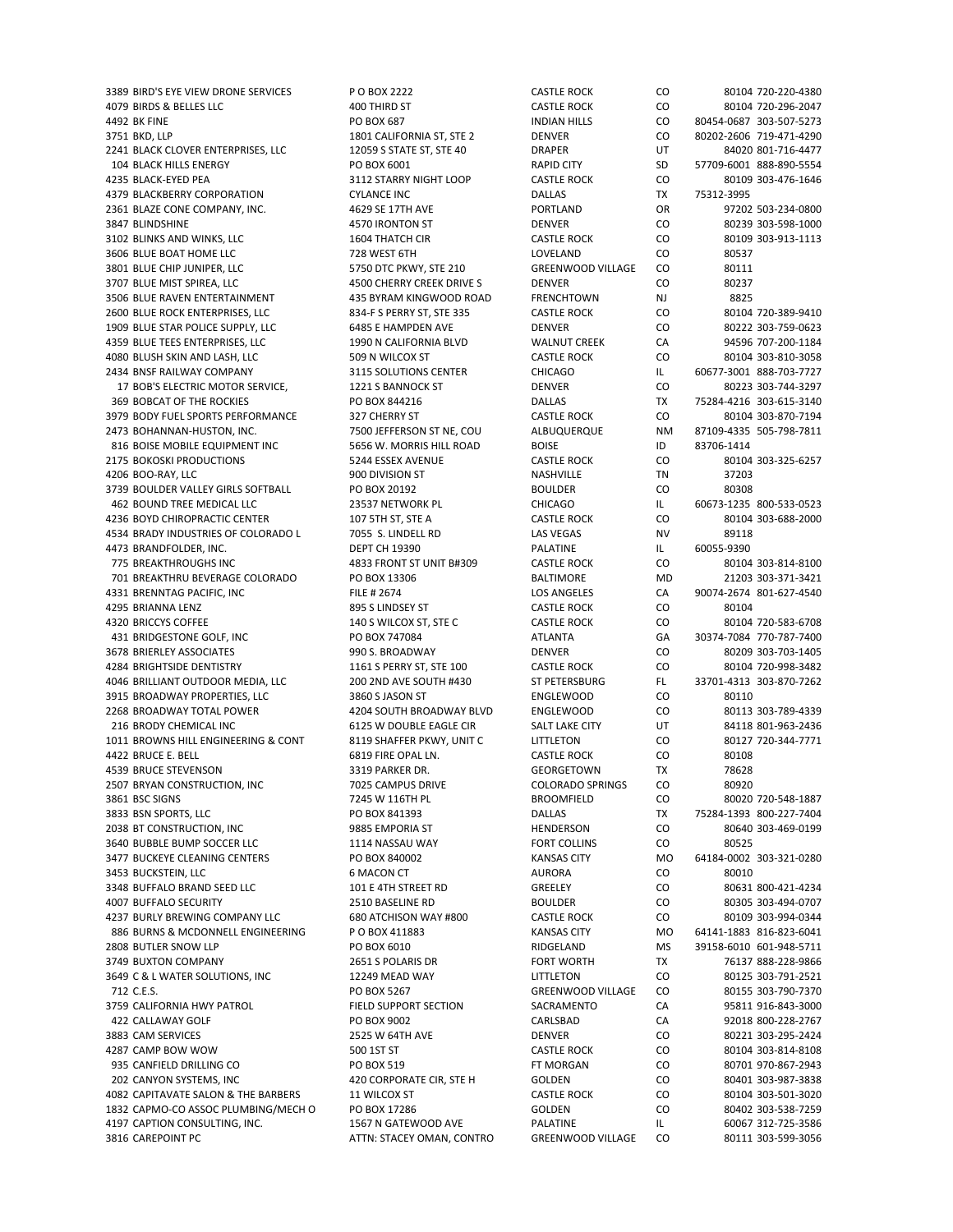4079 BIRDS & BELLES LLC 400 THIRD ST CASTLE ROCK CO 80104 720‐296‐2047 4492 BK FINE PO BOX 687 INDIAN HILLS CO 80454‐0687 303‐507‐5273 3751 BKD, LLP 1801 CALIFORNIA ST, STE 2 DENVER CO 80202‐2606 719‐471‐4290 2241 BLACK CLOVER ENTERPRISES, LLC 12059 S STATE ST, STE 40 DRAPER UT 84020 801‐716‐4477 104 BLACK HILLS ENERGY PO BOX 6001 RAPID CITY SD 57709‐6001 888‐890‐5554 4235 BLACK‐EYED PEA 3112 STARRY NIGHT LOOP CASTLE ROCK CO 80109 303‐476‐1646 4379 BLACKBERRY CORPORATION CYLANCE INC DALLAS TX 75312‐3995 2361 BLAZE CONE COMPANY, INC. 4629 SE 17TH AVE PORTLAND OR 97202 503‐234‐0800 3847 BLINDSHINE 4570 IRONTON ST DENVER CO 80239 303‐598‐1000 3102 BLINKS AND WINKS, LLC 1604 THATCH CIR CASTLE ROCK CO 80109 303‐913‐1113 3606 BLUE BOAT HOME LLC 728 WEST 6TH LOVELAND CO 80537 3801 BLUE CHIP JUNIPER, LLC 5750 DTC PKWY, STE 210 GREENWOOD VILLAGE CO 80111 3707 BLUE MIST SPIREA, LLC **ASSEMBLEMIST SPIREA, LLC** ASSEMBLEM ASSEMBLEM ASSEMBLEM ASSEMBLEM COM A SO237 3506 BLUE RAVEN ENTERTAINMENT 435 BYRAM KINGWOOD ROAD FRENCHTOWN NJ 8825 2600 BLUE ROCK ENTERPRISES, LLC 834‐F S PERRY ST, STE 335 CASTLE ROCK CO 80104 720‐389‐9410 1909 BLUE STAR POLICE SUPPLY, LLC 6485 E HAMPDEN AVE DENVER CO 80222 303‐759‐0623 4359 BLUE TEES ENTERPRISES, LLC 1990 N CALIFORNIA BLVD WALNUT CREEK CA 94596 707-200-1184 4080 BLUSH SKIN AND LASH, LLC 509 N WILCOX ST CASTLE ROCK CO 80104 303‐810‐3058 2434 BNSF RAILWAY COMPANY 3115 SOLUTIONS CENTER CHICAGO IL 60677‐3001 888‐703‐7727 17 BOB'S ELECTRIC MOTOR SERVICE, 21221 S BANNOCK ST DENVER CO 80223 303-744-3297 369 BOBCAT OF THE ROCKIES PO BOX 844216 DALLAS TX 75284‐4216 303‐615‐3140 3979 BODY FUEL SPORTS PERFORMANCE 327 CHERRY ST CASTLE ROCK CO 80104 303‐870‐7194 2473 BOHANNAN‐HUSTON, INC. 7500 JEFFERSON ST NE, COU ALBUQUERQUE NM 87109‐4335 505‐798‐7811 816 BOISE MOBILE EQUIPMENT INC 5656 W. MORRIS HILL ROAD BOISE THE STOS-1414 2175 BOKOSKI PRODUCTIONS 5244 ESSEX AVENUE CASTLE ROCK CO 80104 303‐325‐6257 4206 BOO‐RAY, LLC 900 DIVISION ST NASHVILLE TN 37203 3739 BOULDER VALLEY GIRLS SOFTBALL PO BOX 20192 BOULDER CO 80308 462 BOUND TREE MEDICAL LLC 23537 NETWORK PL CHICAGO IL 60673‐1235 800‐533‐0523 4236 BOYD CHIROPRACTIC CENTER 107 5TH ST, STE A CASTLE ROCK CO 80104 303-688-2000 4534 BRADY INDUSTRIES OF COLORADO L 7055 S. LINDELL RD LAS VEGAS NV 89118 4473 BRANDFOLDER, INC. DEPT CH 19390 PALATINE IL 60055‐9390 701 BREAKTHRU BEVERAGE COLORADO PO BOX 13306 BALTIMORE MD 21203 303‐371‐3421 4331 BRENNTAG PACIFIC, INC FILE # 2674 LOS ANGELES CA 90074‐2674 801‐627‐4540 4295 BRIANNA LENZ 895 S LINDSEY ST CASTLE ROCK CO 80104 4320 BRICCYS COFFEE 140 SWILCOX ST, STE CASTLE ROCK CO 80104 720‐583‐6708 431 BRIDGESTONE GOLF, INC PO BOX 747084 ATLANTA GA 30374-7084 770-787-7400 3678 BRIERLEY ASSOCIATES 990 S. BROADWAY DENVER CO 80209 303‐703‐1405 4284 BRIGHTSIDE DENTISTRY 1161 S PERRY ST, STE 100 CASTLE ROCK CO 80104 720‐998‐3482 4046 BRILLIANT OUTDOOR MEDIA, LLC 200 2ND AVE SOUTH #430 ST PETERSBURG FL 33701‐4313 303‐870‐7262 3915 BROADWAY PROPERTIES, LLC 3860 S JASON ST ENGLEWOOD CO 80110 2268 BROADWAY TOTAL POWER 4204 SOUTH BROADWAY BLVD ENGLEWOOD CO 80113 303‐789‐4339 216 BRODY CHEMICAL INC 6125 W DOUBLE EAGLE CIR SALT LAKE CITY UT 84118 801‐963‐2436 1011 BROWNS HILL ENGINEERING & CONT 8119 SHAFFER PKWY, UNIT C LITTLETON CO 80127 720-344-7771 4422 BRUCE E. BELL 6819 FIRE OPAL LN. CASTLE ROCK CO 80108 4539 BRUCE STEVENSON 3319 PARKER DR. GEORGETOWN TX 78628 2507 BRYAN CONSTRUCTION, INC 7025 CAMPUS DRIVE COLORADO SPRINGS CO 80920 3861 BSC SIGNS 7245 W 116TH PL BROOMFIELD CO 80020 720‐548‐1887 3833 BSN SPORTS, LLC PO BOX 841393 DALLAS TX 75284‐1393 800‐227‐7404 2038 BT CONSTRUCTION, INC 9885 EMPORIA ST HENDERSON CO 80640 303‐469‐0199 3640 BUBBLE BUMP SOCCER LLC 1114 NASSAU WAY FORT COLLINS CO 80525 3477 BUCKEYE CLEANING CENTERS PO BOX 840002 KANSAS CITY MO 64184‐0002 303‐321‐0280 3453 BUCKSTEIN, LLC 6 MACON CT AURORA CO 80010 3348 BUFFALO BRAND SEED LLC 4007 BUFFALO SECURITY 2510 BASELINE RD BOULDER CO 80305 303‐494‐0707 4237 BURLY BREWING COMPANY LLC 680 ATCHISON WAY #800 CASTLE ROCK CO 80109 303‐994‐0344 886 BURNS & MCDONNELL ENGINEERING P O BOX 411883 KANSAS CITY MO 64141-1883 816-823-6041 2808 BUTLER SNOW LLP PO BOX 6010 RIDGELAND MS 39158‐6010 601‐948‐5711 3749 BUXTON COMPANY **2651 S POLARIS DR** FORT WORTH TX 76137 888-228-9866 3649 C & L WATER SOLUTIONS, INC 12249 MEAD WAY LITTLETON CO 80125 303‐791‐2521 712 C.E.S. PO BOX 5267 GREENWOOD VILLAGE CO 80155 303‐790‐7370 3759 CALIFORNIA HWY PATROL FIELD SUPPORT SECTION SACRAMENTO CA 95811 916‐843‐3000 422 CALLAWAY GOLF PO BOX 9002 CARLSBAD CA 92018 800‐228‐2767 3883 CAM SERVICES 2525 W 64TH AVE DENVER CO 80221 303‐295‐2424 4287 CAMP BOW WOW 500 1ST ST CASTLE ROCK CO 80104 303‐814‐8108 935 CANFIELD DRILLING CO PO BOX 519 FT MORGAN CO 80701 970‐867‐2943 202 CANYON SYSTEMS, INC 420 CORPORATE CIR, STE H GOLDEN CO 80401 303‐987‐3838 4082 CAPITAVATE SALON & THE BARBERS 11 WILCOX ST CASTLE ROCK CO 80104 303‐501‐3020 1832 CAPMO‐CO ASSOC PLUMBING/MECH O PO BOX 17286 GOLDEN CO 80402 303‐538‐7259 4197 CAPTION CONSULTING, INC. 1567 N GATEWOOD AVE PALATINE IL 60067 312‐725‐3586 3816 CAREPOINT PC **ATTN: STACEY OMAN, CONTRO** GREENWOOD VILLAGE CO 80111 303-599-3056

4833 FRONT ST UNIT B#309

3389 BIRD'S EYE VIEW DRONE SERVICES PO BOX 2222 CASTLE ROCK CO 80104 720‐220‐4380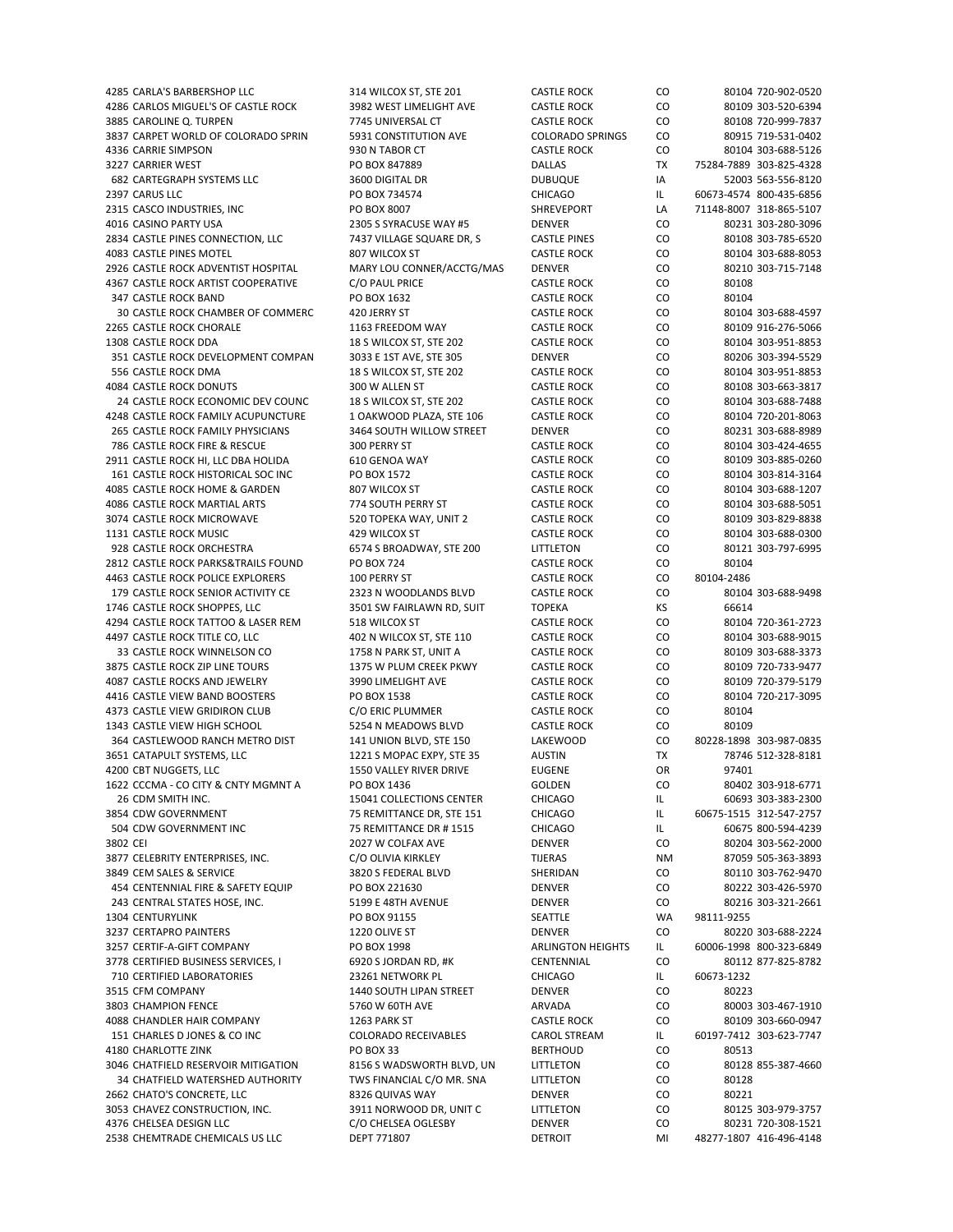| 4285 CARLA'S BARBERSHOP LLC                                | 314 WILCOX ST, STE 201             | <b>CASTLE ROCK</b>              | CO        | 80104 720-902-0520                            |
|------------------------------------------------------------|------------------------------------|---------------------------------|-----------|-----------------------------------------------|
| 4286 CARLOS MIGUEL'S OF CASTLE ROCK                        | 3982 WEST LIMELIGHT AVE            | <b>CASTLE ROCK</b>              | CO        | 80109 303-520-6394                            |
| 3885 CAROLINE Q. TURPEN                                    | 7745 UNIVERSAL CT                  | <b>CASTLE ROCK</b>              | CO        | 80108 720-999-7837                            |
| 3837 CARPET WORLD OF COLORADO SPRIN                        |                                    |                                 |           |                                               |
|                                                            | 5931 CONSTITUTION AVE              | <b>COLORADO SPRINGS</b>         | CO        | 80915 719-531-0402                            |
| 4336 CARRIE SIMPSON                                        | 930 N TABOR CT                     | <b>CASTLE ROCK</b>              | CO        | 80104 303-688-5126                            |
| 3227 CARRIER WEST                                          | PO BOX 847889                      | <b>DALLAS</b>                   | TX        | 75284-7889 303-825-4328                       |
| 682 CARTEGRAPH SYSTEMS LLC                                 | 3600 DIGITAL DR                    | <b>DUBUQUE</b>                  | IA        | 52003 563-556-8120                            |
|                                                            |                                    |                                 |           |                                               |
| 2397 CARUS LLC                                             | PO BOX 734574                      | <b>CHICAGO</b>                  | IL        | 60673-4574 800-435-6856                       |
| 2315 CASCO INDUSTRIES, INC                                 | PO BOX 8007                        | <b>SHREVEPORT</b>               | LA        | 71148-8007 318-865-5107                       |
| 4016 CASINO PARTY USA                                      | 2305 S SYRACUSE WAY #5             | <b>DENVER</b>                   | CO        | 80231 303-280-3096                            |
|                                                            | 7437 VILLAGE SQUARE DR, S          |                                 |           |                                               |
| 2834 CASTLE PINES CONNECTION, LLC                          |                                    | <b>CASTLE PINES</b>             | CO        | 80108 303-785-6520                            |
| 4083 CASTLE PINES MOTEL                                    | 807 WILCOX ST                      | <b>CASTLE ROCK</b>              | CO        | 80104 303-688-8053                            |
| 2926 CASTLE ROCK ADVENTIST HOSPITAL                        | MARY LOU CONNER/ACCTG/MAS          | <b>DENVER</b>                   | CO        | 80210 303-715-7148                            |
| 4367 CASTLE ROCK ARTIST COOPERATIVE                        | C/O PAUL PRICE                     | <b>CASTLE ROCK</b>              | CO        | 80108                                         |
|                                                            |                                    |                                 |           |                                               |
| 347 CASTLE ROCK BAND                                       | PO BOX 1632                        | <b>CASTLE ROCK</b>              | CO        | 80104                                         |
| 30 CASTLE ROCK CHAMBER OF COMMERC                          | 420 JERRY ST                       | <b>CASTLE ROCK</b>              | CO        | 80104 303-688-4597                            |
| 2265 CASTLE ROCK CHORALE                                   | 1163 FREEDOM WAY                   | <b>CASTLE ROCK</b>              | CO        | 80109 916-276-5066                            |
| 1308 CASTLE ROCK DDA                                       |                                    | <b>CASTLE ROCK</b>              | CO        | 80104 303-951-8853                            |
|                                                            | 18 S WILCOX ST, STE 202            |                                 |           |                                               |
| 351 CASTLE ROCK DEVELOPMENT COMPAN                         | 3033 E 1ST AVE, STE 305            | <b>DENVER</b>                   | CO        | 80206 303-394-5529                            |
| 556 CASTLE ROCK DMA                                        | 18 S WILCOX ST, STE 202            | <b>CASTLE ROCK</b>              | CO        | 80104 303-951-8853                            |
| <b>4084 CASTLE ROCK DONUTS</b>                             | 300 W ALLEN ST                     | <b>CASTLE ROCK</b>              | CO        | 80108 303-663-3817                            |
|                                                            |                                    |                                 |           |                                               |
| 24 CASTLE ROCK ECONOMIC DEV COUNC                          | 18 S WILCOX ST, STE 202            | <b>CASTLE ROCK</b>              | CO        | 80104 303-688-7488                            |
| 4248 CASTLE ROCK FAMILY ACUPUNCTURE                        | 1 OAKWOOD PLAZA, STE 106           | <b>CASTLE ROCK</b>              | CO        | 80104 720-201-8063                            |
| 265 CASTLE ROCK FAMILY PHYSICIANS                          | 3464 SOUTH WILLOW STREET           | <b>DENVER</b>                   | CO        | 80231 303-688-8989                            |
| 786 CASTLE ROCK FIRE & RESCUE                              | 300 PERRY ST                       | <b>CASTLE ROCK</b>              | CO        | 80104 303-424-4655                            |
|                                                            |                                    |                                 |           |                                               |
| 2911 CASTLE ROCK HI, LLC DBA HOLIDA                        | 610 GENOA WAY                      | <b>CASTLE ROCK</b>              | CO        | 80109 303-885-0260                            |
| 161 CASTLE ROCK HISTORICAL SOC INC                         | PO BOX 1572                        | <b>CASTLE ROCK</b>              | CO        | 80104 303-814-3164                            |
| 4085 CASTLE ROCK HOME & GARDEN                             | 807 WILCOX ST                      | <b>CASTLE ROCK</b>              | CO        | 80104 303-688-1207                            |
| 4086 CASTLE ROCK MARTIAL ARTS                              | 774 SOUTH PERRY ST                 | <b>CASTLE ROCK</b>              | CO        | 80104 303-688-5051                            |
|                                                            |                                    |                                 |           |                                               |
| 3074 CASTLE ROCK MICROWAVE                                 | 520 TOPEKA WAY, UNIT 2             | <b>CASTLE ROCK</b>              | CO        | 80109 303-829-8838                            |
| 1131 CASTLE ROCK MUSIC                                     | 429 WILCOX ST                      | <b>CASTLE ROCK</b>              | CO        | 80104 303-688-0300                            |
| 928 CASTLE ROCK ORCHESTRA                                  | 6574 S BROADWAY, STE 200           | LITTLETON                       | CO        | 80121 303-797-6995                            |
| 2812 CASTLE ROCK PARKS&TRAILS FOUND                        | PO BOX 724                         | <b>CASTLE ROCK</b>              | CO        | 80104                                         |
|                                                            |                                    |                                 |           |                                               |
| 4463 CASTLE ROCK POLICE EXPLORERS                          | 100 PERRY ST                       | <b>CASTLE ROCK</b>              | CO        | 80104-2486                                    |
| 179 CASTLE ROCK SENIOR ACTIVITY CE                         | 2323 N WOODLANDS BLVD              | <b>CASTLE ROCK</b>              | CO        | 80104 303-688-9498                            |
| 1746 CASTLE ROCK SHOPPES, LLC                              | 3501 SW FAIRLAWN RD, SUIT          | <b>TOPEKA</b>                   | KS        | 66614                                         |
| 4294 CASTLE ROCK TATTOO & LASER REM                        | 518 WILCOX ST                      | <b>CASTLE ROCK</b>              | CO        | 80104 720-361-2723                            |
|                                                            |                                    |                                 |           |                                               |
| 4497 CASTLE ROCK TITLE CO, LLC                             | 402 N WILCOX ST, STE 110           | <b>CASTLE ROCK</b>              | CO        | 80104 303-688-9015                            |
| 33 CASTLE ROCK WINNELSON CO                                | 1758 N PARK ST, UNIT A             | <b>CASTLE ROCK</b>              | CO        | 80109 303-688-3373                            |
| 3875 CASTLE ROCK ZIP LINE TOURS                            | 1375 W PLUM CREEK PKWY             | <b>CASTLE ROCK</b>              | CO        | 80109 720-733-9477                            |
| 4087 CASTLE ROCKS AND JEWELRY                              | 3990 LIMELIGHT AVE                 | <b>CASTLE ROCK</b>              | CO        | 80109 720-379-5179                            |
|                                                            |                                    |                                 |           |                                               |
| 4416 CASTLE VIEW BAND BOOSTERS                             | PO BOX 1538                        | <b>CASTLE ROCK</b>              | CO        | 80104 720-217-3095                            |
| 4373 CASTLE VIEW GRIDIRON CLUB                             | C/O ERIC PLUMMER                   | <b>CASTLE ROCK</b>              | CO        | 80104                                         |
| 1343 CASTLE VIEW HIGH SCHOOL                               | 5254 N MEADOWS BLVD                | <b>CASTLE ROCK</b>              | CO        | 80109                                         |
| 364 CASTLEWOOD RANCH METRO DIST                            | 141 UNION BLVD, STE 150            | <b>LAKEWOOD</b>                 | CO        | 80228-1898 303-987-0835                       |
|                                                            |                                    |                                 |           |                                               |
| 3651 CATAPULT SYSTEMS, LLC                                 | 1221 S MOPAC EXPY, STE 35          | <b>AUSTIN</b>                   | TX        | 78746 512-328-8181                            |
| 4200 CBT NUGGETS, LLC                                      | <b>1550 VALLEY RIVER DRIVE</b>     | <b>EUGENE</b>                   | <b>OR</b> | 97401                                         |
| 1622 CCCMA - CO CITY & CNTY MGMNT A                        | PO BOX 1436                        | GOLDEN                          | CO        | 80402 303-918-6771                            |
|                                                            | 15041 COLLECTIONS CENTER           | <b>CHICAGO</b>                  | IL.       |                                               |
| 26 CDM SMITH INC.                                          |                                    |                                 |           | 60693 303-383-2300                            |
| 3854 CDW GOVERNMENT                                        | 75 REMITTANCE DR, STE 151          | <b>CHICAGO</b>                  | IL        | 60675-1515 312-547-2757                       |
| 504 CDW GOVERNMENT INC                                     | 75 REMITTANCE DR # 1515            | <b>CHICAGO</b>                  | IL.       | 60675 800-594-4239                            |
| 3802 CEI                                                   | 2027 W COLFAX AVE                  | <b>DENVER</b>                   | CO        | 80204 303-562-2000                            |
| 3877 CELEBRITY ENTERPRISES, INC.                           | C/O OLIVIA KIRKLEY                 | <b>TIJERAS</b>                  | NΜ        | 87059 505-363-3893                            |
| 3849 CEM SALES & SERVICE                                   | 3820 S FEDERAL BLVD                | SHERIDAN                        | CO        | 80110 303-762-9470                            |
|                                                            |                                    |                                 |           |                                               |
| 454 CENTENNIAL FIRE & SAFETY EQUIP                         | PO BOX 221630                      | <b>DENVER</b>                   | CO        | 80222 303-426-5970                            |
| 243 CENTRAL STATES HOSE, INC.                              | 5199 E 48TH AVENUE                 | <b>DENVER</b>                   | CO        | 80216 303-321-2661                            |
| 1304 CENTURYLINK                                           | PO BOX 91155                       | SEATTLE                         | WA        | 98111-9255                                    |
| 3237 CERTAPRO PAINTERS                                     | 1220 OLIVE ST                      | DENVER                          | CO        | 80220 303-688-2224                            |
|                                                            |                                    |                                 |           |                                               |
| 3257 CERTIF-A-GIFT COMPANY                                 | PO BOX 1998                        | <b>ARLINGTON HEIGHTS</b>        | IL.       | 60006-1998 800-323-6849                       |
| 3778 CERTIFIED BUSINESS SERVICES, I                        | 6920 S JORDAN RD, #K               | CENTENNIAL                      | CO        | 80112 877-825-8782                            |
| 710 CERTIFIED LABORATORIES                                 | 23261 NETWORK PL                   | <b>CHICAGO</b>                  | IL.       | 60673-1232                                    |
| 3515 CFM COMPANY                                           | 1440 SOUTH LIPAN STREET            | <b>DENVER</b>                   | CO        | 80223                                         |
|                                                            |                                    |                                 |           |                                               |
| 3803 CHAMPION FENCE                                        | 5760 W 60TH AVE                    | ARVADA                          | CO        | 80003 303-467-1910                            |
| 4088 CHANDLER HAIR COMPANY                                 | 1263 PARK ST                       | <b>CASTLE ROCK</b>              | CO        | 80109 303-660-0947                            |
| 151 CHARLES D JONES & CO INC                               | <b>COLORADO RECEIVABLES</b>        | <b>CAROL STREAM</b>             | IL.       | 60197-7412 303-623-7747                       |
| 4180 CHARLOTTE ZINK                                        | <b>PO BOX 33</b>                   | <b>BERTHOUD</b>                 | CO        | 80513                                         |
| 3046 CHATFIELD RESERVOIR MITIGATION                        | 8156 S WADSWORTH BLVD, UN          | LITTLETON                       | CO        | 80128 855-387-4660                            |
|                                                            |                                    |                                 |           |                                               |
| 34 CHATFIELD WATERSHED AUTHORITY                           |                                    |                                 |           |                                               |
|                                                            | TWS FINANCIAL C/O MR. SNA          | LITTLETON                       | CO        | 80128                                         |
| 2662 CHATO'S CONCRETE, LLC                                 | 8326 QUIVAS WAY                    | <b>DENVER</b>                   | CO        | 80221                                         |
| 3053 CHAVEZ CONSTRUCTION, INC.                             | 3911 NORWOOD DR, UNIT C            | LITTLETON                       | CO        | 80125 303-979-3757                            |
|                                                            |                                    |                                 |           |                                               |
| 4376 CHELSEA DESIGN LLC<br>2538 CHEMTRADE CHEMICALS US LLC | C/O CHELSEA OGLESBY<br>DEPT 771807 | <b>DENVER</b><br><b>DETROIT</b> | CO<br>MI  | 80231 720-308-1521<br>48277-1807 416-496-4148 |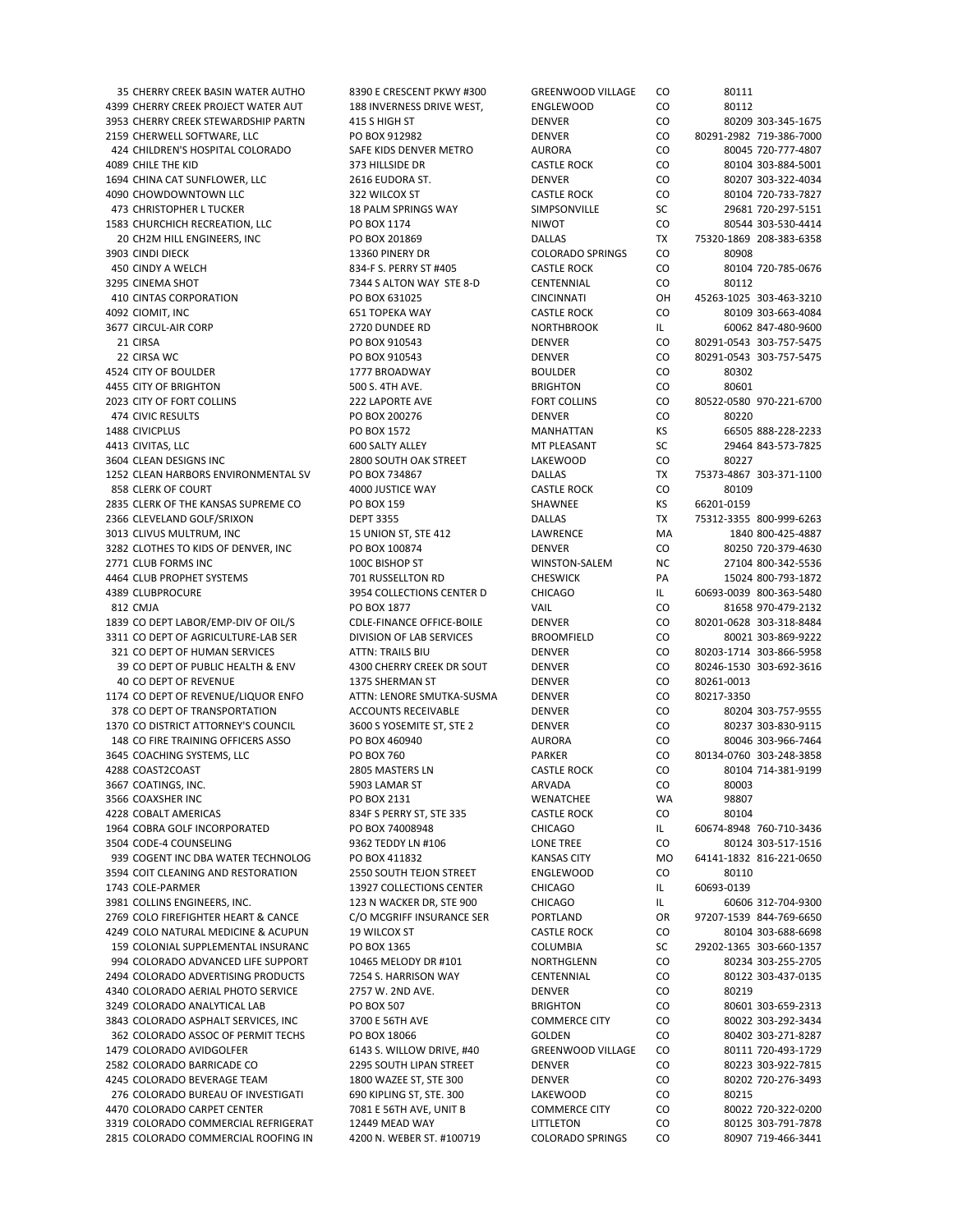35 CHERRY CREEK BASIN WATER AUTHO 8390 E CRESCENT PKWY #300 GREENWOOD VILLAGE CO 80111 4399 CHERRY CREEK PROJECT WATER AUT 188 INVERNESS DRIVE WEST, ENGLEWOOD CO 80112 3953 CHERRY CREEK STEWARDSHIP PARTN 415 S HIGH ST DENVER CO 80209 303‐345‐1675 2159 CHERWELL SOFTWARE, LLC PO BOX 912982 DENVER CO 80291‐2982 719‐386‐7000 424 CHILDREN'S HOSPITAL COLORADO SAFE KIDS DENVER METRO AURORA CO 80045 720‐777‐4807 4089 CHILE THE KID 373 HILLSIDE DR CASTLE ROCK CO 80104 303‐884‐5001 1694 CHINA CAT SUNFLOWER, LLC 2616 EUDORA ST. DENVER CO 80207 303‐322‐4034 4090 CHOWDOWNTOWN LLC 322 WILCOX ST CASTLE ROCK CO 80104 720‐733‐7827 473 CHRISTOPHER L TUCKER 18 PALM SPRINGS WAY SIMPSONVILLE SC 29681 720-297-5151 1583 CHURCHICH RECREATION, LLC PO BOX 1174 NIWOT CO 80544 303‐530‐4414 20 CH2M HILL ENGINEERS, INC PO BOX 201869 DALLAS TX 75320‐1869 208‐383‐6358 3903 CINDI DIECK **13360 PINERY DR** COLORADO SPRINGS CO 80908 450 CINDY A WELCH 834 F S. PERRY ST #405 CASTLE ROCK CO 80104 720-785-0676 3295 CINEMA SHOT 7344 S ALTON WAY STE 8‐D CENTENNIAL CO 80112 410 CINTAS CORPORATION PO BOX 631025 CINCINNATI OH 45263‐1025 303‐463‐3210 4092 CIOMIT, INC 651 TOPEKA WAY CASTLE ROCK CO 80109 303‐663‐4084 3677 CIRCUL‐AIR CORP 2720 DUNDEE RD NORTHBROOK IL 60062 847‐480‐9600 21 CIRSA PO BOX 910543 DENVER CO 80291‐0543 303‐757‐5475 22 CIRSA WC PO BOX 910543 DENVER CO 80291‐0543 303‐757‐5475 4524 CITY OF BOULDER 1777 BROADWAY BOULDER CO 80302 4455 CITY OF BRIGHTON 500 S. 4TH AVE. BRIGHTON CO 80601 2023 CITY OF FORT COLLINS 222 LAPORTE AVE FORT COLLINS CO 80522‐0580 970‐221‐6700 474 CIVIC RESULTS PO BOX 200276 DENVER CO 80220 1488 CIVICPLUS PO BOX 1572 MANHATTAN KS 66505 888‐228‐2233 er 113 CIVITAS, LLC 600 SALTY ALLEY MT PLEASANT SC 29464 843-573-7825 3604 CLEAN DESIGNS INC 2800 SOUTH OAK STREET LAKEWOOD CO 80227 1252 CLEAN HARBORS ENVIRONMENTAL SV PO BOX 734867 DALLAS TX 75373‐4867 303‐371‐1100 858 CLERK OF COURT **4000 JUSTICE WAY** CASTLE ROCK CO 80109 2835 CLERK OF THE KANSAS SUPREME CO PO BOX 159 SHAWNEE SHAWNEE KS 66201-0159 2366 CLEVELAND GOLF/SRIXON DEPT 3355 DALLAS TX 75312‐3355 800‐999‐6263 3013 CLIVUS MULTRUM, INC 15 UNION ST, STE 412 LAWRENCE MA 1840 800‐425‐4887 3282 CLOTHES TO KIDS OF DENVER, INC PO BOX 100874 DENVER DENVER CO 80250 720‐379‐4630<br>2771 CLUB FORMS INC 27104 800‐342‐5536 2020 2710 100C BISHOP ST NUNISTON‐SALEM NC 27104 800‐342‐5536 2771 CLUB FORMS INC 1000 ALCOMODISHOP ST WINSTON‐SALEM NC 27104 800‐342‐5536 4464 CLUB PROPHET SYSTEMS 701 RUSSELLTON RD CHESWICK PA 15024 800‐793‐1872 4389 CLUBPROCURE 3954 COLLECTIONS CENTER D CHICAGO IL 60693-0039 800-363-5480 812 CMJA PO BOX 1877 VAIL CO 81658 970‐479‐2132 1839 CO DEPT LABOR/EMP‐DIV OF OIL/S CDLE‐FINANCE OFFICE‐BOILE DENVER CO 80201‐0628 303‐318‐8484 3311 CO DEPT OF AGRICULTURE-LAB SER DIVISION OF LAB SERVICES BROOMFIELD CO 80021 303-869-9222 321 CO DEPT OF HUMAN SERVICES ATTN: TRAILS BIU DENVER DENVER CO 80203-1714 303-866-5958 39 CO DEPT OF PUBLIC HEALTH & ENV 4300 CHERRY CREEK DR SOUT DENVER CO 80246‐1530 303‐692‐3616 40 CO DEPT OF REVENUE 1375 SHERMAN ST DENVER CO 80261‐0013 1174 CO DEPT OF REVENUE/LIQUOR ENFO ATTN: LENORE SMUTKA‐SUSMA DENVER CO 80217‐3350 378 CO DEPT OF TRANSPORTATION ACCOUNTS RECEIVABLE DENVER CO 80204 303‐757‐9555 1370 CO DISTRICT ATTORNEY'S COUNCIL 3600 S YOSEMITE ST, STE 2 DENVER CO 80237 303-830-9115 148 CO FIRE TRAINING OFFICERS ASSO PO BOX 460940 AURORA CO 80046 303‐966‐7464 3645 COACHING SYSTEMS, LLC PO BOX 760 PARKER CO 80134‐0760 303‐248‐3858 4288 COAST2COAST 2805 MASTERS LN CASTLE ROCK CO 80104 714‐381‐9199 3667 COATINGS, INC. 5903 LAMAR ST ARVADA CO 80003 3566 COAXSHER INC PO BOX 2131 WENATCHEE WA 98807 4228 COBALT AMERICAS 834F S PERRY ST, STE 335 CASTLE ROCK CO 80104 1964 COBRA GOLF INCORPORATED PO BOX 74008948 CHICAGO IL 60674‐8948 760‐710‐3436 3504 CODE‐4 COUNSELING 9362 TEDDY LN #106 LONE TREE CO 80124 303‐517‐1516 939 COGENT INC DBA WATER TECHNOLOG PO BOX 411832 KANSAS CITY MO 64141-1832 816-221-0650 3594 COIT CLEANING AND RESTORATION 2550 SOUTH TEJON STREET ENGLEWOOD CO 80110 3981 COLLINS ENGINEERS, INC. 123 N WACKER DR, STE 900 CHICAGO IL 60606 312‐704‐9300 2769 COLO FIREFIGHTER HEART & CANCE C/O MCGRIFF INSURANCE SER PORTLAND OR 97207‐1539 844‐769‐6650 4249 COLO NATURAL MEDICINE & ACUPUN 19 WILCOX ST CASTLE ROCK CO 80104 303‐688‐6698 159 COLONIAL SUPPLEMENTAL INSURANC PO BOX 1365 COLUMBIA SC 29202‐1365 303‐660‐1357 994 COLORADO ADVANCED LIFE SUPPORT 10465 MELODY DR #101 NORTHGLENN CO 80234 303-255-2705 2494 COLORADO ADVERTISING PRODUCTS 7254 S. HARRISON WAY CENTENNIAL CO 80122 303‐437‐0135 4340 COLORADO AERIAL PHOTO SERVICE 2757 W. 2ND AVE. DENVER CO 80219 3249 COLORADO ANALYTICAL LAB PO BOX 507 BRIGHTON CO 80601 303‐659‐2313 3843 COLORADO ASPHALT SERVICES, INC 3700 E 56TH AVE COMMERCE CITY CO 80022 303‐292‐3434 362 COLORADO ASSOC OF PERMIT TECHS PO BOX 18066 GOLDEN CO 80402 303‐271‐8287 1479 COLORADO AVIDGOLFER 6143 S. WILLOW DRIVE, #40 GREENWOOD VILLAGE CO 80111 720‐493‐1729 2582 COLORADO BARRICADE CO 2295 SOUTH LIPAN STREET DENVER CO 80223 303‐922‐7815 4245 COLORADO BEVERAGE TEAM 1800 WAZEE ST, STE 300 DENVER CO 80202 720‐276‐3493 276 COLORADO BUREAU OF INVESTIGATI 690 KIPLING ST, STE. 300 LAKEWOOD CO 80215 4470 COLORADO CARPET CENTER 7081 E 56TH AVE, UNIT B COMMERCE CITY CO 80022 720-322-0200 3319 COLORADO COMMERCIAL REFRIGERAT 12449 MEAD WAY LITTLETON CO 80125 303-791-7878<br>12815 COLORADO COMMERCIAL ROOFING IN 4200 N. WEBER ST. #100719 COLORADO SPRINGS CO 80907 719-466-3441 2815 COLORADO COMMERCIAL ROOFING IN 4200 N. WEBER ST. #100719 COLORADO SPRINGS CO 80907 719‐466‐3441

13927 COLLECTIONS CENTER CHICAGO IL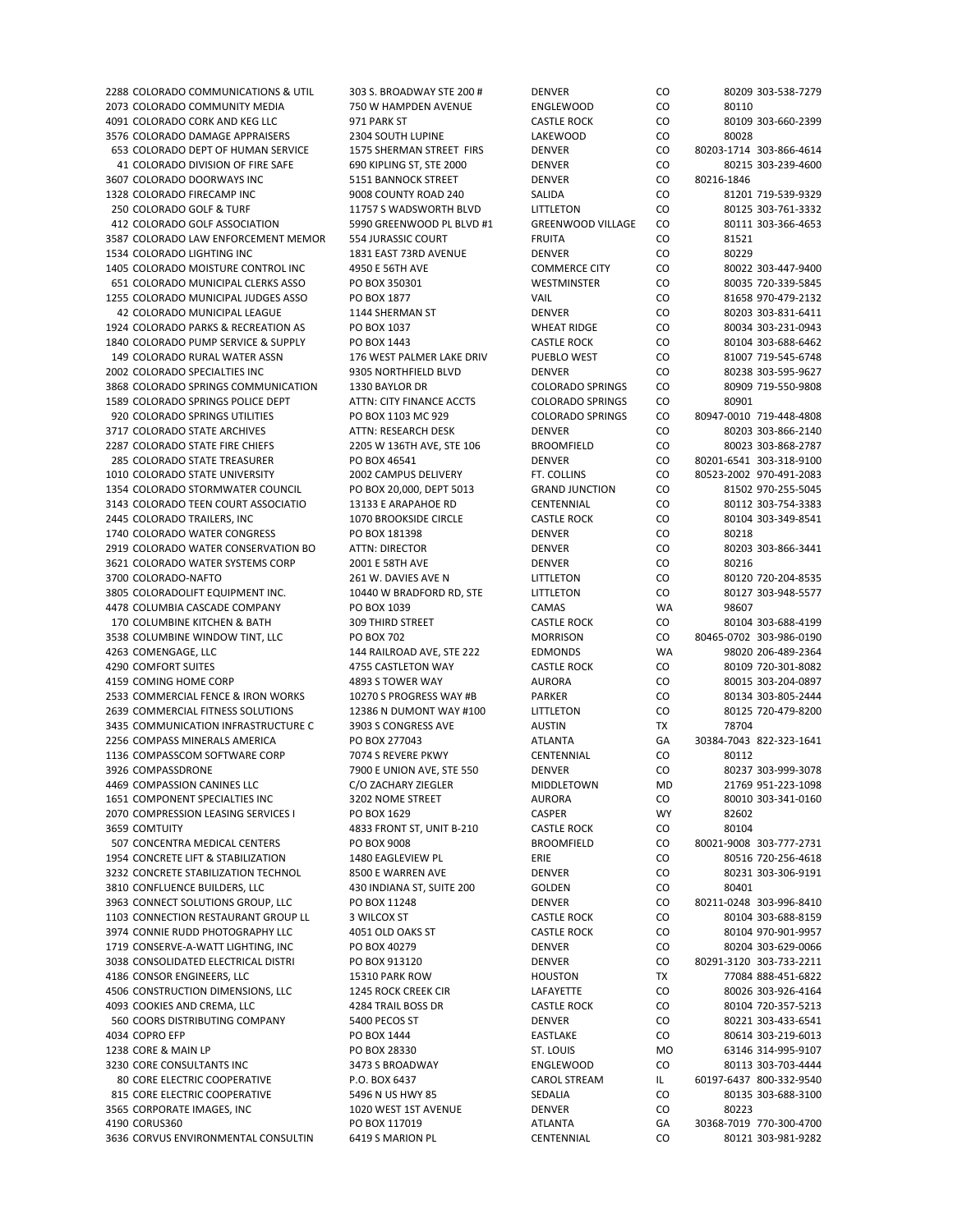2288 COLORADO COMMUNICATIONS & UTIL 303 S. BROADWAY STE 200 # DENVER CO 80209 303 2073 COLORADO COMMUNITY MEDIA  $750$  W HAMPDEN AVENUE ENGLEWOOD CO 4091 COLORADO CORK AND KEG LLC 971 PARK ST CASTLE ROCK CO 8010 80461 CO 3576 COLORADO DAMAGE APPRAISERS 2304 SOUTH LUPINE LAKEWOOD CO 653 COLORADO DEPT OF HUMAN SERVICE 1575 SHERMAN STREET FIRS DENVER CO 41 COLORADO DIVISION OF FIRE SAFE 690 KIPLING ST, STE 2000 DENVER CO 3607 COLORADO DOORWAYS INC 5151 BANNOCK STREET BENVER DENVER CO 1328 COLORADO FIRECAMP INC 9008 COUNTY ROAD 240 SALIDA SALIDA CO 250 COLORADO GOLF & TURF 11757 S WADSWORTH BLVD LITTLETON CO 412 COLORADO GOLF ASSOCIATION 5990 GREENWOOD PL BLVD #1 GREENWOOD VILLAGE CO 3587 COLORADO LAW ENFORCEMENT MEMOR 554 JURASSIC COURT FRUITA CO 81521 1534 COLORADO LIGHTING INC 1831 EAST 73RD AVENUE DENVER CO 80229 1405 COLORADO MOISTURE CONTROL INC 4950 E 56TH AVE COMMERCE CITY CO 651 COLORADO MUNICIPAL CLERKS ASSO PO BOX 350301 WESTMINSTER CO 1255 COLORADO MUNICIPAL JUDGES ASSO PO BOX 1877 VAIL VAIL VAIL CO 42 COLORADO MUNICIPAL LEAGUE 1144 SHERMAN ST BENVER DENVER CO 1924 COLORADO PARKS & RECREATION AS PO BOX 1037 WHEAT RIDGE CO 1840 COLORADO PUMP SERVICE & SUPPLY PO BOX 1443 CASTLE ROCK CO 149 COLORADO RURAL WATER ASSN 176 WEST PALMER LAKE DRIV PUEBLO WEST CO 2002 COLORADO SPECIALTIES INC 9305 NORTHFIELD BLVD DENVER CO 80238 303‐595‐9627 3868 COLORADO SPRINGS COMMUNICATION 1330 BAYLOR DR COLORADO SPRINGS CO 1589 COLORADO SPRINGS POLICE DEPT ATTN: CITY FINANCE ACCTS COLORADO SPRINGS CO 920 COLORADO SPRINGS UTILITIES PO BOX 1103 MC 929 COLORADO SPRINGS CO 3717 COLORADO STATE ARCHIVES ATTN: RESEARCH DESK DENVER DENVER CO 2287 COLORADO STATE FIRE CHIEFS 2205 W 136TH AVE. STE 106 BROOMFIELD CO 285 COLORADO STATE TREASURER PO BOX 46541 DENVER DENVER CO 1010 COLORADO STATE UNIVERSITY 2002 CAMPUS DELIVERY FT. COLLINS CO 1354 COLORADO STORMWATER COUNCIL PO BOX 20.000, DEPT 5013 GRAND JUNCTION CO 3143 COLORADO TEEN COURT ASSOCIATIO 13133 E ARAPAHOE RD CENTENNIAL CO 2445 COLORADO TRAILERS, INC 2002 BROOKSIDE CIRCLE CASTLE ROCK CO 80104 30345 1740 COLORADO WATER CONGRESS PO BOX 181398 DENVER DENVER CO 2919 COLORADO WATER CONSERVATION BO ATTN: DIRECTOR DENVER DENVER CO 3621 COLORADO WATER SYSTEMS CORP 2001 E 58TH AVE DENVER DENVER CO 3700 COLORADO‐NAFTO 261 W. DAVIES AVE N LITTLETON CO 3805 COLORADOLIFT EQUIPMENT INC. 10440 W BRADFORD RD, STE LITTLETON CO 4478 COLUMBIA CASCADE COMPANY PO BOX 1039 CAMAS CAMAS WA 170 COLUMBINE KITCHEN & BATH 309 THIRD STREET CASTLE ROCK CO 3538 COLUMBINE WINDOW TINT, LLC PO BOX 702 MORRISON CO 4263 COMENGAGE, LLC 144 RAILROAD AVE, STE 222 EDMONDS WA 4290 COMFORT SUITES 4755 CASTLETON WAY CASTLE ROCK CO 80109 720‐301‐8082 4159 COMING HOME CORP 4893 S TOWER WAY AURORA CO 2533 COMMERCIAL FENCE & IRON WORKS 10270 S PROGRESS WAY #B PARKER CO 80134 3036 2639 COMMERCIAL FITNESS SOLUTIONS 12386 N DUMONT WAY #100 LITTLETON CO 3435 COMMUNICATION INFRASTRUCTURE C 3903 S CONGRESS AVE AUSTIN AUSTROVERSE 2256 COMPASS MINERALS AMERICA PO BOX 277043 ATLANTA 30384 ATLANTA 3256 1136 COMPASSCOM SOFTWARE CORP 7074 S REVERE PKWY CENTENNIAL CO 3926 COMPASSDRONE 7900 E UNION AVE, STE 550 DENVER CO 80237 303‐999‐3078 4469 COMPASSION CANINES LLC C/O ZACHARY ZIEGLER MIDDLETOWN MD 1651 COMPONENT SPECIALTIES INC 3202 NOME STREET AURORA CO 2070 COMPRESSION LEASING SERVICES I PO BOX 1629 CASPER CASPER 3659 COMTUITY **A833 FRONT ST, UNIT B-210** CASTLE ROCK CO 80104 CASTLE ROCK 507 CONCENTRA MEDICAL CENTERS PO BOX 9008 BROOMFIELD CO 1954 CONCRETE LIFT & STABILIZATION 1480 EAGLEVIEW PL BRIE ERIE ERIE CO 3232 CONCRETE STABILIZATION TECHNOL 8500 E WARREN AVE DENVER DENVER CO 2310 CONFLUENCE BUILDERS, LLC 430 INDIANA ST, SUITE 200 3810 CONFLUENCE BUILDERS, LLC 430 INDIANA ST, SUITE 200 GOLDEN GOLDEN CO 3963 CONNECT SOLUTIONS GROUP, LLC PO BOX 11248 DENVER DENVER CO 1103 CONNECTION RESTAURANT GROUP LL 3 WILCOX ST CASTLE ROCK CO 3974 CONNIE RUDD PHOTOGRAPHY LLC 4051 OLD OAKS ST CASTLE ROCK CO 1719 CONSERVE-A-WATT LIGHTING, INC PO BOX 40279 DENVER DENVER CO 3038 CONSOLIDATED ELECTRICAL DISTRI PO BOX 913120 DENVER DENVER CO 4186 CONSOR ENGINEERS, LLC 15310 PARK ROW HOUSTON TX 4506 CONSTRUCTION DIMENSIONS, LLC 1245 ROCK CREEK CIR LAFAYETTE CO 80026 303‐926‐4164 4093 COOKIES AND CREMA, LLC 4284 TRAIL BOSS DR CASTLE ROCK CO 560 COORS DISTRIBUTING COMPANY 5400 PECOS ST STONER DENVER CO 4034 COPRO EFP PO BOX 1444 PO BOX 1444 EASTLAKE CO 80614 303-219-6013 1238 CORE & MAIN LP **PO BOX 28330** ST. LOUIS MC 3230 CORE CONSULTANTS INC 3473 S BROADWAY ENGLEWOOD CO 80113 303‐703‐4444 80 CORE ELECTRIC COOPERATIVE **P.O. BOX 6437** CAROL STREAM IL 815 CORE ELECTRIC COOPERATIVE 5496 N US HWY 85 SEDALIA SEDALIA CO 3565 CORPORATE IMAGES, INC 1020 WEST 1ST AVENUE DENVER CO 80223 4190 CORUS360 PO BOX 117019 ATLANTA GA 30368‐7019 770‐300‐4700 3636 CORVUS ENVIRONMENTAL CONSULTIN 6419 S MARION PL CENTENNIAL CO 80121 2012

|   |            | 80209 303-538-7279                            |  |              |
|---|------------|-----------------------------------------------|--|--------------|
|   |            | 80110                                         |  |              |
|   |            | 80109 303-660-2399<br>80028                   |  |              |
|   |            | 80203-1714 303-866-4614                       |  |              |
|   |            | 80215 303-239-4600                            |  |              |
|   | 80216-1846 |                                               |  |              |
|   |            | 81201 719-539-9329                            |  |              |
|   |            | 80125 303-761-3332                            |  |              |
|   |            | 80111 303-366-4653                            |  |              |
|   |            | 81521                                         |  |              |
|   |            | 80229                                         |  |              |
|   |            | 80022 303-447-9400<br>80035 720-339-5845      |  |              |
|   |            | 81658 970-479-2132                            |  |              |
|   |            | 80203 303-831-6411                            |  |              |
|   |            | 80034 303-231-0943                            |  |              |
|   |            | 80104 303-688-6462                            |  |              |
|   |            | 81007 719-545-6748                            |  |              |
|   |            | 80238 303-595-9627                            |  |              |
|   |            | 80909 719-550-9808                            |  |              |
|   |            | 80901                                         |  |              |
|   |            | 80947-0010 719-448-4808                       |  |              |
|   |            | 80203 303-866-2140                            |  |              |
|   |            | 80023 303-868-2787<br>80201-6541 303-318-9100 |  |              |
|   |            | 80523-2002 970-491-2083                       |  |              |
|   |            | 81502 970-255-5045                            |  |              |
|   |            | 80112 303-754-3383                            |  |              |
|   |            | 80104 303-349-8541                            |  |              |
|   |            | 80218                                         |  |              |
|   |            | 80203 303-866-3441                            |  |              |
|   |            | 80216                                         |  |              |
|   |            | 80120 720-204-8535                            |  |              |
|   |            | 80127 303-948-5577                            |  |              |
| ١ |            | 98607                                         |  |              |
|   |            | 80104 303-688-4199<br>80465-0702              |  | 303-986-0190 |
| Í |            | 98020 206-489-2364                            |  |              |
|   |            | 80109 720-301-8082                            |  |              |
|   |            | 80015 303-204-0897                            |  |              |
|   |            | 80134 303-805-2444                            |  |              |
|   |            | 80125 720-479-8200                            |  |              |
|   |            | 78704                                         |  |              |
|   |            | 30384-7043 822-323-1641                       |  |              |
|   |            | 80112                                         |  |              |
|   |            | 80237 303-999-3078                            |  |              |
| ) |            | 21769 951-223-1098<br>80010 303-341-0160      |  |              |
|   |            | 82602                                         |  |              |
|   |            | 80104                                         |  |              |
|   |            | 80021-9008 303-777-2731                       |  |              |
|   |            | 80516 720-256-4618                            |  |              |
|   |            | 80231 303-306-9191                            |  |              |
|   |            | 80401                                         |  |              |
|   |            | 80211-0248 303-996-8410                       |  |              |
|   |            | 80104 303-688-8159                            |  |              |
|   |            | 80104 970-901-9957                            |  |              |
|   |            | 80204 303-629-0066<br>80291-3120 303-733-2211 |  |              |
|   |            | 77084 888-451-6822                            |  |              |
|   |            | 80026 303-926-4164                            |  |              |
|   |            | 80104 720-357-5213                            |  |              |
|   |            | 80221 303-433-6541                            |  |              |
|   |            | 80614 303-219-6013                            |  |              |
| ) |            | 63146 314-995-9107                            |  |              |
|   |            | 80113 303-703-4444                            |  |              |
|   |            | 60197-6437 800-332-9540                       |  |              |
|   |            | 80135 303-688-3100                            |  |              |
|   |            | 80223                                         |  |              |
|   |            | 30368-7019 770-300-4700<br>80121 303-981-9282 |  |              |
|   |            |                                               |  |              |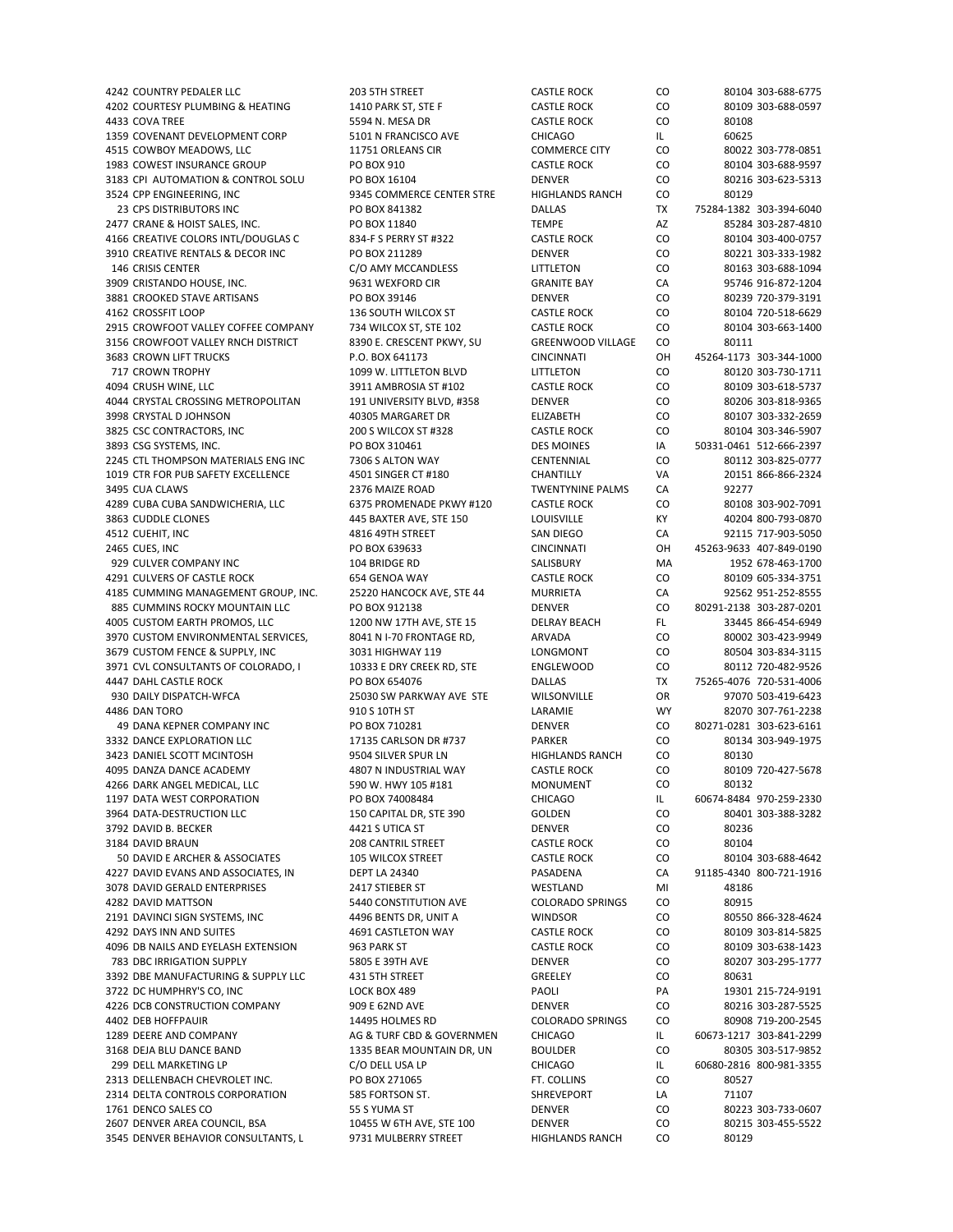4202 COURTESY PLUMBING & HEATING 1410 PARK ST, STE F CASTLE ROCK CO 80109 303-688-0597 4433 COVA TREE 5594 N. MESA DR CASTLE ROCK CO 80108 1359 COVENANT DEVELOPMENT CORP 5101 N FRANCISCO AVE CHICAGO CHICAGO IL 60625 4515 COWBOY MEADOWS, LLC **11751 ORLEANS CIR** COMMERCE CITY CO 80022 303-778-0851 1983 COWEST INSURANCE GROUP PO BOX 910 CASTLE ROCK CO 80104 303‐688‐9597 3183 CPI AUTOMATION & CONTROL SOLU PO BOX 16104 DENVER DENVER CO 80216 303-623-5313<br>3524 CPP ENGINEERING INC 9345 COMMERCE CENTER STRE HIGHI ANDS RANCH CO 80129 3524 CPP ENGINEERING, INC 9345 COMMERCE CENTER STRE HIGHLANDS RANCH CO 80129 23 CPS DISTRIBUTORS INC PO BOX 841382 DALLAS TX 75284‐1382 303‐394‐6040 2477 CRANE & HOIST SALES, INC. PO BOX 11840 TEMPE AZ 85284 303‐287‐4810 4166 CREATIVE COLORS INTL/DOUGLAS C 834‐F S PERRY ST #322 CASTLE ROCK CO 80104 303‐400‐0757 3910 CREATIVE RENTALS & DECOR INC PO BOX 211289 DENVER CO 80221 303‐333‐1982 146 CRISIS CENTER C/O AMY MCCANDLESS LITTLETON CO 80163 303‐688‐1094 3909 CRISTANDO HOUSE, INC. 9631 WEXFORD CIR GRANITE BAY CA 95746 916‐872‐1204 3881 CROOKED STAVE ARTISANS PO BOX 39146 DENVER CO 80239 720‐379‐3191 4162 CROSSFIT LOOP 136 SOUTH WILCOX ST CASTLE ROCK CO 80104 720-518-6629 2915 CROWFOOT VALLEY COFFEE COMPANY 734 WILCOX ST, STE 102 CASTLE ROCK CO 80104 303‐663‐1400 3156 CROWFOOT VALLEY RNCH DISTRICT 8390 E. CRESCENT PKWY, SU GREENWOOD VILLAGE CO 80111 3683 CROWN LIFT TRUCKS P.O. BOX 641173 CINCINNATI OH 45264‐1173 303‐344‐1000 717 CROWN TROPHY 1099 W. LITTLETON BLVD LITTLETON CO 80120 303‐730‐1711 4094 CRUSH WINE, LLC 3911 AMBROSIA ST #102 CASTLE ROCK CO 80109 303‐618‐5737 4044 CRYSTAL CROSSING METROPOLITAN 191 UNIVERSITY BLVD, #358 DENVER CO 80206 303‐818‐9365 3998 CRYSTAL D JOHNSON 40305 MARGARET DR ELIZABETH CO 80107 303‐332‐2659 3825 CSC CONTRACTORS, INC 200 S WILCOX ST #328 CASTLE ROCK CO 80104 303‐346‐5907 3893 CSG SYSTEMS, INC. PO BOX 310461 PO BOX 310461 DES MOINES AND SO331-0461 512‐666‐2397 2245 CTL THOMPSON MATERIALS ENG INC 7306 S ALTON WAY CENTENNIAL CO 80112 303‐825‐0777 1019 CTR FOR PUB SAFETY EXCELLENCE 4501 SINGER CT #180 CHANTILLY VA 20151 866‐866‐2324 3495 CUA CLAWS 2376 MAIZE ROAD TWENTYNINE PALMS CA 92277 4289 CUBA CUBA SANDWICHERIA, LLC 6375 PROMENADE PKWY #120 CASTLE ROCK CO 80108 303‐902‐7091 3863 CUDDLE CLONES 445 BAXTER AVE, STE 150 LOUISVILLE KY 40204 800‐793‐0870 4512 CUEHIT, INC 4816 49TH STREET SAN DIEGO CA 92115 717‐903‐5050 2465 CUES, INC PO BOX 639633 CINCINNATI OH 45263‐9633 407‐849‐0190 929 CULVER COMPANY INC 104 BRIDGE RD SALISBURY MA 4291 CULVERS OF CASTLE ROCK 654 GENOA WAY CASTLE ROCK CO 80109 605‐334‐3751 4185 CUMMING MANAGEMENT GROUP, INC. 25220 HANCOCK AVE, STE 44 MURRIETA CA 92562 951‐252‐8555 885 CUMMINS ROCKY MOUNTAIN LLC PO BOX 912138 DENVER CO 80291‐2138 303‐287‐0201 4005 CUSTOM EARTH PROMOS, LLC 1200 NW 17TH AVE, STE 15 DELRAY BEACH FL 33445 866-454-6949 3970 CUSTOM ENVIRONMENTAL SERVICES, 8041 N I-70 FRONTAGE RD, ARVADA CO 80002 303-423-9949 3679 CUSTOM FENCE & SUPPLY, INC 3031 HIGHWAY 119 LONGMONT CO 80504 303‐834‐3115 3971 CVL CONSULTANTS OF COLORADO, I 10333 E DRY CREEK RD, STE ENGLEWOOD CO 80112 720-482-9526 4447 DAHL CASTLE ROCK PO BOX 654076 DALLAS TX 75265‐4076 720‐531‐4006 930 DAILY DISPATCH‐WFCA 25030 SW PARKWAY AVE STE WILSONVILLE OR 97070 503‐419‐6423 4486 DAN TORO 910 S 10TH ST LARAMIE WY 82070 307‐761‐2238 49 DANA KEPNER COMPANY INC PO BOX 710281 DENVER CO 80271‐0281 303‐623‐6161 3332 DANCE EXPLORATION LLC **17135 CARLSON DR #737** PARKER CO 80134 303‐949‐1975 3423 DANIEL SCOTT MCINTOSH 9504 SILVER SPUR LN HIGHLANDS RANCH CO 80130 4095 DANZA DANCE ACADEMY 4807 N INDUSTRIAL WAY CASTLE ROCK CO 80109 720‐427‐5678 4266 DARK ANGEL MEDICAL, LLC 590 W. HWY 105 #181 MONUMENT CO 80132 1197 DATA WEST CORPORATION PO BOX 74008484 CHICAGO IL 60674‐8484 970‐259‐2330 3964 DATA‐DESTRUCTION LLC 150 CAPITAL DR, STE 390 GOLDEN CO 80401 303‐388‐3282 3792 DAVID B. BECKER 4421 S UTICA ST DENVER CO 80236 3184 DAVID BRAUN 208 CANTRIL STREET CASTLE ROCK CO 80104 50 DAVID E ARCHER & ASSOCIATES 105 WILCOX STREET CASTLE ROCK CO 80104 303-688-4642 4227 DAVID EVANS AND ASSOCIATES, IN DEPT LA 24340 PASADENA CA 91185‐4340 800‐721‐1916<br>1978 DAVID GERALD ENTERPRISES 2417 STIEBER STNAR STAR STAND MI 48186 3078 DAVID GERALD ENTERPRISES 4282 DAVID MATTSON 5440 CONSTITUTION AVE COLORADO SPRINGS CO 80915 2191 DAVINCI SIGN SYSTEMS, INC 4496 BENTS DR, UNIT A WINDSOR CO 80550 866‐328‐4624 4292 DAYS INN AND SUITES 4691 CASTLETON WAY CASTLE ROCK CO 80109 303‐814‐5825 4096 DB NAILS AND EYELASH EXTENSION 963 PARK ST CASTLE ROCK CO 80109 303‐638‐1423 783 DBC IRRIGATION SUPPLY 5805 E 39TH AVE DENVER CO 80207 303‐295‐1777 3392 DBE MANUFACTURING & SUPPLY LLC 431 5TH STREET GREELEY GREELEY CO 80631 3722 DC HUMPHRY'S CO, INC LOCK BOX 489 PAOLI PA 19301 215‐724‐9191 4226 DCB CONSTRUCTION COMPANY 909 E 62ND AVE DENVER CO 80216 303‐287‐5525 4402 DEB HOFFPAUIR 14495 HOLMES RD COLORADO SPRINGS CO 80908 719‐200‐2545 1289 DEERE AND COMPANY **AG & TURF CBD & GOVERNMEN** CHICAGO IL 60673-1217 303-841-2299 3168 DEJA BLU DANCE BAND 1335 BEAR MOUNTAIN DR, UN BOULDER CO 80305 303‐517‐9852 299 DELL MARKETING LP C/O DELL USA LP CHICAGO IL 60680‐2816 800‐981‐3355 2313 DELLENBACH CHEVROLET INC. PO BOX 271065 FT. COLLINS 80527 2314 DELTA CONTROLS CORPORATION 585 FORTSON ST. SHREVEPORT LA 71107 1761 DENCO SALES CO 55 S YUMA ST DENVER CO 80223 303‐733‐0607 2607 DENVER AREA COUNCIL, BSA 10455 W 6TH AVE, STE 100 DENVER CO 80215 303‐455‐5522 3545 DENVER BEHAVIOR CONSULTANTS. L 9731 MULBERRY STREET HIGHLANDS RANCH CO 80129

4242 COUNTRY PEDALER LLC 203 5TH STREET CASTLE ROCK CO 80104 303‐688‐6775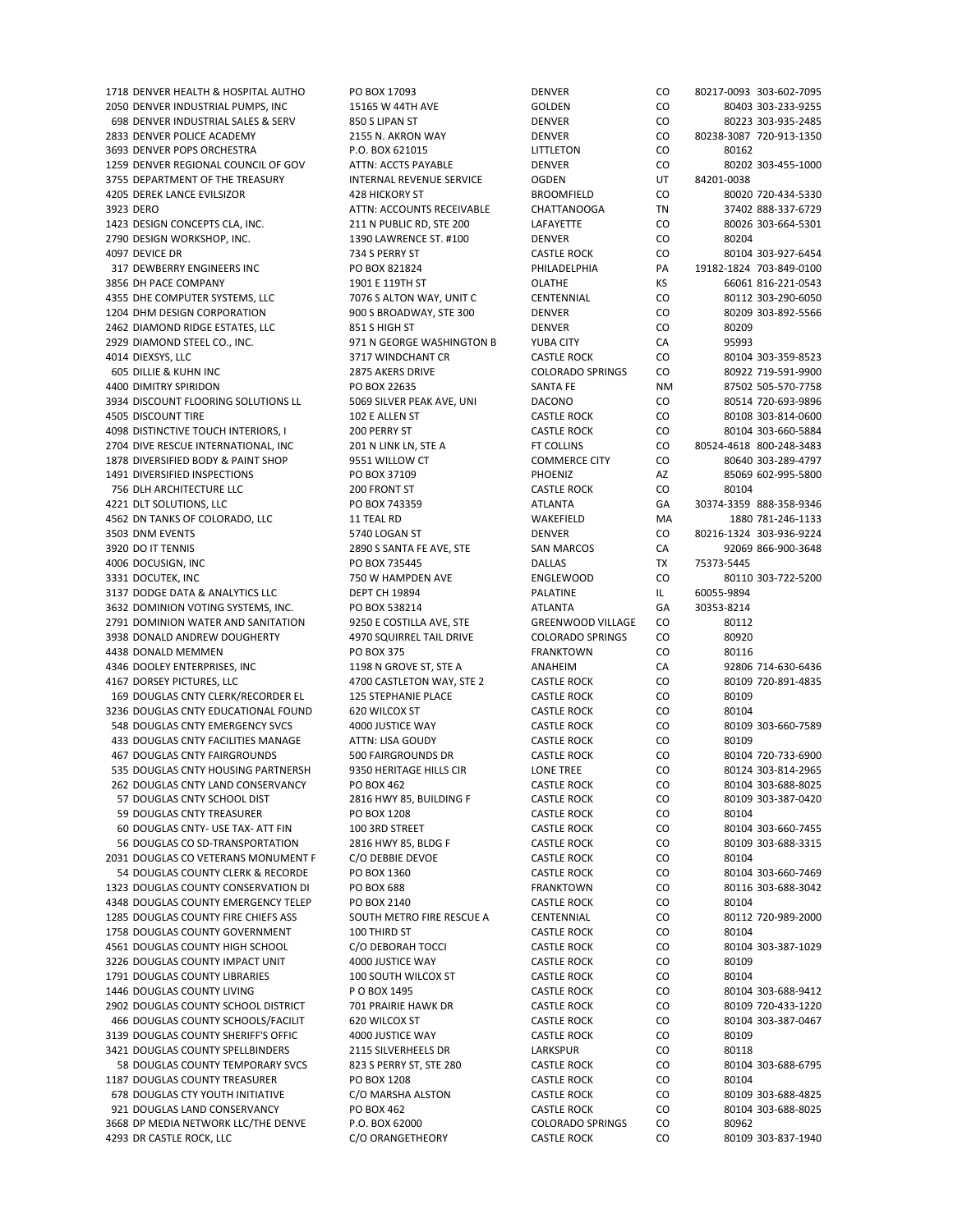2050 DENVER INDUSTRIAL PUMPS, INC 15165 W 44TH AVE GOLDEN CO 80403 303‐233‐9255 698 DENVER INDUSTRIAL SALES & SERV 850 S LIPAN ST DENVER CO 80223 303‐935‐2485 2833 DENVER POLICE ACADEMY 2155 N. AKRON WAY DENVER CO 80238‐3087 720‐913‐1350 3693 DENVER POPS ORCHESTRA P.O. BOX 621015 LITTLETON CO 80162 1259 DENVER REGIONAL COUNCIL OF GOV ATTN: ACCTS PAYABLE DENVER CO 80202 303‐455‐1000 3755 DEPARTMENT OF THE TREASURY INTERNAL REVENUE SERVICE OGDEN UT 84201‐0038 4205 DEREK LANCE EVILSIZOR 428 HICKORY ST BROOMFIELD CO 80020 720‐434‐5330 3923 DERO ATTN: ACCOUNTS RECEIVABLE CHATTANOOGA TN 37402 888‐337‐6729 1423 DESIGN CONCEPTS CLA, INC. 211 N PUBLIC RD, STE 200 LAFAYETTE CO 80026 303‐664‐5301 2790 DESIGN WORKSHOP, INC. 1390 LAWRENCE ST. #100 DENVER CO 80204 4097 DEVICE DR 734 S PERRY ST CASTLE ROCK CO 80104 303‐927‐6454 317 DEWBERRY ENGINEERS INC PO BOX 821824 PHILADELPHIA PA 19182‐1824 703‐849‐0100 3856 DH PACE COMPANY 1901 E 119TH ST COLATHE KS 66061 816-221-0543 4355 DHE COMPUTER SYSTEMS, LLC **7076 S ALTON WAY, UNIT C** CENTENNIAL CO 80112 303-290-6050 1204 DHM DESIGN CORPORATION 900 S BROADWAY, STE 300 DENVER CO 80209 303‐892‐5566 2462 DIAMOND RIDGE ESTATES, LLC 851 S HIGH ST DENVER CO 80209 2929 DIAMOND STEEL CO., INC. 971 N GEORGE WASHINGTON B YUBA CITY CA 95993 4014 DIEXSYS, LLC 3717 WINDCHANT CR CASTLE ROCK CO 80104 303‐359‐8523 605 DILLIE & KUHN INC 2875 AKERS DRIVE COLORADO SPRINGS CO 80922 719‐591‐9900 4400 DIMITRY SPIRIDON **READING PO BOX 22635** SANTA FE NM 87502 505‐570‐7758 3934 DISCOUNT FLOORING SOLUTIONS LL 5069 SILVER PEAK AVE, UNI DACONO CO 80514 720‐693‐9896 4505 DISCOUNT TIRE 102 E ALLEN ST CASTLE ROCK CO 80108 303‐814‐0600 ASTLE ROCK ASTLE ROCK CO 80108 303‐814‐0600 4098 DISTINCTIVE TOUCH INTERIORS, I 200 PERRY ST CASTLE ROCK CO 80104 303‐660‐5884 2704 DIVE RESCUE INTERNATIONAL. INC 201 N LINK LN. STE A FT COLLINS CO 80524-4618 800-248-3483 1878 DIVERSIFIED BODY & PAINT SHOP 9551 WILLOW CT COMMERCE CITY CO 80640 303‐289‐4797 1491 DIVERSIFIED INSPECTIONS PO BOX 37109 PHOENIZ AZ 85069 602‐995‐5800 756 DLH ARCHITECTURE LLC 200 FRONT ST CASTLE ROCK CO 80104 4221 DLT SOLUTIONS, LLC PO BOX 743359 ATLANTA GA 30374‐3359 888‐358‐9346 4562 DN TANKS OF COLORADO, LLC 11 TEAL RD WAKEFIELD MA 1880 781‐246‐1133 3503 DNM EVENTS 5740 LOGAN ST DENVER CO 80216‐1324 303‐936‐9224 3920 DO IT TENNIS 2890 S 2890 S SANTA FE AVE, STE SAN MARCOS CA 32069 866‐900‐3648 4006 DOCUSIGN, INC PO BOX 735445 DALLAS TX 75373‐5445 3331 DOCUTEK, INC **ALCURE AGE ARE ENGLEWOOD CO** 80110 303-722-5200 3137 DODGE DATA & ANALYTICS LLC DEPT CH 19894 PALATINE IL 60055‐9894 3632 DOMINION VOTING SYSTEMS, INC. PO BOX 538214 ATLANTA GA 30353‐8214 2791 DOMINION WATER AND SANITATION 9250 E COSTILLA AVE, STE GREENWOOD VILLAGE CO 80112 3938 DONALD ANDREW DOUGHERTY 4970 SQUIRREL TAIL DRIVE COLORADO SPRINGS CO 80920 4438 DONALD MEMMEN **PO BOX 375** FRANKTOWN CO 80116 4346 DOOLEY ENTERPRISES, INC 1198 N GROVE ST, STE A ANAHEIM CA 92806 714‐630‐6436 4167 DORSEY PICTURES, LLC 4700 CASTLETON WAY, STE 2 CASTLE ROCK CO 80109 720‐891‐4835 169 DOUGLAS CNTY CLERK/RECORDER EL 125 STEPHANIE PLACE CASTLE ROCK CO 80109 3236 DOUGLAS CNTY EDUCATIONAL FOUND 620 WILCOX ST CASTLE ROCK CO 80104 548 DOUGLAS CNTY EMERGENCY SVCS 4000 JUSTICE WAY CASTLE ROCK CO 80109 303‐660‐7589 433 DOUGLAS CNTY FACILITIES MANAGE ATTN: LISA GOUDY CASTLE ROCK CO 80109 467 DOUGLAS CNTY FAIRGROUNDS 500 FAIRGROUNDS DR CASTLE ROCK CO 80104 720‐733‐6900 535 DOUGLAS CNTY HOUSING PARTNERSH 9350 HERITAGE HILLS CIR LONE TREE CO 80124 303‐814‐2965 262 DOUGLAS CNTY LAND CONSERVANCY PO BOX 462 CASTLE ROCK CO 80104 303‐688‐8025 57 DOUGLAS CNTY SCHOOL DIST 2816 HWY 85, BUILDING F CASTLE ROCK CO 80109 303‐387‐0420 59 DOUGLAS CNTY TREASURER PO BOX 1208 CASTLE ROCK CO 80104 60 DOUGLAS CNTY‐ USE TAX‐ ATT FIN 100 3RD STREET CASTLE ROCK CO 80104 303‐660‐7455 56 DOUGLAS CO SD‐TRANSPORTATION 2816 HWY 85, BLDG F CASTLE ROCK CO 80109 303‐688‐3315 2031 DOUGLAS CO VETERANS MONUMENT F C/O DEBBIE DEVOE CASTLE ROCK CO 80104 54 DOUGLAS COUNTY CLERK & RECORDE PO BOX 1360 CONNECT CASTLE ROCK CONNECT 80104 303-660-7469 CASTLE ROCK CONNECT AND RECORDE PO BOX 688<br>CONNECT SOLUTY CONSERVATION DI PO BOX 688 CONNECT RANKTOWN CO 80116 303-688-3042 1323 DOUGLAS COUNTY CONSERVATION DI PO BOX 688 4348 DOUGLAS COUNTY EMERGENCY TELEP PO BOX 2140 CASTLE ROCK CO 80104 1285 DOUGLAS COUNTY FIRE CHIEFS ASS SOUTH METRO FIRE RESCUE A CENTENNIAL CO 80112 720-989-2000 1758 DOUGLAS COUNTY GOVERNMENT 100 THIRD ST CASTLE ROCK CO 80104 4561 DOUGLAS COUNTY HIGH SCHOOL C/O DEBORAH TOCCI CASTLE ROCK CO 80104 303‐387‐1029 3226 DOUGLAS COUNTY IMPACT UNIT 4000 JUSTICE WAY CASTLE ROCK CO 80109 1791 DOUGLAS COUNTY LIBRARIES 100 SOUTH WILCOX ST CASTLE ROCK CO 80104 1446 DOUGLAS COUNTY LIVING P O BOX 1495 CASTLE ROCK CO 80104 303‐688‐9412 2902 DOUGLAS COUNTY SCHOOL DISTRICT 701 PRAIRIE HAWK DR CASTLE ROCK CO 80109 720‐433‐1220 466 DOUGLAS COUNTY SCHOOLS/FACILIT 620 WILCOX ST CASTLE ROCK CO 80104 303‐387‐0467 3139 DOUGLAS COUNTY SHERIFF'S OFFIC 4000 JUSTICE WAY CASTLE ROCK CO 80109 3421 DOUGLAS COUNTY SPELLBINDERS 2115 SILVERHEELS DR LARKSPUR CO 80118 58 DOUGLAS COUNTY TEMPORARY SVCS 823 S PERRY ST, STE 280 CASTLE ROCK CO 80104 303‐688‐6795 1187 DOUGLAS COUNTY TREASURER PO BOX 1208 CASTLE ROCK CO 80104 678 DOUGLAS CTY YOUTH INITIATIVE C/O MARSHA ALSTON CASTLE ROCK CO 80109 303‐688‐4825 921 DOUGLAS LAND CONSERVANCY PO BOX 462 CASTLE ROCK CO 80104 303‐688‐8025 3668 DP MEDIA NETWORK LLC/THE DENVE P.O. BOX 62000 COLORADO SPRINGS CO 80962

4293 DR CASTLE ROCK, LLC C/O ORANGETHEORY CASTLE ROCK CO 80109 303‐837‐1940

1718 DENVER HEALTH & HOSPITAL AUTHO PO BOX 17093 DENVER CO 80217‐0093 303‐602‐7095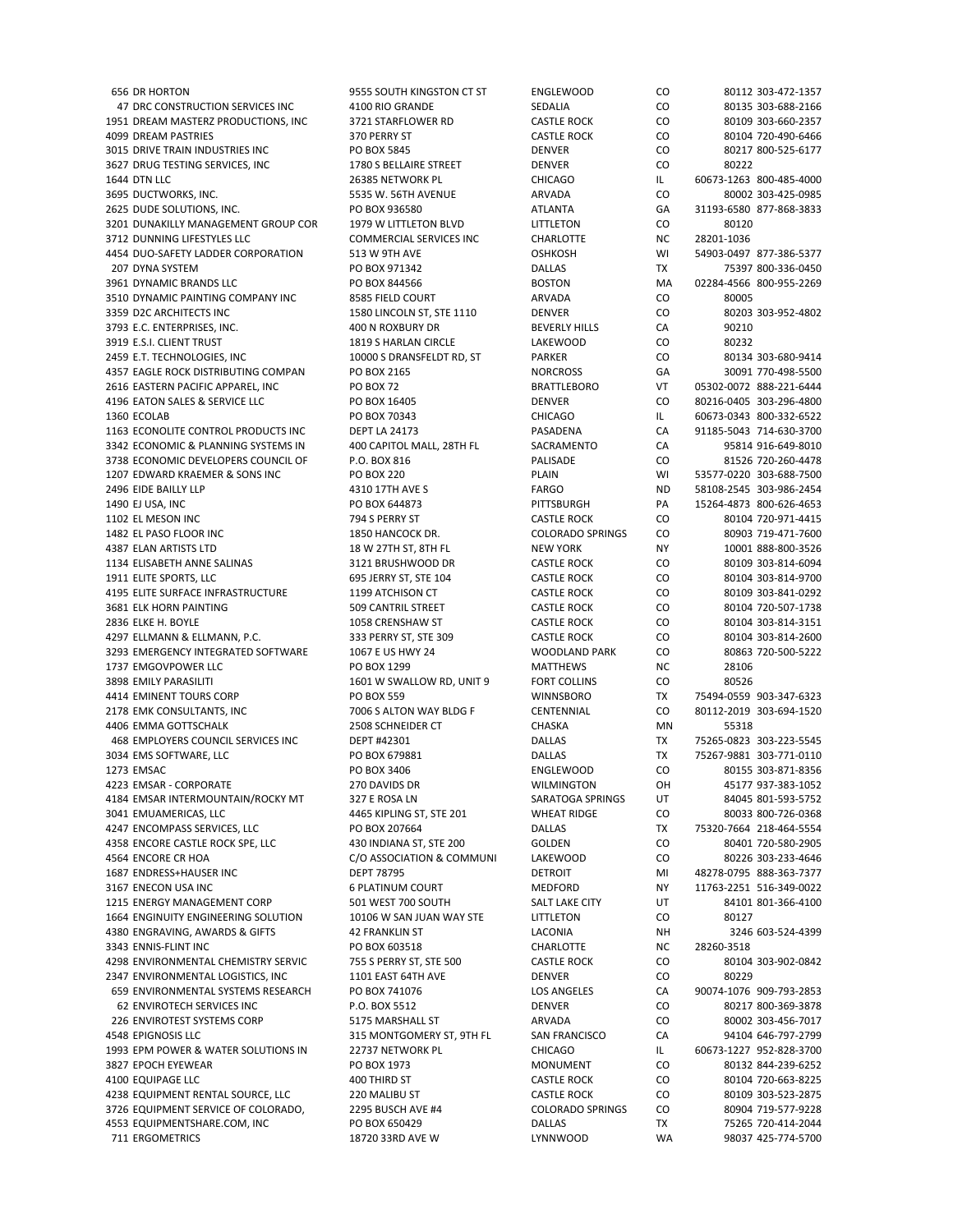656 DR HORTON 656 DR HORTON 9555 SOUTH KINGSTON CT ST AND ALLY SOUTH SOUTH SOUTH SOUTH SOUTH SOUTH SOUTH SOUTH<br>47 DRC CONSTRUCTION SERVICES INC 4100 RIO GRANDE SEDALIA CO 80135 303-688-2166 47 DRC CONSTRUCTION SERVICES INC 4100 RIO GRANDE SEDALIA CO 80135 303-688-2166 1951 DREAM MASTERZ PRODUCTIONS, INC 3721 STARFLOWER RD CASTLE ROCK CO 80109 303‐660‐2357 4099 DREAM PASTRIES 370 PERRY ST CASTLE ROCK CO 80104 720‐490‐6466 3015 DRIVE TRAIN INDUSTRIES INC PO BOX 5845 DENVER CO 80217 800‐525‐6177 3627 DRUG TESTING SERVICES, INC 1780 S BELLAIRE STREET DENVER CO 80222 1644 DTN LLC 26385 NETWORK PL CHICAGO IL 60673‐1263 800‐485‐4000 3695 DUCTWORKS, INC. 5535 W. 56TH AVENUE ARVADA CO 80002 303‐425‐0985 2625 DUDE SOLUTIONS, INC. PO BOX 936580 ATLANTA GA 31193‐6580 877‐868‐3833 3201 DUNAKILLY MANAGEMENT GROUP COR 1979 W LITTLETON BLVD LITTLETON CO 80120 3712 DUNNING LIFESTYLES LLC COMMERCIAL SERVICES INC CHARLOTTE NC 28201-1036 4454 DUO‐SAFETY LADDER CORPORATION 513 W 9TH AVE OSHKOSH WI 54903‐0497 877‐386‐5377 207 DYNA SYSTEM PO BOX 971342 DALLAS TX 75397 800‐336‐0450 3961 DYNAMIC BRANDS LLC PO BOX 844566 BOSTON MA 02284‐4566 800‐955‐2269 3510 DYNAMIC PAINTING COMPANY INC 8585 FIELD COURT ARVADA CO 80005 3359 D2C ARCHITECTS INC 1580 LINCOLN ST, STE 1110 DENVER CO 80203 303‐952‐4802 3793 E.C. ENTERPRISES, INC. 400 N ROXBURY DR BEVERLY HILLS CA 90210 3919 E.S.I. CLIENT TRUST 1819 S HARLAN CIRCLE LAKEWOOD CO 80232 2459 E.T. TECHNOLOGIES, INC 10000 S DRANSFELDT RD, ST PARKER CO 4357 EAGLE ROCK DISTRIBUTING COMPAN PO BOX 2165 NORCROSS GA GA 30091 770‐498‐5500 2616 EASTERN PACIFIC APPAREL, INC PO BOX 72 BRATTLEBORO VT 05302‐0072 888‐221‐6444 4196 EATON SALES & SERVICE LLC PO BOX 16405 DENVER CO 80216‐0405 303‐296‐4800 1360 ECOLAB PO BOX 70343 CHICAGO IL 60673‐0343 800‐332‐6522 1163 ECONOLITE CONTROL PRODUCTS INC DEPT LA 24173 PASADENA CA 91185‐5043 714‐630‐3700 3342 ECONOMIC & PLANNING SYSTEMS IN 400 CAPITOL MALL, 28TH FL SACRAMENTO CA 95814 916‐649‐8010 3738 ECONOMIC DEVELOPERS COUNCIL OF P.O. BOX 816 PALISADE PALISADE CO 81526 720-260-4478 1207 EDWARD KRAEMER & SONS INC PO BOX 220 PLAIN WI 53577‐0220 303‐688‐7500 2496 EIDE BAILLY LLP 4310 17TH AVE S FARGO ND 58108‐2545 303‐986‐2454 1490 EJ USA, INC PO BOX 644873 PITTSBURGH PA 15264‐4873 800‐626‐4653 1102 EL MESON INC 794 S PERRY ST CASTLE ROCK CO 80104 720‐971‐4415 1482 EL PASO FLOOR INC 1850 HANCOCK DR. COLORADO SPRINGS CO 80903 719‐471‐7600 4387 ELAN ARTISTS LTD 18 M 27TH ST, 8TH FL NEW YORK NY 10001 888-800-3526<br>1134 ELISABETH ANNE SALINAS 3121 BRUSHWOOD DR CASTLE ROCK CO 80109 303-814-6094 1134 ELISABETH ANNE SALINAS 3121 BRUSHWOOD DR CASTLE ROCK 1911 ELITE SPORTS, LLC 695 JERRY ST, STE 104 CASTLE ROCK CO 80104 303‐814‐9700 4195 ELITE SURFACE INFRASTRUCTURE 1199 ATCHISON CT CASTLE ROCK CO 80109 303‐841‐0292 3681 ELK HORN PAINTING 509 CANTRIL STREET CASTLE ROCK CO 80104 720‐507‐1738 2836 ELKE H. BOYLE 2058 CRENSHAW ST CASTLE ROCK CO 80104 303‐814‐3151 4297 ELLMANN & ELLMANN, P.C. 333 PERRY ST, STE 309 CASTLE ROCK CO 80104 303‐814‐2600 3293 EMERGENCY INTEGRATED SOFTWARE 1067 E US HWY 24 WOODLAND PARK CO 80863 720‐500‐5222 1737 EMGOVPOWER LLC 
28106 3898 EMILY PARASILITI **1601 W SWALLOW RD, UNIT 9** FORT COLLINS CO 80526 4414 EMINENT TOURS CORP PO BOX 559 WINNSBORO TX 75494‐0559 903‐347‐6323 2178 EMK CONSULTANTS, INC 7006 S ALTON WAY BLDG F CENTENNIAL CO 80112‐2019 303‐694‐1520 4406 EMMA GOTTSCHALK 2508 SCHNEIDER CT CHASKA MN 55318 468 EMPLOYERS COUNCIL SERVICES INC DEPT #42301 DALLAS TX 75265‐0823 303‐223‐5545 3034 EMS SOFTWARE, LLC PO BOX 679881 DALLAS TX 75267‐9881 303‐771‐0110 1273 EMSAC PO BOX 3406 ENGLEWOOD CO 80155 303‐871‐8356 4223 EMSAR ‐ CORPORATE 270 DAVIDS DR WILMINGTON OH 45177 937‐383‐1052 4184 EMSAR INTERMOUNTAIN/ROCKY MT 327 E ROSA LN SARATOGA SPRINGS UT 84045 801‐593‐5752 3041 EMUAMERICAS, LLC 4465 KIPLING ST, STE 201 WHEAT RIDGE CO 80033 800‐726‐0368 4247 ENCOMPASS SERVICES, LLC PO BOX 207664 DALLAS TX 75320‐7664 218‐464‐5554 4358 ENCORE CASTLE ROCK SPE, LLC 430 INDIANA ST, STE 200 GOLDEN CO 80401 720‐580‐2905 4564 ENCORE CR HOA COM COMSCOLATION & COMMUNI LAKEWOOD CO 800226 303-233-4646 1687 ENDRESS+HAUSER INC DEPT 78795 DETROIT MI 48278‐0795 888‐363‐7377 1215 ENERGY MANAGEMENT CORP 501 WEST 700 SOUTH SALT LAKE CITY UT 84101 801‐366‐4100 1664 ENGINUITY ENGINEERING SOLUTION 10106 W SAN JUAN WAY STE LITTLETON CO 80127 4380 ENGRAVING, AWARDS & GIFTS 42 FRANKLIN ST LACONIA NH 3246 603‐524‐4399 3343 ENNIS-FLINT INC **PO BOX 603518** CHARLOTTE NC 28260-3518 4298 ENVIRONMENTAL CHEMISTRY SERVIC 755 S PERRY ST, STE 500 CASTLE ROCK CO 80104 303‐902‐0842 2347 ENVIRONMENTAL LOGISTICS, INC 1101 EAST 64TH AVE DENVER DENVER CO 80229 659 ENVIRONMENTAL SYSTEMS RESEARCH PO BOX 741076 LOS ANGELES CA 90074‐1076 909‐793‐2853 62 ENVIROTECH SERVICES INC P.O. BOX 5512 DENVER CO 80217 800‐369‐3878 226 ENVIROTEST SYSTEMS CORP 5175 MARSHALL ST ARVADA CO 80002 303-456-7017 4548 EPIGNOSIS LLC 315 MONTGOMERY ST, 9TH FL SAN FRANCISCO CA 94104 646-797-2799 1993 EPM POWER & WATER SOLUTIONS IN 22737 NETWORK PL CHICAGO IL 60673‐1227 952‐828‐3700 3827 EPOCH EYEWEAR PO BOX 1973 MONUMENT CO 80132 844‐239‐6252 4100 EQUIPAGE LLC AND AND THIRD ST CASTLE ROCK CO 80104 720‐663‐8225 4238 EQUIPMENT RENTAL SOURCE, LLC 220 MALIBU ST CASTLE ROCK CO 80109 303‐523‐2875 3726 EQUIPMENT SERVICE OF COLORADO, 2295 BUSCH AVE #4 COLORADO SPRINGS CO 80904 719-577-9228 4553 EQUIPMENTSHARE.COM, INC PO BOX 650429 DALLAS TX 75265 720‐414‐2044 711 ERGOMETRICS 18720 33RD AVE W LYNNWOOD WA 98037 425‐774‐5700

11763-2251 516-349-0022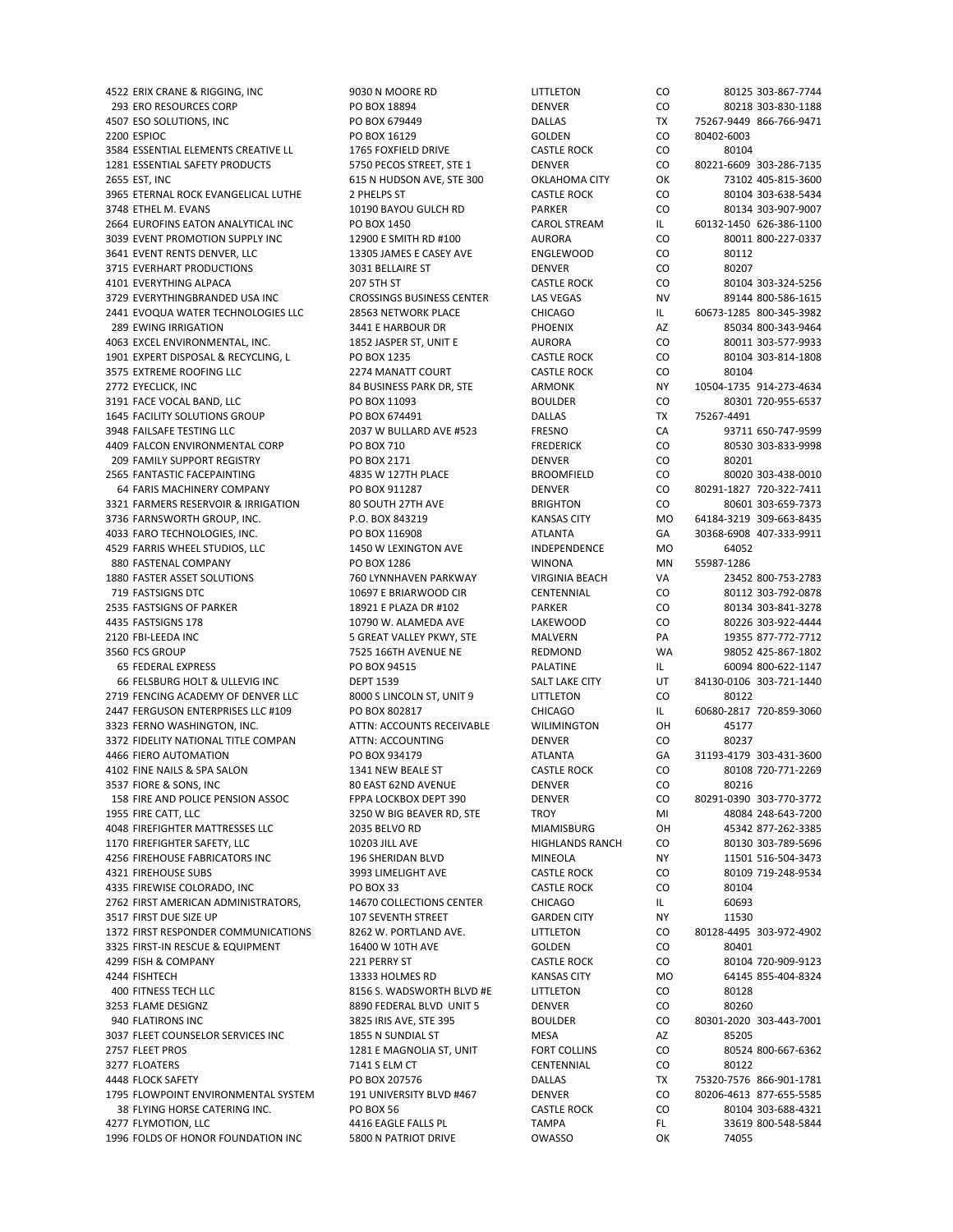293 ERO RESOURCES CORP PO BOX 18894 DENVER DENVER CO 80218 303-830-1188 4507 ESO SOLUTIONS, INC PO BOX 679449 DALLAS TX 75267‐9449 866‐766‐9471 2200 ESPIOC PO BOX 16129 GOLDEN CO 80402‐6003 3584 ESSENTIAL ELEMENTS CREATIVE LL 1765 FOXFIELD DRIVE CASTLE ROCK CO 80104 1281 ESSENTIAL SAFETY PRODUCTS 5750 PECOS STREET, STE 1 DENVER CO 80221‐6609 303‐286‐7135 2655 EST, INC 615 N HUDSON AVE, STE 300 OKLAHOMA CITY OK 73102 405‐815‐3600 3965 ETERNAL ROCK EVANGELICAL LUTHE 2 PHELPS ST CASTLE ROCK CO 80104 303‐638‐5434 3748 ETHEL M. EVANS 10190 BAYOU GULCH RD PARKER CO 80134 303‐907‐9007 2664 EUROFINS EATON ANALYTICAL INC PO BOX 1450 CAROL STREAM IL 60132‐1450 626‐386‐1100 3039 EVENT PROMOTION SUPPLY INC 12900 E SMITH RD #100 AURORA CO 80011 800‐227‐0337 3641 EVENT RENTS DENVER, LLC 13305 JAMES E CASEY AVE ENGLEWOOD CO 80112 3715 EVERHART PRODUCTIONS 3031 BELLAIRE ST DENVER CO 80207 4101 EVERYTHING ALPACA 207 5TH ST CASTLE ROCK CO 80104 303‐324‐5256 3729 EVERYTHINGBRANDED USA INC CROSSINGS BUSINESS CENTER LAS VEGAS NV 89144 800-586-1615 2441 EVOQUA WATER TECHNOLOGIES LLC 28563 NETWORK PLACE CHICAGO IL 60673‐1285 800‐345‐3982 289 EWING IRRIGATION 3441 E HARBOUR DR PHOENIX AZ 85034 800‐343‐9464 4063 EXCEL ENVIRONMENTAL, INC. 1852 JASPER ST, UNIT E AURORA CO 80011 303‐577‐9933 1901 EXPERT DISPOSAL & RECYCLING, L PO BOX 1235 CASTLE ROCK CO 80104 3146 3575 EXTREME ROOFING LLC 2274 MANATT COURT CASTLE ROCK CO 80104 2772 EYECLICK, INC 84 BUSINESS PARK DR, STE ARMONK NY 10504‐1735 914‐273‐4634 3191 FACE VOCAL BAND, LLC PO BOX 11093 BOULDER CO 80301 720‐955‐6537 1645 FACILITY SOLUTIONS GROUP PO BOX 674491 DALLAS TX 75267‐4491 3948 FAILSAFE TESTING LLC 2037 W BULLARD AVE #523 FRESNO CA 93711 650‐747‐9599 4409 FALCON ENVIRONMENTAL CORP PO BOX 710 FREDERICK CO 80530 303‐833‐9998 209 FAMILY SUPPORT REGISTRY PO BOX 2171 DENVER CO 80201 2565 FANTASTIC FACEPAINTING 4835 W 127TH PLACE BROOMFIELD CO 80020 303‐438‐0010 64 FARIS MACHINERY COMPANY PO BOX 911287 DENVER CO 80291‐1827 720‐322‐7411 3321 FARMERS RESERVOIR & IRRIGATION 80 SOUTH 27TH AVE BRIGHTON CO 80601 303-659-7373 3736 FARNSWORTH GROUP, INC. P.O. BOX 843219 KANSAS CITY MO 64184–3219 309-663-8435 4033 FARO TECHNOLOGIES, INC. PO BOX 116908 ATLANTA GA 30368‐6908 407‐333‐9911 4529 FARRIS WHEEL STUDIOS, LLC 1450 W LEXINGTON AVE INDEPENDENCE MO 64052 880 FASTENAL COMPANY PO BOX 1286 WINONA MN 1880 FASTER ASSET SOLUTIONS 760 LYNNHAVEN PARKWAY VIRGINIA BEACH VA 23452 800‐753‐2783 719 FASTSIGNS DTC 10697 E BRIARWOOD CIR CENTENNIAL CO 80112 303‐792‐0878 2535 FASTSIGNS OF PARKER 18921 E PLAZA DR #102 PARKER CO 80134 303‐841‐3278 4435 FASTSIGNS 178 10790 W. ALAMEDA AVE LAKEWOOD CO 80226 303‐922‐4444 2120 FBI‐LEEDA INC **SEREAT VALLEY PKWY, STE** MALVERN PA 19355 877-772-7712 3560 FCS GROUP 7525 166TH AVENUE NE REDMOND WA 98052 425-867-1802 65 FEDERAL EXPRESS PO BOX 94515 PALATINE IL 60094 800‐622‐1147 66 FELSBURG HOLT & ULLEVIG INC DEPT 1539 SALT LAKE CITY UT 84130‐0106 303‐721‐1440 2719 FENCING ACADEMY OF DENVER LLC 8000 S LINCOLN ST, UNIT 9 LITTLETON CO 80122 2447 FERGUSON ENTERPRISES LLC #109 PO BOX 802817 CHICAGO IL 60680‐2817 720‐859‐3060 3323 FERNO WASHINGTON, INC. ATTN: ACCOUNTS RECEIVABLE WILIMINGTON OH 45177 3372 FIDELITY NATIONAL TITLE COMPAN ATTN: ACCOUNTING ATTO DENVER CO 80237 4466 FIERO AUTOMATION PO BOX 934179 ATLANTA GA 31193‐4179 303‐431‐3600 4102 FINE NAILS & SPA SALON 1341 NEW BEALE ST CASTLE ROCK CO 80108 720‐771‐2269 3537 FIORE & SONS, INC 80 EAST 62ND AVENUE DENVER CO 80216 158 FIRE AND POLICE PENSION ASSOC FPPA LOCKBOX DEPT 390 DENVER CO 80291-0390 303-770-3772 1955 FIRE CATT, LLC 3250 W BIG BEAVER RD, STE TROY MI 48084 248‐643‐7200 4048 FIREFIGHTER MATTRESSES LLC 2035 BELVO RD MIAMISBURG OH 45342 877‐262‐3385 1170 FIREFIGHTER SAFETY, LLC 10203 JILL AVE HIGHLANDS RANCH CO 80130 303-789-5696 4256 FIREHOUSE FABRICATORS INC 196 SHERIDAN BLVD MINEOLA NY 11501 516‐504‐3473 4321 FIREHOUSE SUBS 3000 719-248-9534 3993 LIMELIGHT AVE CASTLE ROCK CO 80109 719-248-9534<br>335 FIREWISE COLORADO, INC PO BOX 33 CASTLE ROCK CO 80104 4335 FIREWISE COLORADO, INC PO BOX 33 2762 FIRST AMERICAN ADMINISTRATORS, 14670 COLLECTIONS CENTER CHICAGO IL 60693 3517 FIRST DUE SIZE UP 107 SEVENTH STREET GARDEN CITY NY 11530 1372 FIRST RESPONDER COMMUNICATIONS 8262 W. PORTLAND AVE. LITTLETON CO 80128‐4495 303‐972‐4902 3325 FIRST-IN RESCUE & EQUIPMENT 16400 W 10TH AVE GOLDEN GOLDEN CO 80401 4299 FISH & COMPANY 221 PERRY ST CASTLE ROCK CO 80104 720‐909‐9123 4244 FISHTECH 13333 HOLMES RD KANSAS CITY MO 64145 855‐404‐8324 400 FITNESS TECH LLC 8156 S. WADSWORTH BLVD #E LITTLETON CO 80128 3253 FLAME DESIGNZ 8890 FEDERAL BLVD UNIT 5 DENVER CO 80260 940 FLATIRONS INC 3825 IRIS AVE, STE 395 BOULDER CO 80301-2020 303-443-7001 3037 FLEET COUNSELOR SERVICES INC **1855 N SUNDIAL ST** 65205 MESA MESA AZ 85205 2757 FLEET PROS 1281 E MAGNOLIA ST, UNIT FORT COLLINS CO 80524 800-667-6362 3277 FLOATERS 7141 S ELM CT CENTENNIAL CO 80122 4448 FLOCK SAFETY PO BOX 207576 DALLAS TX 75320‐7576 866‐901‐1781 1795 FLOWPOINT ENVIRONMENTAL SYSTEM 191 UNIVERSITY BLVD #467 DENVER CO 80206-4613 877-655-5585 38 FLYING HORSE CATERING INC. PO BOX 56 CASTLE ROCK CO 80104 303-688-4321 4277 FLYMOTION, LLC 4416 EAGLE FALLS PL TAMPA FL 33619 800‐548‐5844 1996 FOLDS OF HONOR FOUNDATION INC 5800 N PATRIOT DRIVE OWASSO OK 74055

4522 ERIX CRANE & RIGGING, INC 9030 N MOORE RD LITTLETON CO 80125 303‐867‐7744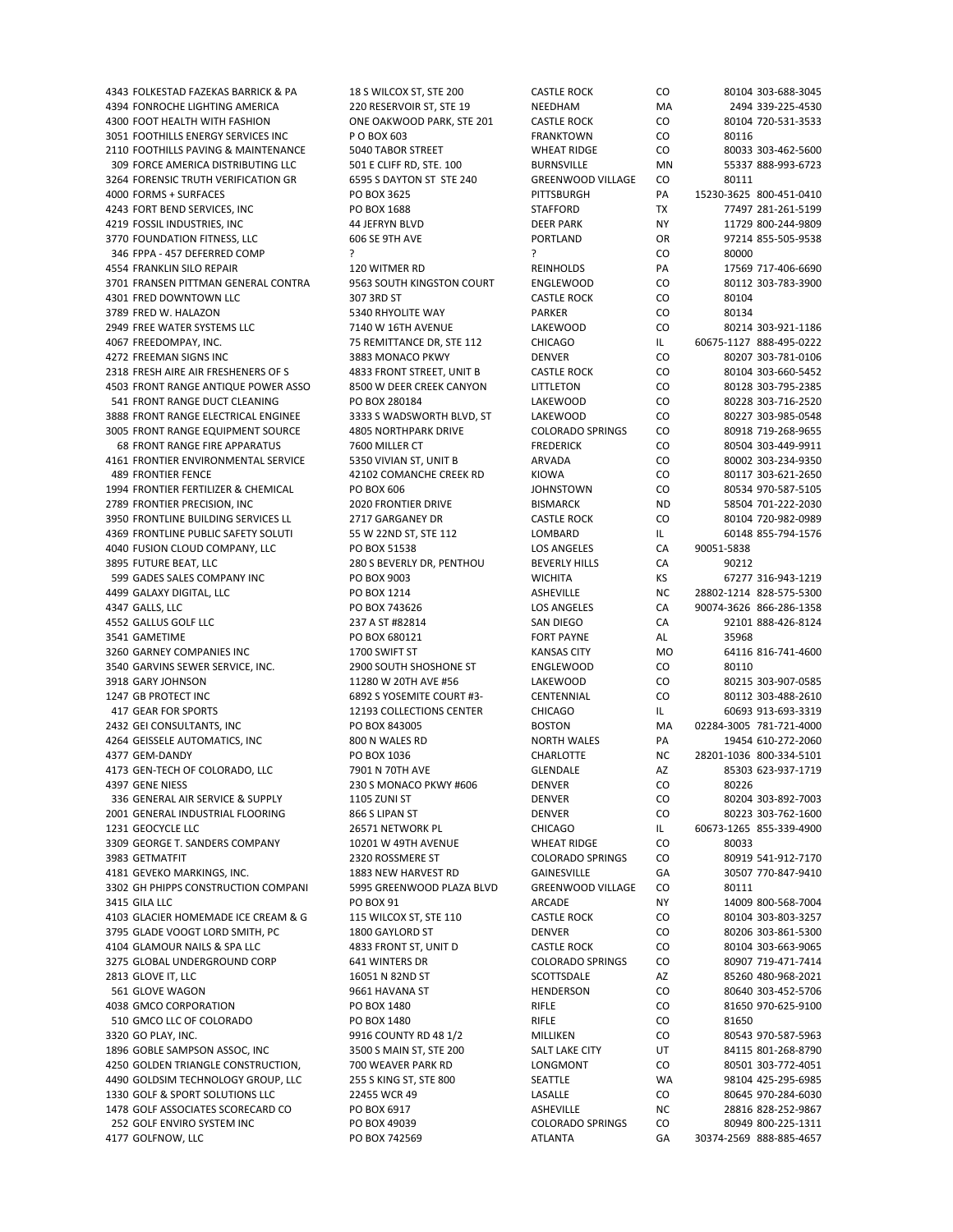4394 FONROCHE LIGHTING AMERICA 220 RESERVOIR ST, STE 19 NEEDHAM MA 2494 339-225-4530 4300 FOOT HEALTH WITH FASHION ONE OAKWOOD PARK, STE 201 CASTLE ROCK CO 80104 720‐531‐3533 3051 FOOTHILLS ENERGY SERVICES INC P O BOX 603 FRANKTOWN CO 80116 2110 FOOTHILLS PAVING & MAINTENANCE 5040 TABOR STREET WHEAT RIDGE CO 80033 303‐462‐5600 309 FORCE AMERICA DISTRIBUTING LLC 501 E CLIFF RD, STE. 100 BURNSVILLE MN 55337 888-993-6723 3264 FORENSIC TRUTH VERIFICATION GR<br>
6595 S DAYTON ST STE 240 GREENWOOD VILLAGE CO 80111 4000 FORMS + SURFACES PO BOX 3625 PITTSBURGH PA 15230‐3625 800‐451‐0410 4243 FORT BEND SERVICES, INC PO BOX 1688 STAFFORD TX 77497 281-261-5199 4219 FOSSIL INDUSTRIES, INC 44 JEFRYN BLVD DEER PARK NY 11729 800‐244‐9809 3770 FOUNDATION FITNESS, LLC 606 SE 9TH AVE PORTLAND OR 97214 855‐505‐9538 346 FPPA ‐ 457 DEFERRED COMP ? ? CO 80000 4554 FRANKLIN SILO REPAIR 120 WITMER RD REINHOLDS PA 17569 717‐406‐6690 3701 FRANSEN PITTMAN GENERAL CONTRA 9563 SOUTH KINGSTON COURT ENGLEWOOD CO 80112 303‐783‐3900 4301 FRED DOWNTOWN LLC 307 3RD ST CASTLE ROCK CO 80104 3789 FRED W. HALAZON 60134 CO 60134 2949 FREE WATER SYSTEMS LLC 7140 W 16TH AVENUE LAKEWOOD CO 80214 303‐921‐1186 4067 FREEDOMPAY, INC. 75 REMITTANCE DR, STE 112 CHICAGO IL 60675‐1127 888‐495‐0222 4272 FREEMAN SIGNS INC 3883 MONACO PKWY DENVER CO 80207 303‐781‐0106 2318 FRESH AIRE AIR FRESHENERS OF S 4833 FRONT STREET, UNIT B CASTLE ROCK CO 80104 303‐660‐5452 4503 FRONT RANGE ANTIQUE POWER ASSO 8500 W DEER CREEK CANYON LITTLETON CO 80128 303‐795‐2385 541 FRONT RANGE DUCT CLEANING PO BOX 280184 LAKEWOOD CO 80228 303‐716‐2520 3888 FRONT RANGE ELECTRICAL ENGINEE 3333 S WADSWORTH BLVD, ST LAKEWOOD CO 80227 303‐985‐0548 3005 FRONT RANGE EQUIPMENT SOURCE 4805 NORTHPARK DRIVE COLORADO SPRINGS CO 80918 719‐268‐9655 68 FRONT RANGE FIRE APPARATUS 7600 MILLER CT FREDERICK CO 80504 303‐449‐9911 4161 FRONTIER ENVIRONMENTAL SERVICE 5350 VIVIAN ST, UNIT B ARVADA CO 80002 303‐234‐9350 489 FRONTIER FENCE 42102 COMANCHE CREEK RD KIOWA CO 80117 303-621-2650 1994 FRONTIER FERTILIZER & CHEMICAL PO BOX 606 JOHNSTOWN CO 80534 970‐587‐5105 2789 FRONTIER PRECISION, INC 2020 FRONTIER DRIVE BISMARCK ND 58504 701‐222‐2030 3950 FRONTLINE BUILDING SERVICES LL 2717 GARGANEY DR CASTLE ROCK CO 80104 720‐982‐0989 4369 FRONTLINE PUBLIC SAFETY SOLUTI 55 W 22ND ST, STE 112 LOMBARD IL 60148 855-794-1576 4040 FUSION CLOUD COMPANY, LLC PO BOX 51538 LOS ANGELES CA 90051‐5838 3895 FUTURE BEAT, LLC 280 S BEVERLY DR, PENTHOU BEVERLY HILLS CA 90212 599 GADES SALES COMPANY INC **PO BOX 9003** WICHITA KS 67277 316‐943‐1219 4499 GALAXY DIGITAL, LLC PO BOX 1214 ASHEVILLE NC 28802‐1214 828‐575‐5300 4347 GALLS, LLC PO BOX 743626 LOS ANGELES CA 90074‐3626 866‐286‐1358 4552 GALLUS GOLF LLC 237 A ST #82814 SAN DIEGO CA 92101 888‐426‐8124 3541 GAMETIME PO BOX 680121 FORT PAYNE AL 35968 3260 GARNEY COMPANIES INC 1700 SWIFT ST KANSAS CITY MO 64116 816‐741‐4600 3540 GARVINS SEWER SERVICE, INC. 2900 SOUTH SHOSHONE ST ENGLEWOOD CO 80110 3918 GARY JOHNSON 11280 W 20TH AVE #56 LAKEWOOD CO 80215 303‐907‐0585 1247 GB PROTECT INC 6892 S YOSEMITE COURT #3‐ CENTENNIAL CO 80112 303‐488‐2610 417 GEAR FOR SPORTS 12193 COLLECTIONS CENTER CHICAGO IL 60693 913-693-3319 2432 GEI CONSULTANTS, INC PO BOX 843005 BOSTON MA 02284‐3005 781‐721‐4000 4264 GEISSELE AUTOMATICS. INC 800 N WALES RD NORTH WALES RESERVED BY A 19454 610‐272‐2060 4377 GEM‐DANDY PO BOX 1036 CHARLOTTE NC 28201‐1036 800‐334‐5101 4173 GEN‐TECH OF COLORADO, LLC 7901 N 70TH AVE GLENDALE AZ 85303 623‐937‐1719 4397 GENE NIESS 230 S MONACO PKWY #606 DENVER CO 80226 336 GENERAL AIR SERVICE & SUPPLY 1105 ZUNI ST DENVER CO 80204 303‐892‐7003 2001 GENERAL INDUSTRIAL FLOORING 866 S LIPAN ST DENVER DENVER CO 80223 303-762-1600 1231 GEOCYCLE LLC 26571 NETWORK PL CHICAGO IL 60673‐1265 855‐339‐4900 3309 GEORGE T. SANDERS COMPANY 10201 W 49TH AVENUE WHEAT RIDGE CO 80033 3983 GETMATFIT 2320 ROSSMERE ST COLORADO SPRINGS CO 80919 541-912-7170 4181 GEVEKO MARKINGS, INC. 1883 NEW HARVEST RD GAINESVILLE GA 30507 770‐847‐9410 3302 GH PHIPPS CONSTRUCTION COMPANI 3415 GILA LLC PO BOX 91 ARCADE NY 14009 800‐568‐7004 4103 GLACIER HOMEMADE ICE CREAM & G 115 WILCOX ST, STE 110 CASTLE ROCK CO 80104 303‐803‐3257 3795 GLADE VOOGT LORD SMITH, PC 1800 GAYLORD ST DENVER DENVER CO 80206 303-861-5300 4104 GLAMOUR NAILS & SPA LLC 4833 FRONT ST, UNIT D CASTLE ROCK CO 80104 303‐663‐9065 3275 GLOBAL UNDERGROUND CORP 641 WINTERS DR COLORADO SPRINGS CO 80907 719-471-7414 2813 GLOVE IT, LLC 16051 N 82ND ST SCOTTSDALE AZ 85260 480‐968‐2021 561 GLOVE WAGON 9661 HAVANA ST HENDERSON CO 80640 303‐452‐5706 4038 GMCO CORPORATION PO BOX 1480 RIFLE CO 81650 970‐625‐9100 510 GMCO LLC OF COLORADO PO BOX 1480 RIFLE CO 81650 3320 GO PLAY, INC. 9916 COUNTY RD 48 1/2 MILLIKEN CO 80543 970‐587‐5963 1896 GOBLE SAMPSON ASSOC, INC 3500 S MAIN ST, STE 200 SALT LAKE CITY UT 84115 801-268-8790 4250 GOLDEN TRIANGLE CONSTRUCTION, 700 WEAVER PARK RD LONGMONT CO 80501 303‐772‐4051 4490 GOLDSIM TECHNOLOGY GROUP, LLC 255 S KING ST, STE 800 SEATTLE WA 98104 425‐295‐6985 1330 GOLF & SPORT SOLUTIONS LLC 22455 WCR 49 LASALLE CO 80645 970‐284‐6030 1478 GOLF ASSOCIATES SCORECARD CO PO BOX 6917 ASHEVILLE NC 28816 828‐252‐9867 252 GOLF ENVIRO SYSTEM INC PO BOX 49039 COLORADO SPRINGS CO 80949 800‐225‐1311 4177 GOLFNOW, LLC PO BOX 742569 ATLANTA GA 30374‐2569 888‐885‐4657

4343 FOLKESTAD FAZEKAS BARRICK & PA 18 S WILCOX ST, STE 200 CASTLE ROCK CO 80104 303‐688‐3045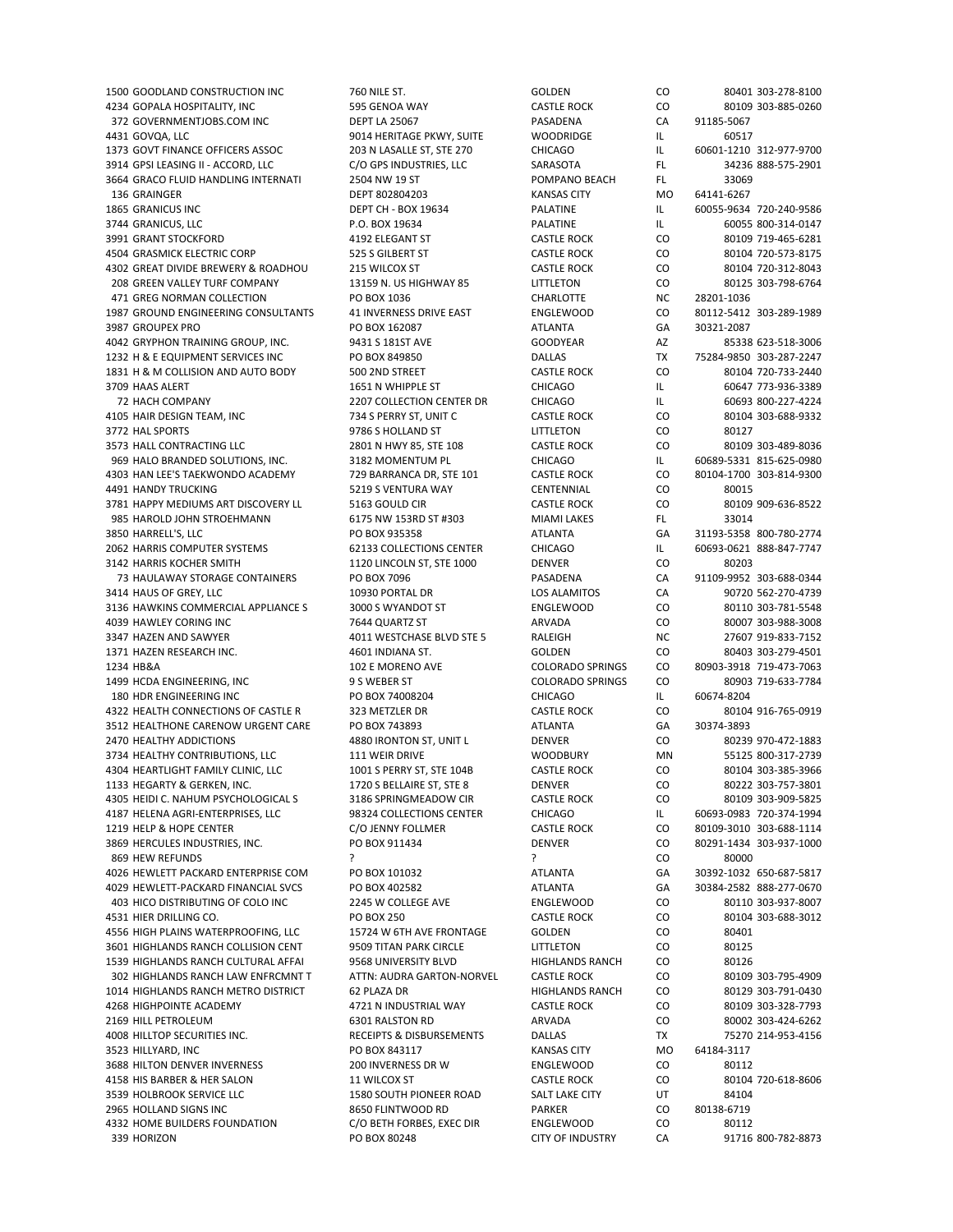4234 GOPALA HOSPITALITY, INC 595 GENOA WAY CASTLE ROCK CO 80109 303‐885‐0260 372 GOVERNMENTJOBS.COM INC DEPT LA 25067 PASADENA CA 91185‐5067 4431 GOVQA, LLC 9014 HERITAGE PKWY, SUITE WOODRIDGE IL 60517 1373 GOVT FINANCE OFFICERS ASSOC 203 N LASALLE ST, STE 270 CHICAGO IL 60601‐1210 312‐977‐9700 3914 GPSI LEASING II – ACCORD, LLC C/O GPS INDUSTRIES, LLC SARASOTA FL 34236 888-575-2901 3664 GRACO FLUID HANDLING INTERNATI 2504 NW 19 ST POMPANO BEACH FL 33069 136 GRAINGER DEPT 802804203 KANSAS CITY MO 64141‐6267 1865 GRANICUS INC DEPT CH ‐ BOX 19634 PALATINE IL 60055‐9634 720‐240‐9586 3744 GRANICUS, LLC P.O. BOX 19634 PALATINE IL 60055 800‐314‐0147 3991 GRANT STOCKFORD 4192 ELEGANT ST CASTLE ROCK CO 80109 719‐465‐6281 4504 GRASMICK ELECTRIC CORP 525 S GILBERT ST CASTLE ROCK CO 80104 720‐573‐8175 4302 GREAT DIVIDE BREWERY & ROADHOU 215 WILCOX ST CASTLE ROCK CO 80104 720‐312‐8043 208 GREEN VALLEY TURF COMPANY 13159 N. US HIGHWAY 85 LITTLETON CO 80125 303‐798‐6764 471 GREG NORMAN COLLECTION PO BOX 1036 CHARLOTTE NC 28201-1036 1987 GROUND ENGINEERING CONSULTANTS 41 INVERNESS DRIVE EAST ENGLEWOOD CO 80112‐5412 303‐289‐1989 3987 GROUPEX PRO PO BOX 162087 ATLANTA GA 30321‐2087 4042 GRYPHON TRAINING GROUP, INC. 9431 S 181ST AVE GOODYEAR AZ 85338 623‐518‐3006 1232 H & E EQUIPMENT SERVICES INC PO BOX 849850 DALLAS TX 75284‐9850 303‐287‐2247 1831 H & M COLLISION AND AUTO BODY 500 2ND STREET CASTLE ROCK CO 80104 720-733-2440 3709 HAAS ALERT 1651 N MHIPPLE ST CHICAGO IL 60647 773‐936‐3389 72 HACH COMPANY 2207 COLLECTION CENTER DR CHICAGO IL 60693 800‐227‐4224 4105 HAIR DESIGN TEAM, INC 734 S PERRY ST, UNIT C CASTLE ROCK CO 80104 303‐688‐9332 3772 HAL SPORTS **100 CO** 80127 3573 HALL CONTRACTING LLC 2801 N HWY 85, STE 108 CASTLE ROCK CO 80109 303-489-8036<br>1382 S69 HALO BRANDED SOLUTIONS, INC. 3182 MOMENTUM PL CHICAGO I L 60689-5331 815-625-0980 969 HALO BRANDED SOLUTIONS, INC. 3182 MOMENTUM PL CHICAGO IL 60689‐5331 815‐625‐0980 4303 HAN LEE'S TAEKWONDO ACADEMY 729 BARRANCA DR, STE 101 CASTLE ROCK CO 80104‐1700 303‐814‐9300 4491 HANDY TRUCKING 5219 S VENTURA WAY CENTENNIAL CO 80015 3781 HAPPY MEDIUMS ART DISCOVERY LL 5163 GOULD CIR CASTLE ROCK CO 80109 909‐636‐8522 985 HAROLD JOHN STROEHMANN 6175 NW 153RD ST #303 MIAMI LAKES FL 33014 3850 HARRELL'S, LLC PO BOX 935358 ATLANTA GA 31193‐5358 800‐780‐2774 2062 HARRIS COMPUTER SYSTEMS 62133 COLLECTIONS CENTER CHICAGO IL 60693-0621 888-847-7747<br>3142 HARRIS KOCHER SMITH 1120 LINCOLN ST STE 1000 DENVER CO 80203 3142 HARRIS KOCHER SMITH 1120 LINCOLN ST, STE 1000 DENVER CO 80203 73 HAULAWAY STORAGE CONTAINERS PO BOX 7096 PASADENA CA 91109‐9952 303‐688‐0344 3414 HAUS OF GREY, LLC 10930 PORTAL DR LOS ALAMITOS CA 90720 562‐270‐4739 3136 HAWKINS COMMERCIAL APPLIANCE S 3000 S WYANDOT ST ENGLEWOOD CO 80110 303-781-5548 4039 HAWLEY CORING INC 7644 QUARTZ ST ARVADA CO 80007 303‐988‐3008 3347 HAZEN AND SAWYER **ADDER AND SAWYER AND SAMEL AND STE S** RALEIGH NC 27607 919-833-7152 1371 HAZEN RESEARCH INC. 4601 INDIANA ST. GOLDEN CO 80403 303‐279‐4501 1234 HB&A 102 E MORENO AVE COLORADO SPRINGS CO 80903‐3918 719‐473‐7063 1499 HCDA ENGINEERING, INC 9 S WEBER ST COLORADO SPRINGS CO 80903 719‐633‐7784 180 HDR ENGINEERING INC PO BOX 74008204 CHICAGO IL 60674‐8204 4322 HEALTH CONNECTIONS OF CASTLE R 323 METZLER DR CASTLE ROCK CO 80104 916‐765‐0919 3512 HEALTHONE CARENOW URGENT CARE PO BOX 743893 ATLANTA GA 30374-3893 2470 HEALTHY ADDICTIONS 4880 IRONTON ST, UNIT L DENVER CO 80239 970‐472‐1883 3734 HEALTHY CONTRIBUTIONS, LLC 111 WEIR DRIVE WOODBURY MN 55125 800-317-2739 4304 HEARTLIGHT FAMILY CLINIC, LLC 1001 S PERRY ST, STE 104B CASTLE ROCK CO 80104 303‐385‐3966 1133 HEGARTY & GERKEN, INC. 1720 S BELLAIRE ST, STE 8 DENVER CO 80222 303‐757‐3801 4305 HEIDI C. NAHUM PSYCHOLOGICAL S 3186 SPRINGMEADOW CIR CASTLE ROCK CO 80109 303-909-5825 4187 HELENA AGRI‐ENTERPRISES, LLC 98324 COLLECTIONS CENTER CHICAGO IL 60693‐0983 720‐374‐1994 1219 HELP & HOPE CENTER CO CO SON CO CO CONTER CO CASTLE ROCK CO 80109‐3010 303‐688‐1114 3869 HERCULES INDUSTRIES, INC. PO BOX 911434 DENVER CO 80291‐1434 303‐937‐1000 869 HEW REFUNDS ? ? CO 80000 4026 HEWLETT PACKARD ENTERPRISE COM PO BOX 101032 ATLANTA GA 30392‐1032 650‐687‐5817<br>4029 HEWLETT-PACKARD FINANCIAL SVCS PO BOX 402582 ATLANTA GA 30384‐2582 888‐277‐0670 4029 HEWLETT-PACKARD FINANCIAL SVCS PO BOX 402582 ATLANTA 30381 ATLANTA 403 HICO DISTRIBUTING OF COLO INC 2245 W COLLEGE AVE ENGLEWOOD CO 80110 303‐937‐8007 4531 HIER DRILLING CO. PO BOX 250 CASTLE ROCK CO 80104 303‐688‐3012 4556 HIGH PLAINS WATERPROOFING, LLC 15724 W 6TH AVE FRONTAGE GOLDEN CO 80401 3601 HIGHLANDS RANCH COLLISION CENT 9509 TITAN PARK CIRCLE LITTLETON CO 80125 1539 HIGHLANDS RANCH CULTURAL AFFAI 9568 UNIVERSITY BLVD HIGHLANDS RANCH CO 80126 302 HIGHLANDS RANCH LAW ENFRCMNT T ATTN: AUDRA GARTON‐NORVEL CASTLE ROCK CO 80109 303‐795‐4909 1014 HIGHLANDS RANCH METRO DISTRICT 62 PLAZA DR HIGHLANDS RANCH CO 80129 303‐791‐0430 4268 HIGHPOINTE ACADEMY 4721 N INDUSTRIAL WAY CASTLE ROCK CO 80109 303‐328‐7793 2169 HILL PETROLEUM 6301 RALSTON RD ARVADA CO 80002 303‐424‐6262 4008 HILLTOP SECURITIES INC. RECEIPTS & DISBURSEMENTS DALLAS TX 75270 214‐953‐4156 3523 HILLYARD, INC PO BOX 843117 KANSAS CITY MO 64184‐3117 3688 HILTON DENVER INVERNESS 200 INVERNESS DR W ENGLEWOOD CO 80112 4158 HIS BARBER & HER SALON 11 WILCOX ST CASTLE ROCK CO 80104 720‐618‐8606 3539 HOLBROOK SERVICE LLC 2590 SOUTH PIONEER ROAD SALT LAKE CITY LIT 84104 2965 HOLLAND SIGNS INC 8650 FLINTWOOD RD PARKER CO 80138‐6719 4332 HOME BUILDERS FOUNDATION C/O BETH FORBES, EXEC DIR ENGLEWOOD CO 80112 339 HORIZON **PO BOX 80248** CITY OF INDUSTRY CA 91716 800-782-8873

1500 GOODLAND CONSTRUCTION INC 760 NILE ST. GOLDEN CO 80401 303‐278‐8100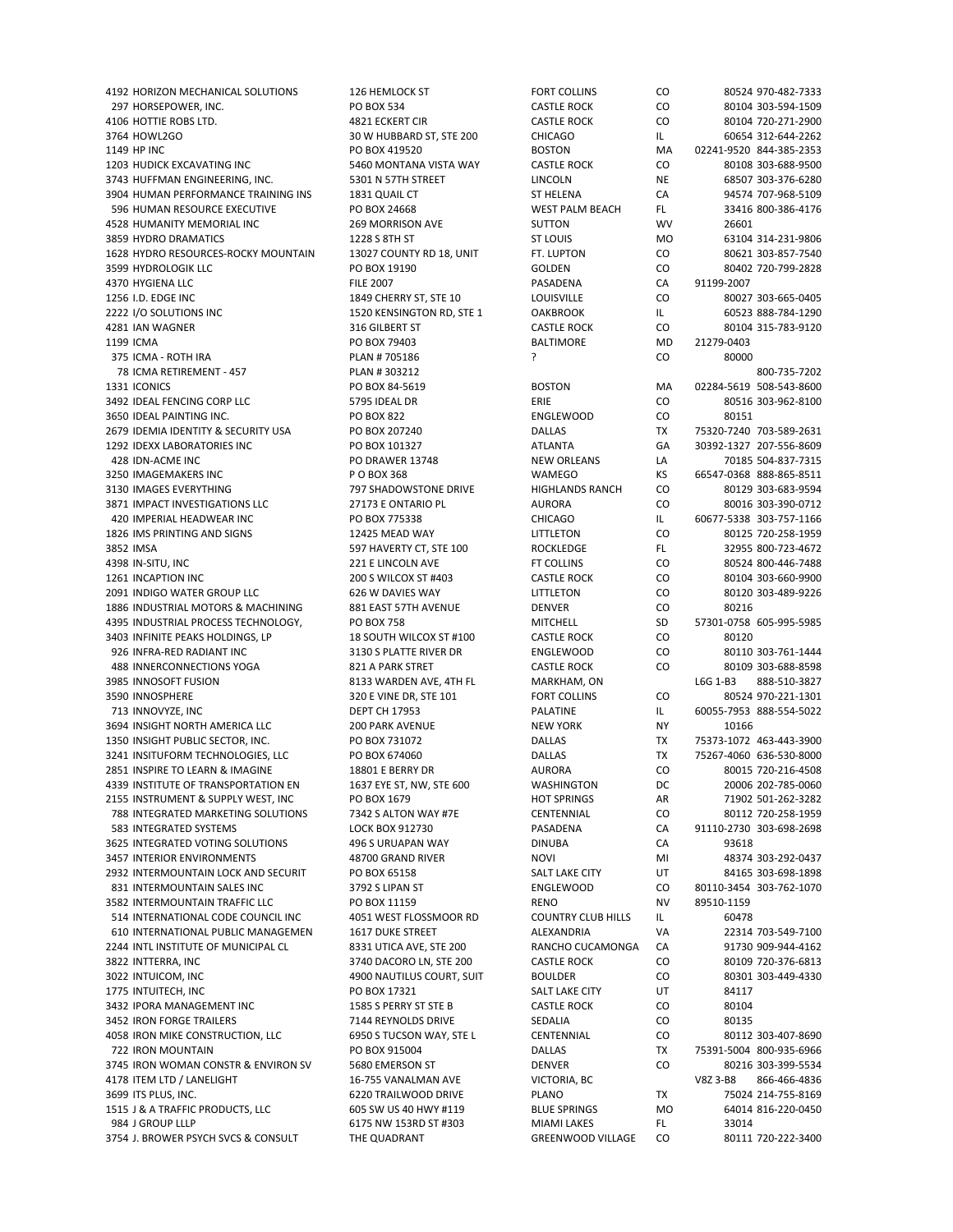297 HORSEPOWER, INC. PO BOX 534 CASTLE ROCK CO 80104 303-594-1509 4106 HOTTIE ROBS LTD. 4821 ECKERT CIR CASTLE ROCK CO 80104 720‐271‐2900 3764 HOWL2GO 30 W HUBBARD ST, STE 200 CHICAGO IL 60654 312‐644‐2262 1149 HP INC PO BOX 419520 BOSTON MA 02241‐9520 844‐385‐2353 1203 HUDICK EXCAVATING INC 5460 MONTANA VISTA WAY CASTLE ROCK CO 80108 303‐688‐9500 3743 HUFFMAN ENGINEERING, INC. 5301 N 57TH STREET LINCOLN NE 68507 303-376-6280 3904 HUMAN PERFORMANCE TRAINING INS 1831 OUAIL CT ST HELENA CA 94574 707‐968‐5109 596 HUMAN RESOURCE EXECUTIVE PO BOX 24668 WEST PALM BEACH FL 33416 800-386-4176 4528 HUMANITY MEMORIAL INC 269 MORRISON AVE SUTTON WV 26601 3859 HYDRO DRAMATICS 1228 S 8TH ST ST LOUIS MO 63104 314‐231‐9806 1628 HYDRO RESOURCES‐ROCKY MOUNTAIN 13027 COUNTY RD 18, UNIT FT. LUPTON CO 80621 303‐857‐7540 3599 HYDROLOGIK LLC PO BOX 19190 GOLDEN CO 80402 720‐799‐2828 4370 HYGIENA LLC FILE 2007 PASADENA CA 91199‐2007 1256 I.D. EDGE INC 1849 CHERRY ST, STE 10 LOUISVILLE CO 80027 303‐665‐0405 2222 I/O SOLUTIONS INC 1520 KENSINGTON RD, STE 1 OAKBROOK IL 60523 888-784-1290 4281 IAN WAGNER 316 GILBERT ST CASTLE ROCK CO 80104 315‐783‐9120 1199 ICMA PO BOX 79403 BALTIMORE MD 21279‐0403 375 ICMA ‐ ROTH IRA PLAN # 705186 ? CO 80000 78 ICMA RETIREMENT ‐ 457 PLAN # 303212 800‐735‐7202 1331 ICONICS PO BOX 84‐5619 BOSTON MA 02284‐5619 508‐543‐8600 3492 IDEAL FENCING CORP LLC 5795 IDEAL DR ERIE CO 80516 303‐962‐8100 3650 IDEAL PAINTING INC. PO BOX 822 ENGLEWOOD CO 80151 2679 IDEMIA IDENTITY & SECURITY USA PO BOX 207240 DALLAS TX 75320‐7240 703‐589‐2631 1292 IDEXX LABORATORIES INC PO BOX 101327 ATLANTA GA 30392‐1327 207‐556‐8609 428 IDN‐ACME INC PO DRAWER 13748 NEW ORLEANS LA 70185 504‐837‐7315 3250 IMAGEMAKERS INC P O BOX 368 WAMEGO KS 66547‐0368 888‐865‐8511 3130 IMAGES EVERYTHING 797 SHADOWSTONE DRIVE HIGHLANDS RANCH CO 80129 303‐683‐9594 3871 IMPACT INVESTIGATIONS LLC 27173 E ONTARIO PL AURORA CO 80016 303-390-0712 420 IMPERIAL HEADWEAR INC PO BOX 775338 CHICAGO IL 60677‐5338 303‐757‐1166 1826 IMS PRINTING AND SIGNS 12425 MEAD WAY LITTLETON CO 80125 720‐258‐1959 3852 IMSA 597 HAVERTY CT, STE 100 ROCKLEDGE FL 32955 800-723-4672 FL 532955 800-723-4672<br>398 IN-SITU, INC 600-446-7488 1211 ELINCOLN AVE FT COLLINS CO 80524 800-446-7488 1261 INCAPTION INC 200 S WILCOX ST #403 CASTLE ROCK CO 80104 303‐660‐9900 2091 INDIGO WATER GROUP LLC 626 W DAVIES WAY LITTLETON CO 80120 303-489-9226 1886 INDUSTRIAL MOTORS & MACHINING 881 EAST 57TH AVENUE DENVER CO 80216 4395 INDUSTRIAL PROCESS TECHNOLOGY. 
PO BOX 758 MITCHELL

PROCESS TECHNOLOGY CONTROL PROCESS TECHNOLOGY CONTROLS AND RESPONSIVE THE SUNTCHELL THE SUNTCHER SO STRING THE SUNTER SO STRING THE SUNTER SO STRING THE SUNTER SO S 3403 INFINITE PEAKS HOLDINGS, LP 18 SOUTH WILCOX ST #100 CASTLE ROCK CO 80120 926 INFRA‐RED RADIANT INC 3130 S PLATTE RIVER DR ENGLEWOOD CO 80110 303‐761‐1444 488 INNERCONNECTIONS YOGA 821 A PARK STRET CASTLE ROCK CO 80109 303‐688‐8598 3985 INNOSOFT FUSION 8133 WARDEN AVE, 4TH FL MARKHAM, ON L6G 1‐B3 888‐510‐3827 3590 INNOSPHERE 320 E VINE DR. STE 101 FORT COLLINS CO 80524 970‐221‐1301 713 INNOVYZE, INC DEPT CH 17953 PALATINE IL 60055‐7953 888‐554‐5022 3694 INSIGHT NORTH AMERICA LLC 200 PARK AVENUE NEW YORK NY 10166 1350 INSIGHT PUBLIC SECTOR, INC. PO BOX 731072 DALLAS TX 75373‐1072 463‐443‐3900 3241 INSITUFORM TECHNOLOGIES, LLC PO BOX 674060 DALLAS TX 75267‐4060 636‐530‐8000 2851 INSPIRE TO LEARN & IMAGINE 18801 E BERRY DR AURORA CO 80015 720‐216‐4508 4339 INSTITUTE OF TRANSPORTATION EN 1637 EYE ST, NW, STE 600 WASHINGTON DC 20006 202‐785‐0060 2155 INSTRUMENT & SUPPLY WEST, INC PO BOX 1679 HOT SPRINGS AR 71902 501-262-3282 788 INTEGRATED MARKETING SOLUTIONS 7342 S ALTON WAY #7E CENTENNIAL CO 80112 720‐258‐1959 583 INTEGRATED SYSTEMS LOCK BOX 912730 PASADENA CA 91110‐2730 303‐698‐2698 3625 INTEGRATED VOTING SOLUTIONS 496 S URUAPAN WAY DINUBA CA 93618 3457 INTERIOR ENVIRONMENTS 48700 GRAND RIVER NOVI NOVI MI 48374 303‐292‐0437 2932 INTERMOUNTAIN LOCK AND SECURIT PO BOX 65158 SALT LAKE CITY UT 84165 303‐698‐1898 831 INTERMOUNTAIN SALES INC 3582 INTERMOUNTAIN TRAFFIC LLC 
PO BOX 11159 
RENO 
RENO 
NV
89510-1159 514 INTERNATIONAL CODE COUNCIL INC 4051 WEST FLOSSMOOR RD COUNTRY CLUB HILLS IL 60478<br>610 INTERNATIONAL PUBLIC MANAGEMEN 1617 DUKE STREET ALEXANDRIA VA 22314 703-549-7100 610 INTERNATIONAL PUBLIC MANAGEMEN 1617 DUKE STREET ALEXANDRIA VA 2244 INTL INSTITUTE OF MUNICIPAL CL 8331 UTICA AVE, STE 200 RANCHO CUCAMONGA CA 91730 909‐944‐4162 3822 INTTERRA, INC 3740 DACORO LN, STE 200 CASTLE ROCK CO 80109 720‐376‐6813 3022 INTUICOM, INC 4900 NAUTILUS COURT, SUIT BOULDER CO 80301 303‐449‐4330 1775 INTUITECH, INC 84117 **PO BOX 17321** SALT LAKE CITY UT 84117 3432 IPORA MANAGEMENT INC **1585 S PERRY ST STE B** CASTLE ROCK CO 80104 3452 IRON FORGE TRAILERS 7144 REYNOLDS DRIVE SEDALIA CO 80135 4058 IRON MIKE CONSTRUCTION, LLC 6950 S TUCSON WAY, STE L CENTENNIAL CO 80112 303-407-8690 722 IRON MOUNTAIN PO BOX 915004 DALLAS TX 75391‐5004 800‐935‐6966 3745 IRON WOMAN CONSTR & ENVIRON SV 5680 EMERSON ST DENVER CO 80216 303‐399‐5534 4178 ITEM LTD / LANELIGHT 16‐755 VANALMAN AVE VICTORIA, BC V8Z 3‐B8 866‐466‐4836 3699 ITS PLUS, INC. 6220 TRAILWOOD DRIVE PLANO TX 75024 214‐755‐8169 1515 J & A TRAFFIC PRODUCTS, LLC 605 SW US 40 HWY #119 BLUE SPRINGS MO 64014 816-220-0450 984 J GROUP LLLP 6175 NW 153RD ST #303 MIAMI LAKES FL 33014 3754 J. BROWER PSYCH SVCS & CONSULT THE QUADRANT GREENWOOD VILLAGE CO 80111 720-222-3400

4192 HORIZON MECHANICAL SOLUTIONS 126 HEMLOCK ST FORT COLLINS CO 80524 970‐482‐7333 FT COLLINS CO 80524 800-446-7488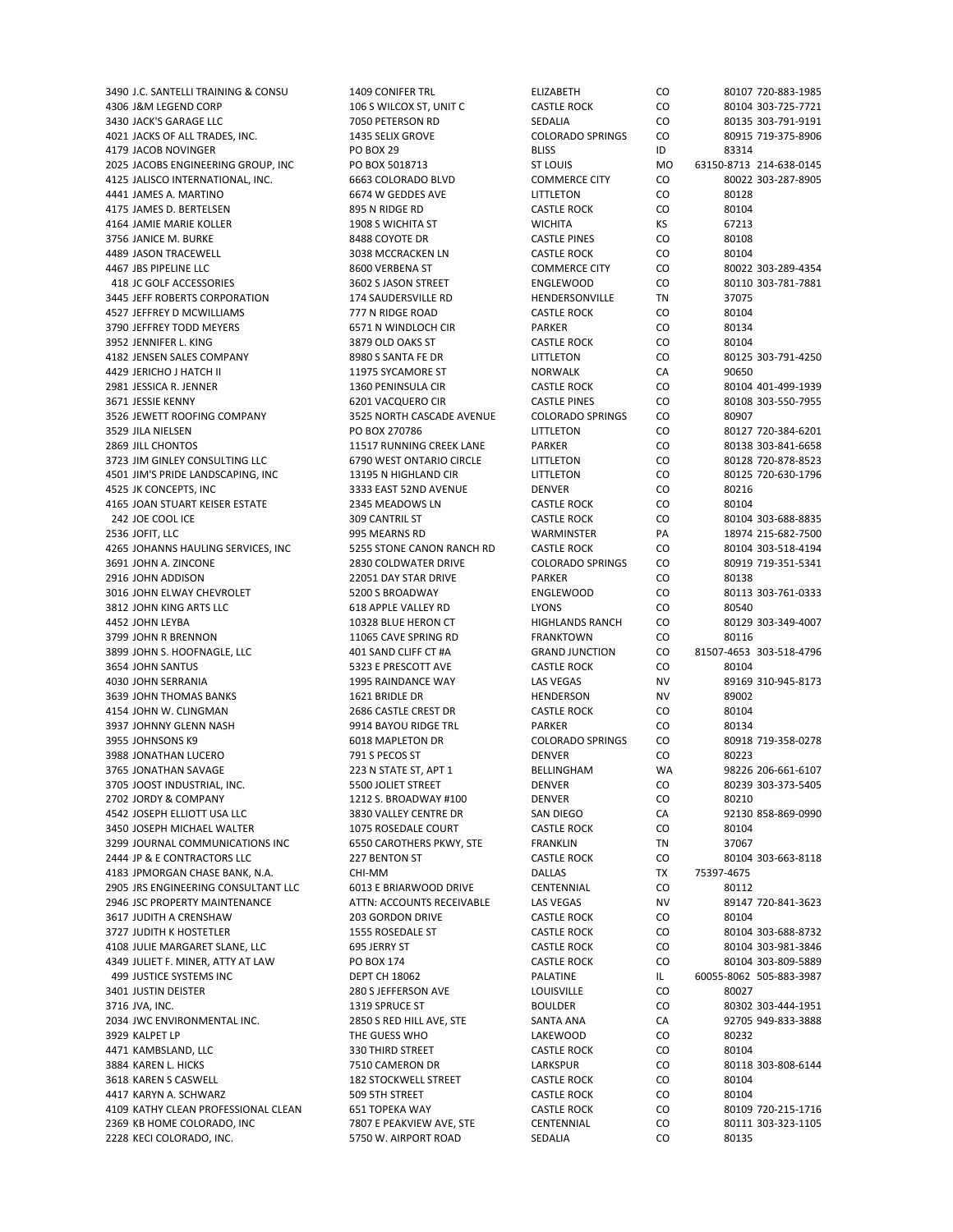4306 J&M LEGEND CORP 106 S WILCOX ST, UNIT C CASTLE ROCK CO 80104 303-725-7721 3430 JACK'S GARAGE LLC 7050 PETERSON RD SEDALIA CO 80135 303‐791‐9191 4021 JACKS OF ALL TRADES, INC. 1435 SELIX GROVE COLORADO SPRINGS CO 80915 719‐375‐8906 4179 JACOB NOVINGER **PO BOX 29** BLISS BLISS ID 83314 2025 JACOBS ENGINEERING GROUP, INC PO BOX 5018713 ST LOUIS MO 63150‐8713 214‐638‐0145 4125 JALISCO INTERNATIONAL, INC. 6663 COLORADO BLVD COMMERCE CITY CO 80022 303‐287‐8905 4441 JAMES A. MARTINO 6674 W GEDDES AVE LITTLETON CO 80128 4175 JAMES D. BERTELSEN 895 N RIDGE RD CASTLE ROCK CO 80104 4164 JAMIE MARIE KOLLER 1908 S WICHITA ST WICHITA KS 67213 3756 JANICE M. BURKE 8488 COYOTE DR CASTLE PINES CO 80108 4489 JASON TRACEWELL 3038 MCCRACKEN LN CASTLE ROCK CO 80104 4467 JBS PIPELINE LLC 8600 VERBENA ST COMMERCE CITY CO 80022 303‐289‐4354 418 JC GOLF ACCESSORIES 3602 S JASON STREET ENGLEWOOD CO 80110 303-781-7881 3445 JEFF ROBERTS CORPORATION 174 SAUDERSVILLE RD HENDERSONVILLE TN 37075 4527 JEFFREY D MCWILLIAMS 777 N RIDGE ROAD CASTLE ROCK CO 80104 3790 JEFFREY TODD MEYERS 6571 N WINDLOCH CIR PARKER CO 80134 3952 JENNIFER L. KING 3879 OLD OAKS ST CASTLE ROCK CO 80104 4182 JENSEN SALES COMPANY 8980 S SANTA FE DR LITTLETON CO 4429 JERICHO J HATCH II 11975 SYCAMORE ST NORWALK CA 90650 2981 JESSICA R. JENNER 1360 PENINSULA CIR CASTLE ROCK CO 80104 401‐499‐1939 3671 JESSIE KENNY SARAT SARAT HERO SENI VACQUERO CIR CASTLE PINES CO 80108 303-550-7955 3526 JEWETT ROOFING COMPANY 3525 NORTH CASCADE AVENUE COLORADO SPRINGS CO 80907 3529 JILA NIELSEN PO BOX 270786 LITTLETON CO 80127 720‐384‐6201 2869 JILL CHONTOS 2003-841-6658 2012 11517 RUNNING CREEK LANE PARKER CO 80138 303-841-6658 3723 JIM GINLEY CONSULTING LLC 6790 WEST ONTARIO CIRCLE LITTLETON CO 80128 720-878-8523 4501 JIM'S PRIDE LANDSCAPING, INC 13195 N HIGHLAND CIR LITTLETON CO 80125 720‐630‐1796 4525 JK CONCEPTS, INC 3333 EAST 52ND AVENUE DENVER CO 80216 4165 JOAN STUART KEISER ESTATE 2345 MEADOWS LN CASTLE ROCK CO 80104 242 JOE COOL ICE 309 CANTRIL ST CASTLE ROCK CO 80104 303‐688‐8835 2536 JOFIT, LLC 995 MEARNS RD WARMINSTER PA 18974 215‐682‐7500 4265 JOHANNS HAULING SERVICES, INC 5255 STONE CANON RANCH RD CASTLE ROCK CO 80104 303-518-4194<br>1991 JOHN A. ZINCONE 199-351-5341 2830 COLDWATER DRIVE COLORADO SPRINGS CO 80919 719-351-5341 3691 JOHN A. ZINCONE 2830 COLDWATER DRIVE COLORADO SPRINGS CO 2916 JOHN ADDISON 22051 DAY STAR DRIVE PARKER CO 80138 3016 JOHN ELWAY CHEVROLET 5200 S BROADWAY ENGLEWOOD CO 80113 303‐761‐0333 3812 JOHN KING ARTS LLC 618 APPLE VALLEY RD LYONS CO 80540 4452 JOHN LEYBA 10328 BLUE HERON CT HIGHLANDS RANCH CO 80129 303‐349‐4007 3799 JOHN R BRENNON **11065 CAVE SPRING RD** FRANKTOWN CO 80116 3899 JOHN S. HOOFNAGLE, LLC 401 SAND CLIFF CT #A GRAND JUNCTION CO 81507‐4653 303‐518‐4796 3654 JOHN SANTUS 5323 E PRESCOTT AVE CASTLE ROCK CO 80104 4030 JOHN SERRANIA 1995 RAINDANCE WAY LAS VEGAS NV 89169 310‐945‐8173 3639 JOHN THOMAS BANKS 1621 BRIDLE DR HENDERSON NV 89002 4154 JOHN W. CLINGMAN 2686 CASTLE CREST DR CASTLE ROCK CO 80104 3937 JOHNNY GLENN NASH 9914 BAYOU RIDGE TRL PARKER CO 80134 3955 JOHNSONS K9 6018 MAPLETON DR COLORADO SPRINGS CO 80918 719‐358‐0278 3988 JONATHAN LUCERO 791 S PECOS ST DENVER CO 80223 3765 JONATHAN SAVAGE 223 N STATE ST, APT 1 BELLINGHAM WA 98226 206-661-6107 3705 JOOST INDUSTRIAL, INC. 5500 JOLIET STREET DENVER CO 80239 303‐373‐5405 2702 JORDY & COMPANY 1212 S. BROADWAY #100 DENVER CO 80210 4542 JOSEPH ELLIOTT USA LLC 3830 VALLEY CENTRE DR SAN DIEGO CA 92130 858‐869‐0990 3450 JOSEPH MICHAEL WALTER 1075 ROSEDALE COURT CASTLE ROCK CO 80104 3299 JOURNAL COMMUNICATIONS INC 6550 CAROTHERS PKWY, STE FRANKLIN TN 37067 2444 JP & E CONTRACTORS LLC 227 BENTON ST CASTLE ROCK CO 80104 303‐663‐8118 4183 JPMORGAN CHASE BANK, N.A. CHI‐MM DALLAS TX 75397‐4675 2905 JRS ENGINEERING CONSULTANT LLC 2946 JSC PROPERTY MAINTENANCE ATTN: ACCOUNTS RECEIVABLE LAS VEGAS NV 89147 720-841-3623 3617 JUDITH A CRENSHAW 203 GORDON DRIVE CASTLE ROCK CO 80104 3727 JUDITH K HOSTETLER 1555 ROSEDALE ST CASTLE ROCK CO 80104 303‐688‐8732 4108 JULIE MARGARET SLANE, LLC 695 JERRY ST CASTLE ROCK CO 80104 303‐981‐3846 4349 JULIET F. MINER, ATTY AT LAW PO BOX 174 CASTLE ROCK CO 80104 303‐809‐5889 499 JUSTICE SYSTEMS INC DEPT CH 18062 PALATINE IL 60055‐8062 505‐883‐3987 3401 JUSTIN DEISTER 280 SOO SEE 280 SEEFFERSON AVE LOUISVILLE CO 300 27 3716 JVA, INC. 1319 SPRUCE ST BOULDER CO 80302 303-444-1951 2034 JWC ENVIRONMENTAL INC. 2850 S RED HILL AVE, STE SANTA ANA CA 92705 949‐833‐3888 3929 KALPET LP THE GUESS WHO LAKEWOOD CO 80232 4471 KAMBSLAND, LLC 330 THIRD STREET CASTLE ROCK CO 80104 3884 KAREN L. HICKS 7510 CAMERON DR LARKSPUR CO 80118 303‐808‐6144 3618 KAREN S CASWELL 182 STOCKWELL STREET CASTLE ROCK CO 80104 4417 KARYN A. SCHWARZ 509 5TH STREET CASTLE ROCK CO 80104 4109 KATHY CLEAN PROFESSIONAL CLEAN 651 TOPEKA WAY CASTLE ROCK CO 80109 720‐215‐1716 2369 KB HOME COLORADO, INC 7807 E PEAKVIEW AVE, STE CENTENNIAL CO 80111 303-323-1105 2228 KECI COLORADO, INC. 5750 W. AIRPORT ROAD SEDALIA CO 80135

3490 LC. SANTELLI TRAINING & CONSU 1409 CONIFER TRI CLO FIJZABETH CO 80107 720‐883‐1985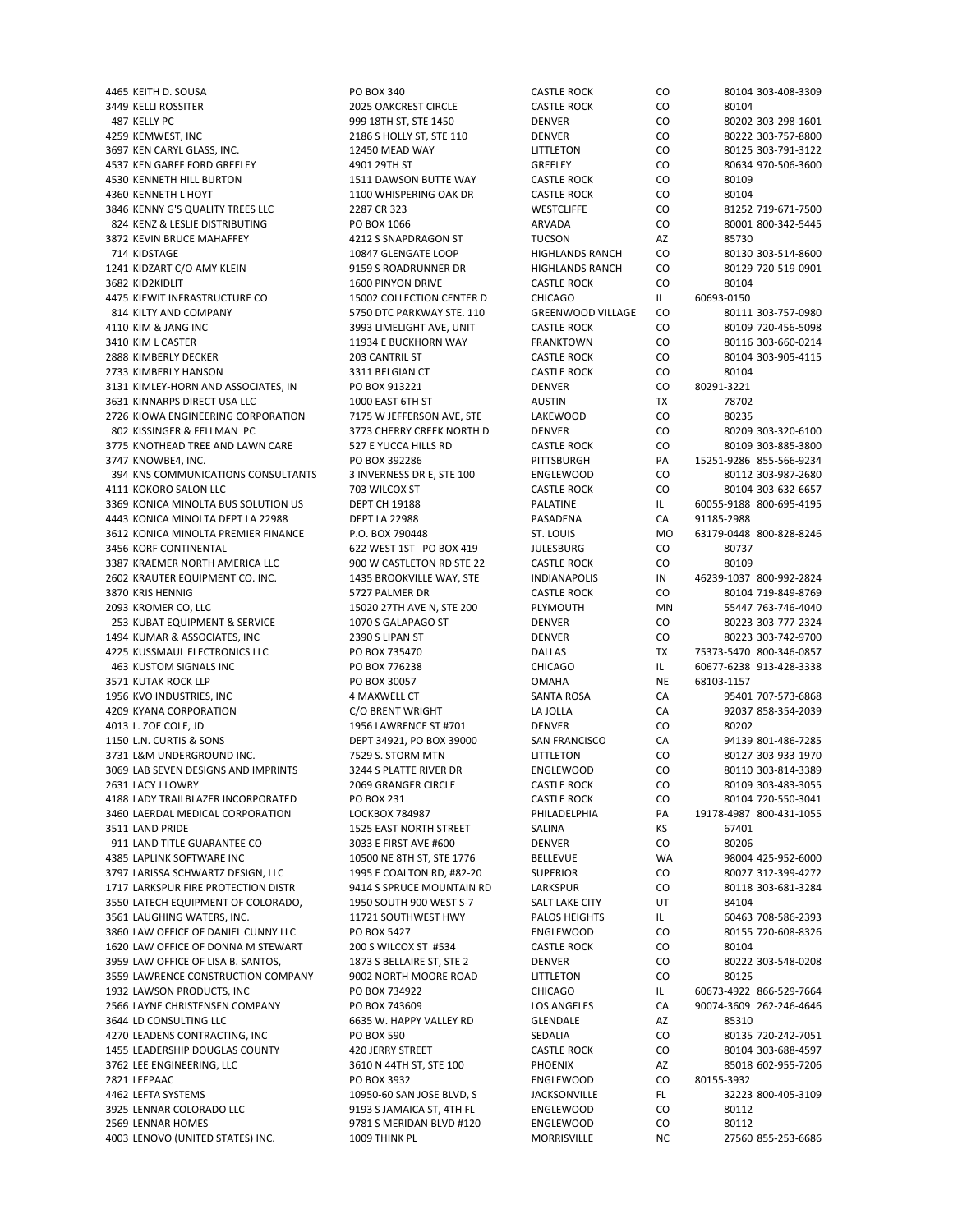4465 KEITH D. SOUSA PO BOX 340 CASTLE ROCK CO 80104 303‐408‐3309 3449 KELLI ROSSITER 2025 OAKCREST CIRCLE CASTLE ROCK CO 80104 487 KELLY PC 999 18TH ST, STE 1450 DENVER CO 80202 303‐298‐1601 4259 KEMWEST, INC 2186 S HOLLY ST, STE 110 DENVER CO 80222 303‐757‐8800 3697 KEN CARYL GLASS, INC. 12450 MEAD WAY LITTLETON CO 80125 303‐791‐3122 4537 KEN GARFF FORD GREELEY 4901 29TH ST GREELEY CO 80634 970‐506‐3600 4530 KENNETH HILL BURTON 1511 DAWSON BUTTE WAY CASTLE ROCK CO 80109 4360 KENNETH L HOYT 1100 WHISPERING OAK DR CASTLE ROCK CO 80104 3846 KENNY G'S QUALITY TREES LLC 2287 CR 323 WESTCLIFFE CO 81252 719‐671‐7500 824 KENZ & LESLIE DISTRIBUTING PO BOX 1066 ARVADA ARVADA CO 800-342-5445 3872 KEVIN BRUCE MAHAFFEY 4212 S SNAPDRAGON ST TUCSON AZ 85730 714 KIDSTAGE 10847 GLENGATE LOOP HIGHLANDS RANCH CO 80130 303‐514‐8600 1241 KIDZART C/O AMY KLEIN 9159 S ROADRUNNER DR HIGHLANDS RANCH CO 80129 720‐519‐0901 3682 KID2KIDLIT 1600 PINYON DRIVE CASTLE ROCK CO 80104 4475 KIEWIT INFRASTRUCTURE CO 15002 COLLECTION CENTER D CHICAGO IL 60693-0150 814 KILTY AND COMPANY **5750 DTC PARKWAY STE. 110** GREENWOOD VILLAGE CO 80111 303-757-0980 4110 KIM & JANG INC 3993 LIMELIGHT AVE, UNIT CASTLE ROCK CO 80109 720‐456‐5098 3410 KIM L CASTER 11934 E BUCKHORN WAY FRANKTOWN CO 80116 303‐660‐0214 2888 KIMBERLY DECKER 203 CANTRIL ST CASTLE ROCK CO 80104 303‐905‐4115 2733 KIMBERLY HANSON 3311 BELGIAN CT CASTLE ROCK CO 80104 3131 KIMLEY‐HORN AND ASSOCIATES, IN PO BOX 913221 DENVER DENVER CO 80291‐3221 3631 KINNARPS DIRECT USA LLC 1000 EAST 6TH ST AUSTIN TX 78702 2726 KIOWA ENGINEERING CORPORATION 7175 W JEFFERSON AVE, STE LAKEWOOD CO 80235 802 KISSINGER & FELLMAN PC 3773 CHERRY CREEK NORTH D DENVER CO 80209 303-320-6100 3775 KNOTHEAD TREE AND LAWN CARE 527 E YUCCA HILLS RD CASTLE ROCK CO 80109 303‐885‐3800 3747 KNOWBE4, INC. PO BOX 392286 PITTSBURGH PA 15251‐9286 855‐566‐9234 394 KNS COMMUNICATIONS CONSULTANTS 3 INVERNESS DR E, STE 100 ENGLEWOOD CO 80112 303‐987‐2680 4111 KOKORO SALON LLC 703 WILCOX ST CASTLE ROCK CO 80104 303‐632‐6657 3369 KONICA MINOLTA BUS SOLUTION US DEPT CH 19188 PALATINE PALATINE IL 60055-9188 800-695-4195 4443 KONICA MINOLTA DEPT LA 22988 DEPT LA 22988 PASADENA CA 91185‐2988 3612 KONICA MINOLTA PREMIER FINANCE P.O. BOX 790448 ST. LOUIS MO 63179‐0448 800‐828‐8246 3456 KORF CONTINENTAL 622 WEST 1ST PO BOX 419 JULESBURG CO 80737 3387 KRAEMER NORTH AMERICA LLC 900 W CASTLETON RD STE 22 CASTLE ROCK CO 2602 KRAUTER EQUIPMENT CO. INC. 1435 BROOKVILLE WAY, STE INDIANAPOLIS IN 46239-1037 800-992-2824 3870 KRIS HENNIG 5727 PALMER DR CASTLE ROCK CO 80104 719‐849‐8769 2093 KROMER CO, LLC 15020 27TH AVE N, STE 200 PLYMOUTH MN 55447 763‐746‐4040 253 KUBAT EQUIPMENT & SERVICE 1070 S GALAPAGO ST DENVER CO 80223 303‐777‐2324 1494 KUMAR & ASSOCIATES, INC 2390 S LIPAN ST DENVER CO 80223 303‐742‐9700 4225 KUSSMAUL ELECTRONICS LLC PO BOX 735470 DALLAS TX 75373‐5470 800‐346‐0857 463 KUSTOM SIGNALS INC PO BOX 776238 CHICAGO IL 60677‐6238 913‐428‐3338 3571 KUTAK ROCK LLP PO PO BOX 30057 COMAHA NE 68103-1157 1956 KVO INDUSTRIES, INC 4 MAXWELL CT SANTA ROSA CA 95401 707‐573‐6868 4209 KYANA CORPORATION C/O BRENT WRIGHT LA JOLLA CA 92037 858‐354‐2039 4013 L. ZOE COLE, JD 1956 LAWRENCE ST #701 DENVER CO 80202 1150 L.N. CURTIS & SONS DEPT 34921, PO BOX 39000 SAN FRANCISCO CA 94139 801‐486‐7285 3731 L&M UNDERGROUND INC. 7529 S. STORM MTN LITTLETON CO 80127 303-933-1970 3069 LAB SEVEN DESIGNS AND IMPRINTS 3244 S PLATTE RIVER DR ENGLEWOOD CO 80110 303‐814‐3389 2631 LACY J LOWRY 2069 GRANGER CIRCLE CASTLE ROCK CO 80109 303‐483‐3055 4188 LADY TRAILBLAZER INCORPORATED PO BOX 231 CASTLE ROCK CO 80104 720‐550‐3041 3460 LAERDAL MEDICAL CORPORATION LOCKBOX 784987 PHILADELPHIA PA 19178‐4987 800‐431‐1055 3511 LAND PRIDE 1525 EAST NORTH STREET SALINA KS 67401 911 LAND TITLE GUARANTEE CO 3033 E FIRST AVE #600 DENVER CO 80206 4385 LAPLINK SOFTWARE INC 10500 NE 8TH ST, STE 1776 BELLEVUE WA 98004 425‐952‐6000 3797 LARISSA SCHWARTZ DESIGN, LLC 1995 E COALTON RD, #82‐20 SUPERIOR CO 80027 312‐399‐4272 1717 LARKSPUR FIRE PROTECTION DISTR 9414 S SPRUCE MOUNTAIN RD LARKSPUR CO 3550 LATECH EQUIPMENT OF COLORADO, 1950 SOUTH 900 WEST S-7 SALT LAKE CITY UT 84104 3561 LAUGHING WATERS, INC. 11721 SOUTHWEST HWY PALOS HEIGHTS IL 60463 708‐586‐2393 3860 LAW OFFICE OF DANIEL CUNNY LLC PO BOX 5427 ENGLEWOOD CO 80155 720‐608‐8326 1620 LAW OFFICE OF DONNA M STEWART 200 S WILCOX ST #534 CASTLE ROCK CO 80104 3959 LAW OFFICE OF LISA B. SANTOS, 1873 S BELLAIRE ST, STE 2 DENVER CO 80222 303-548-0208 3559 LAWRENCE CONSTRUCTION COMPANY 9002 NORTH MOORE ROAD LITTLETON CO 80125 1932 LAWSON PRODUCTS, INC PO BOX 734922 CHICAGO IL 60673‐4922 866‐529‐7664 2566 LAYNE CHRISTENSEN COMPANY PO BOX 743609 LOS ANGELES CA 90074‐3609 262‐246‐4646 3644 LD CONSULTING LLC 
85310
6635 W. HAPPY VALLEY RD
6635 W. HAPPY VALLEY RD
6635 W. HAPPY VALLEY RD
6644 LD CONSULTING LLC
85310 4270 LEADENS CONTRACTING, INC **PO BOX 590** SEDALIA CO 80135 720-242-7051 1455 LEADERSHIP DOUGLAS COUNTY 420 JERRY STREET CASTLE ROCK CO 80104 303‐688‐4597 3762 LEE ENGINEERING, LLC 3610 N 44TH ST, STE 100 PHOENIX AZ 85018 602‐955‐7206 2821 LEEPAAC PO BOX 3932 ENGLEWOOD CO 80155‐3932 4462 LEFTA SYSTEMS 10950‐60 SAN JOSE BLVD, S JACKSONVILLE FL 32223 800‐405‐3109 3925 LENNAR COLORADO LLC 9193 S JAMAICA ST, 4TH FL ENGLEWOOD CO 80112 2569 LENNAR HOMES 9781 S MERIDAN BLVD #120 ENGLEWOOD CO 80112 4003 LENOVO (UNITED STATES) INC. 1009 THINK PL MORRISVILLE NC 27560 855‐253‐6686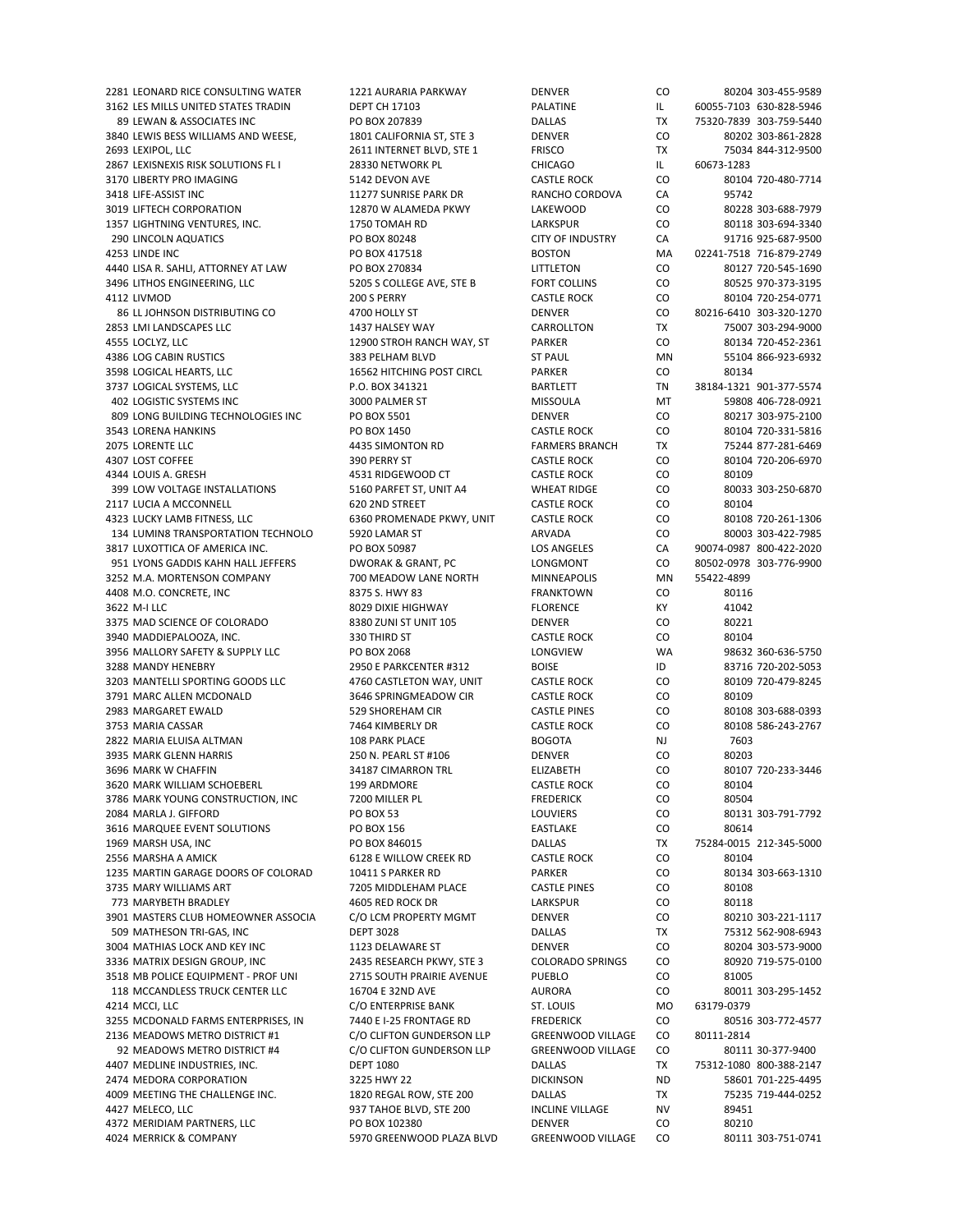3162 LES MILLS UNITED STATES TRADIN DEPT CH 17103 PALATINE PALATINE IL 60055-7103 630-828-5946 89 LEWAN & ASSOCIATES INC PO BOX 207839 DALLAS TX 75320‐7839 303‐759‐5440 3840 LEWIS BESS WILLIAMS AND WEESE, 1801 CALIFORNIA ST, STE 3 DENVER CO 80202 303-861-2828 2693 LEXIPOL, LLC 2611 INTERNET BLVD, STE 1 FRISCO TX 75034 844-312-9500 2867 LEXISNEXIS RISK SOLUTIONS FL I 28330 NETWORK PL CHICAGO IL 60673-1283 3170 LIBERTY PRO IMAGING **5142 DEVON AVE CASTLE ROCK** CO 80104 720-480-7714 3418 LIFE‐ASSIST INC 11277 SUNRISE PARK DR RANCHO CORDOVA CA 95742 3019 LIFTECH CORPORATION 12870 W ALAMEDA PKWY LAKEWOOD CO 80228 303‐688‐7979 1357 LIGHTNING VENTURES, INC. 1750 TOMAH RD LARKSPUR CO 80118 303‐694‐3340 290 LINCOLN AQUATICS PO BOX 80248 CITY OF INDUSTRY CA 91716 925‐687‐9500 4253 LINDE INC PO BOX 417518 BOSTON MA 02241‐7518 716‐879‐2749 4440 LISA R. SAHLI, ATTORNEY AT LAW PO BOX 270834 LITTLETON CO 80127 720‐545‐1690 3496 LITHOS ENGINEERING, LLC 6205 S COLLEGE AVE, STE B FORT COLLINS CO 80525 970‐373‐3195 4112 LIVMOD 200 S PERRY CASTLE ROCK CO 80104 720‐254‐0771 86 LL JOHNSON DISTRIBUTING CO 4700 HOLLY ST DENVER CO 80216‐6410 303‐320‐1270 2853 LMI LANDSCAPES LLC 1437 HALSEY WAY CARROLLTON TX 75007 303‐294‐9000 4555 LOCLYZ, LLC 12900 STROH RANCH WAY, ST PARKER CO 80134 720‐452‐2361 4386 LOG CABIN RUSTICS 383 PELHAM BLVD ST PAUL MN 55104 866‐923‐6932 3598 LOGICAL HEARTS, LLC 16562 HITCHING POST CIRCL PARKER CO 80134 3737 LOGICAL SYSTEMS, LLC **P.O. BOX 341321** BARTLETT TN 38184-1321 901-377-5574 402 LOGISTIC SYSTEMS INC 3000 PALMER ST MISSOULA MT 59808 406‐728‐0921 809 LONG BUILDING TECHNOLOGIES INC PO BOX 5501 DENVER CO 80217 303‐975‐2100 3543 LORENA HANKINS PO BOX 1450 CASTLE ROCK CO 80104 720‐331‐5816 2075 LORENTE LLC 4435 SIMONTON RD FARMERS BRANCH TX 75244 877‐281‐6469 4307 LOST COFFEE 390 PERRY ST CASTLE ROCK CO 80104 720‐206‐6970 4344 LOUIS A. GRESH 4531 RIDGEWOOD CT CASTLE ROCK CO 80109 399 LOW VOLTAGE INSTALLATIONS 5160 PARFET ST, UNIT A4 WHEAT RIDGE CO 80033 303-250-6870 2117 LUCIA A MCCONNELL **620 2ND STREET CASTLE ROCK** CO 80104 4323 LUCKY LAMB FITNESS, LLC 6360 PROMENADE PKWY, UNIT CASTLE ROCK CO 80108 720‐261‐1306 134 LUMIN8 TRANSPORTATION TECHNOLO 5920 LAMAR ST ARVADA CO 80003 303-422-7985 3817 LUXOTTICA OF AMERICA INC. PO BOX 50987 LOS ANGELES CA 90074‐0987 800‐422‐2020 951 LYONS GADDIS KAHN HALL JEFFERS DWORAK & GRANT, PC LONGMONT 3252 M.A. MORTENSON COMPANY 700 MEADOW LANE NORTH MINNEAPOLIS MN 55422-4899 4408 M.O. CONCRETE, INC 8375 S. HWY 83 FRANKTOWN CO 80116 3622 M‐I LLC 8029 DIXIE HIGHWAY FLORENCE KY 41042 3375 MAD SCIENCE OF COLORADO 8380 ZUNI ST UNIT 105 DENVER CO 80221 3940 MADDIEPALOOZA, INC. 330 THIRD ST CASTLE ROCK CO 80104 3956 MALLORY SAFETY & SUPPLY LLC PO BOX 2068 LONGVIEW WA 98632 360‐636‐5750 3288 MANDY HENEBRY 2950 E PARKCENTER #312 BOISE ID 83716 720‐202‐5053 3203 MANTELLI SPORTING GOODS LLC 4760 CASTLETON WAY, UNIT CASTLE ROCK CO 80109 720-479-8245 3791 MARC ALLEN MCDONALD 3646 SPRINGMEADOW CIR CASTLE ROCK CO 80109 2983 MARGARET EWALD 529 SHOREHAM CIR CASTLE PINES CO 80108 303‐688‐0393 3753 MARIA CASSAR 7464 KIMBERLY DR CASTLE ROCK CO 80108 586‐243‐2767 2822 MARIA ELUISA ALTMAN 108 PARK PLACE BOGOTA NJ 7603 3935 MARK GLENN HARRIS 250 N. PEARL ST #106 DENVER CO 80203 3696 MARK W CHAFFIN 34187 CIMARRON TRL ELIZABETH CO 80107 720‐233‐3446 3620 MARK WILLIAM SCHOEBERL 199 ARDMORE CASTLE ROCK CO 80104 3786 MARK YOUNG CONSTRUCTION, INC TO 200 MILLER PL THE REDERICK THE REDERICK CO S0504 2084 MARLA J. GIFFORD PO BOX 53 LOUVIERS CO 80131 303‐791‐7792 3616 MARQUEE EVENT SOLUTIONS PO BOX 156 EASTLAKE CO 80614 1969 MARSH USA, INC PO BOX 846015 DALLAS TX 75284‐0015 212‐345‐5000 2556 MARSHA A AMICK **6128 E WILLOW CREEK RD** CASTLE ROCK CO 80104 1235 MARTIN GARAGE DOORS OF COLORAD 10411 S PARKER RD PARKER PARKER CO 80134 303-663-1310<br>1795 MARY WILLIAMS ART 7205 MIDDLEHAM PLACE CASTLE PINES CO 80108 3735 MARY WILLIAMS ART 773 MARYBETH BRADLEY 4605 RED ROCK DR LARKSPUR CO 80118 3901 MASTERS CLUB HOMEOWNER ASSOCIA C/O LCM PROPERTY MGMT DENVER CO 80210 303-221-1117 509 MATHESON TRI‐GAS, INC DEPT 3028 DALLAS TX 75312 562‐908‐6943 3004 MATHIAS LOCK AND KEY INC 1123 DELAWARE ST DENVER CO 80204 303‐573‐9000 3336 MATRIX DESIGN GROUP, INC 2435 RESEARCH PKWY, STE 3 COLORADO SPRINGS CO 80920 719‐575‐0100 3518 MB POLICE EQUIPMENT ‐ PROF UNI 2715 SOUTH PRAIRIE AVENUE PUEBLO CO 81005 118 MCCANDLESS TRUCK CENTER LLC 16704 E 32ND AVE AURORA CO 80011 303-295-1452<br>1214 MCCI, LLC CO CO CO ENTERPRISE BANK ST. LOUIS MO 63179-0379 4214 MCCI, LLC C/O ENTERPRISE BANK ST. LOUIS MO 3255 MCDONALD FARMS ENTERPRISES, IN 7440 E I-25 FRONTAGE RD FREDERICK CO 80516 303-772-4577 2136 MEADOWS METRO DISTRICT #1 C/O CLIFTON GUNDERSON LLP GREENWOOD VILLAGE CO 80111‐2814 92 MEADOWS METRO DISTRICT #4 C/O CLIFTON GUNDERSON LLP GREENWOOD VILLAGE CO 80111 30‐377‐9400 4407 MEDLINE INDUSTRIES, INC. DEPT 1080 DALLAS TX 75312‐1080 800‐388‐2147 2474 MEDORA CORPORATION 3225 HWY 22 DICKINSON ND 58601 701‐225‐4495 4009 MEETING THE CHALLENGE INC. 1820 REGAL ROW, STE 200 DALLAS TX 75235 719‐444‐0252 4427 MELECO, LLC 937 TAHOE BLVD, STE 200 INCLINE VILLAGE NV 89451 4372 MERIDIAM PARTNERS, LLC PO BOX 102380 DENVER CO 80210 4024 MERRICK & COMPANY 5970 GREENWOOD PLAZA BLVD GREENWOOD VILLAGE CO 80111 303‐751‐0741

2281 LEONARD RICE CONSULTING WATER 1221 AURARIA PARKWAY DENVER CO 80204 303‐455‐9589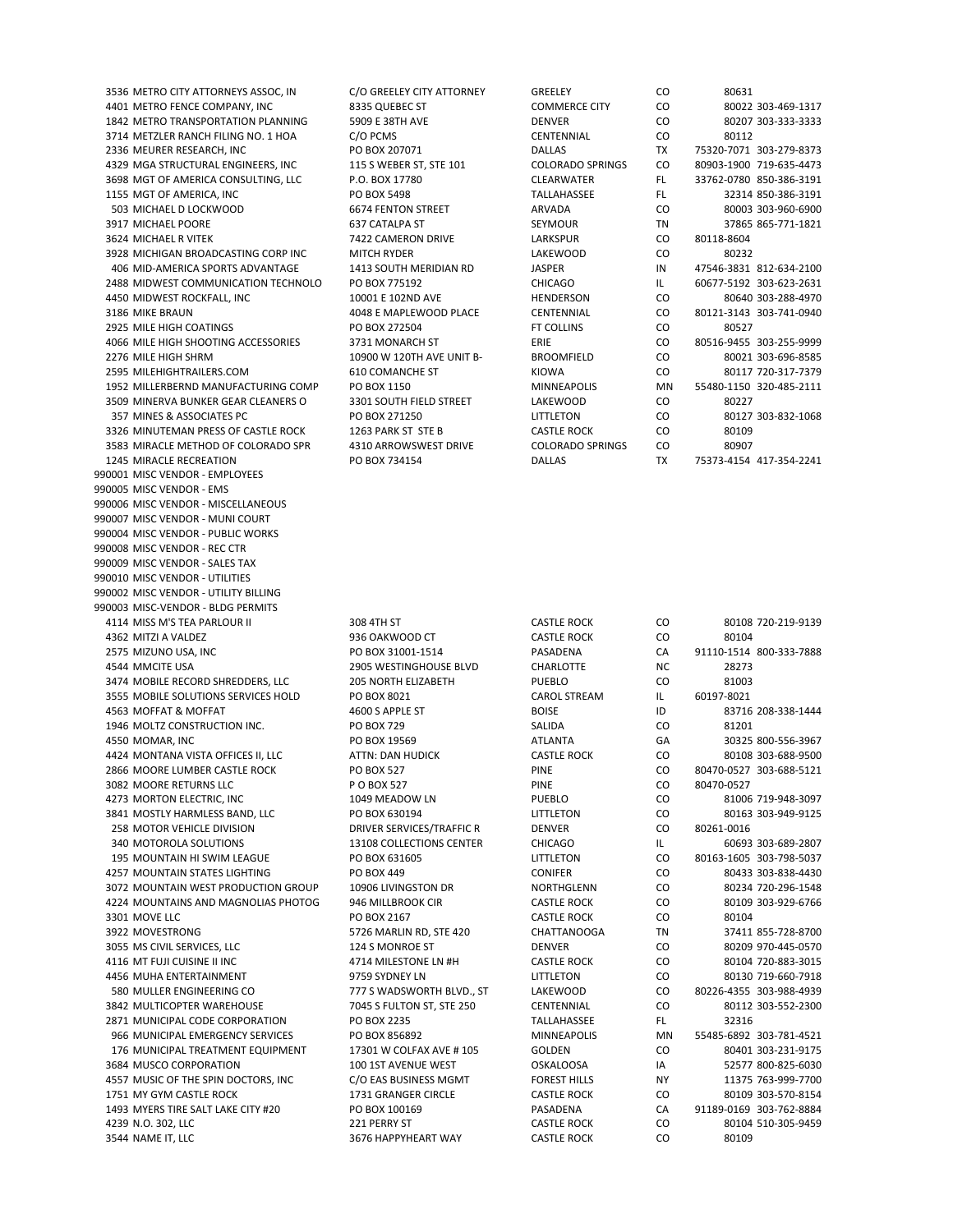3536 METRO CITY ATTORNEYS ASSOC, IN C/O GREELEY CITY ATTORNEY GREEL 3714 METZLER RANCH FILING NO. 1 HOA C/O PCMS CHARGES 3624 MICHAEL R VITEK LARKSPUR CONTROL THE 7422 CAMERON DRIVE 3928 MICHIGAN BROADCASTING CORP INC MITCH RYDER LATER MICHIGAN BROADCASTING CORP INC 2925 MILE HIGH COATINGS FOR BOX 272504 3509 MINERVA BUNKER GEAR CLEANERS O 3301 SOUTH FIELD STREET LAKEWOOD CONTROLLER 3326 MINUTEMAN PRESS OF CASTLE ROCK 1263 PARK ST STE B C 3583 MIRACLE METHOD OF COLORADO SPR 4310 ARROWSWEST DRIVE CO 990001 MISC VENDOR ‐ EMPLOYEES 990005 MISC VENDOR ‐ EMS 990006 MISC VENDOR ‐ MISCELLANEOUS 990007 MISC VENDOR ‐ MUNI COURT 990004 MISC VENDOR ‐ PUBLIC WORKS 990008 MISC VENDOR ‐ REC CTR 990009 MISC VENDOR ‐ SALES TAX 990010 MISC VENDOR ‐ UTILITIES 990002 MISC VENDOR ‐ UTILITY BILLING 990003 MISC‐VENDOR ‐ BLDG PERMITS 4114 MISS M'S TEA PARLOUR II 308 4TH ST CASTLE ROCK CO 80108 720‐219‐9139 4362 MITZI A VALDEZ 936 OAKWOOD CT CASTLE ROCK CO 80104 2575 MIZUNO USA, INC PO BOX 31001‐1514 PASADENA CA 91110‐1514 800‐333‐7888 4544 MMCITE USA 2905 WESTINGHOUSE BLVD CHARLOTTE NC 28273 3474 MOBILE RECORD SHREDDERS, LLC 205 NORTH ELIZABETH PUEBLO CO 81003 3555 MOBILE SOLUTIONS SERVICES HOLD PO BOX 8021 CAROL STREAM IL 60197‐8021 4563 MOFFAT & MOFFAT 4600 S APPLE ST BOISE ID 83716 208‐338‐1444 1946 MOLTZ CONSTRUCTION INC. PO BOX 729 SALIDA CO 81201 4550 MOMAR, INC PO BOX 19569 ATLANTA GA 30325 800‐556‐3967 4424 MONTANA VISTA OFFICES II, LLC ATTN: DAN HUDICK CASTLE ROCK CO 80108 303‐688‐9500 2866 MOORE LUMBER CASTLE ROCK PO BOX 527 PINE CO 80470‐0527 303‐688‐5121 3082 MOORE RETURNS LLC P O BOX 527 PINE CO 80470‐0527 4273 MORTON ELECTRIC, INC 1049 MEADOW LN PUEBLO CO 81006 719‐948‐3097 3841 MOSTLY HARMLESS BAND, LLC PO BOX 630194 LITTLETON CO 80163 303‐949‐9125 258 MOTOR VEHICLE DIVISION DRIVER SERVICES/TRAFFIC R DENVER DENTAL DO 80261-0016 340 MOTOROLA SOLUTIONS 13108 COLLECTIONS CENTER CHICAGO IL 60693 303‐689‐2807 195 MOUNTAIN HI SWIM LEAGUE PO BOX 631605 LITTLETON CO 80163‐1605 303‐798‐5037 4257 MOUNTAIN STATES LIGHTING PO BOX 449 CONIFER CO 80433 303‐838‐4430 3072 MOUNTAIN WEST PRODUCTION GROUP 10906 LIVINGSTON DR NORTHGLENN CO 4224 MOUNTAINS AND MAGNOLIAS PHOTOG 946 MILLBROOK CIR CASTLE ROCK CO 80109 303‐929‐6766 3301 MOVE LLC PO BOX 2167 CASTLE ROCK CO 80104 3922 MOVESTRONG 5726 MARLIN RD, STE 420 CHATTANOOGA TN 37411 855-728-8700 3055 MS CIVIL SERVICES, LLC 124 S MONROE ST DENVER CO 80209 970‐445‐0570 4116 MT FUJI CUISINE II INC **ALLA ALLA HI CASTLE ROCK** CO 80104 720‐883‐3015 4456 MUHA ENTERTAINMENT 9759 SYDNEY LN LITTLETON CO 80130 719‐660‐7918 580 MULLER ENGINEERING CO 777 S WADSWORTH BLVD., ST LAKEWOOD CO 80226‐4355 303‐988‐4939 3842 MULTICOPTER WAREHOUSE **7045 S FULTON ST, STE 250** CENTENNIAL CO 80112 303-552-2300 2871 MUNICIPAL CODE CORPORATION PO BOX 2235 TALLAHASSEE FL 32316 966 MUNICIPAL EMERGENCY SERVICES PO BOX 856892 MINNEAPOLIS MN 55485‐6892 303‐781‐4521 176 MUNICIPAL TREATMENT EQUIPMENT 17301 W COLFAX AVE # 105 GOLDEN CO 80401 303‐231‐9175 3684 MUSCO CORPORATION 100 15T AVENUE WEST OSKALOOSA IA 52577 800‐825‐6030 4557 MUSIC OF THE SPIN DOCTORS, INC C/O EAS BUSINESS MGMT FOREST HILLS NY 11375 763-999-7700 1751 MY GYM CASTLE ROCK 1731 GRANGER CIRCLE CASTLE ROCK CO 80109 303‐570‐8154 1493 MYERS TIRE SALT LAKE CITY #20 PO BOX 100169 PASADENA CA 91189‐0169 303‐762‐8884 4239 N.O. 302, LLC 221 PERRY ST CASTLE ROCK CO 80104 510‐305‐9459 3544 NAME IT, LLC 3676 HAPPYHEART WAY CASTLE ROCK CO 80109

| 3536 METRO CITY ATTORNEYS ASSOC, IN | C/O GREELEY CITY ATTORNEY | GREELEY                 | CO.           | 80631                   |
|-------------------------------------|---------------------------|-------------------------|---------------|-------------------------|
| 4401 METRO FENCE COMPANY. INC       | 8335 QUEBEC ST            | <b>COMMERCE CITY</b>    | <b>CO</b>     | 80022 303-469-1317      |
| 1842 METRO TRANSPORTATION PLANNING  | 5909 E 38TH AVE           | <b>DENVER</b>           | <b>CO</b>     | 80207 303-333-3333      |
| 3714 METZLER RANCH FILING NO. 1 HOA | C/O PCMS                  | CENTENNIAL              | <b>CO</b>     | 80112                   |
| 2336 MEURER RESEARCH, INC           | PO BOX 207071             | <b>DALLAS</b>           | <b>TX</b>     | 75320-7071 303-279-8373 |
| 4329 MGA STRUCTURAL ENGINEERS, INC  | 115 S WEBER ST, STE 101   | <b>COLORADO SPRINGS</b> | <b>CO</b>     | 80903-1900 719-635-4473 |
| 3698 MGT OF AMERICA CONSULTING, LLC | P.O. BOX 17780            | <b>CLEARWATER</b>       | FL.           | 33762-0780 850-386-3191 |
| 1155 MGT OF AMERICA, INC            | PO BOX 5498               | <b>TALLAHASSEE</b>      | FL.           | 32314 850-386-3191      |
| 503 MICHAEL D LOCKWOOD              | <b>6674 FENTON STREET</b> | <b>ARVADA</b>           | <b>CO</b>     | 80003 303-960-6900      |
| 3917 MICHAEL POORE                  | 637 CATALPA ST            | <b>SEYMOUR</b>          | TN            | 37865 865-771-1821      |
| 3624 MICHAEL R VITEK                | 7422 CAMERON DRIVE        | LARKSPUR                | CO.           | 80118-8604              |
| 3928 MICHIGAN BROADCASTING CORP INC | <b>MITCH RYDER</b>        | LAKEWOOD                | CO            | 80232                   |
| 406 MID-AMERICA SPORTS ADVANTAGE    | 1413 SOUTH MERIDIAN RD    | <b>JASPER</b>           | IN            | 47546-3831 812-634-2100 |
| 2488 MIDWEST COMMUNICATION TECHNOLO | PO BOX 775192             | <b>CHICAGO</b>          | IL.           | 60677-5192 303-623-2631 |
| 4450 MIDWEST ROCKFALL, INC          | 10001 E 102ND AVE         | <b>HENDERSON</b>        | <b>CO</b>     | 80640 303-288-4970      |
| 3186 MIKE BRAUN                     | 4048 E MAPLEWOOD PLACE    | CENTENNIAL              | <sub>CO</sub> | 80121-3143 303-741-0940 |
| 2925 MILE HIGH COATINGS             | PO BOX 272504             | <b>FT COLLINS</b>       | CO            | 80527                   |
| 4066 MILE HIGH SHOOTING ACCESSORIES | 3731 MONARCH ST           | ERIE                    | CO.           | 80516-9455 303-255-9999 |
| 2276 MILE HIGH SHRM                 | 10900 W 120TH AVE UNIT B- | <b>BROOMFIELD</b>       | <b>CO</b>     | 80021 303-696-8585      |
| 2595 MILEHIGHTRAILERS.COM           | <b>610 COMANCHE ST</b>    | KIOWA                   | <b>CO</b>     | 80117 720-317-7379      |
| 1952 MILLERBERND MANUFACTURING COMP | PO BOX 1150               | <b>MINNEAPOLIS</b>      | MN            | 55480-1150 320-485-2111 |
| 3509 MINERVA BUNKER GEAR CLEANERS O | 3301 SOUTH FIELD STREET   | LAKEWOOD                | CO.           | 80227                   |
| 357 MINES & ASSOCIATES PC           | PO BOX 271250             | LITTLETON               | CO.           | 80127 303-832-1068      |
| 3326 MINUTEMAN PRESS OF CASTLE ROCK | 1263 PARK ST STE B        | <b>CASTLE ROCK</b>      | <b>CO</b>     | 80109                   |
| 3583 MIRACLE METHOD OF COLORADO SPR | 4310 ARROWSWEST DRIVE     | <b>COLORADO SPRINGS</b> | CO            | 80907                   |
| 1245 MIRACLE RECREATION             | PO BOX 734154             | <b>DALLAS</b>           | <b>TX</b>     | 75373-4154 417-354-2241 |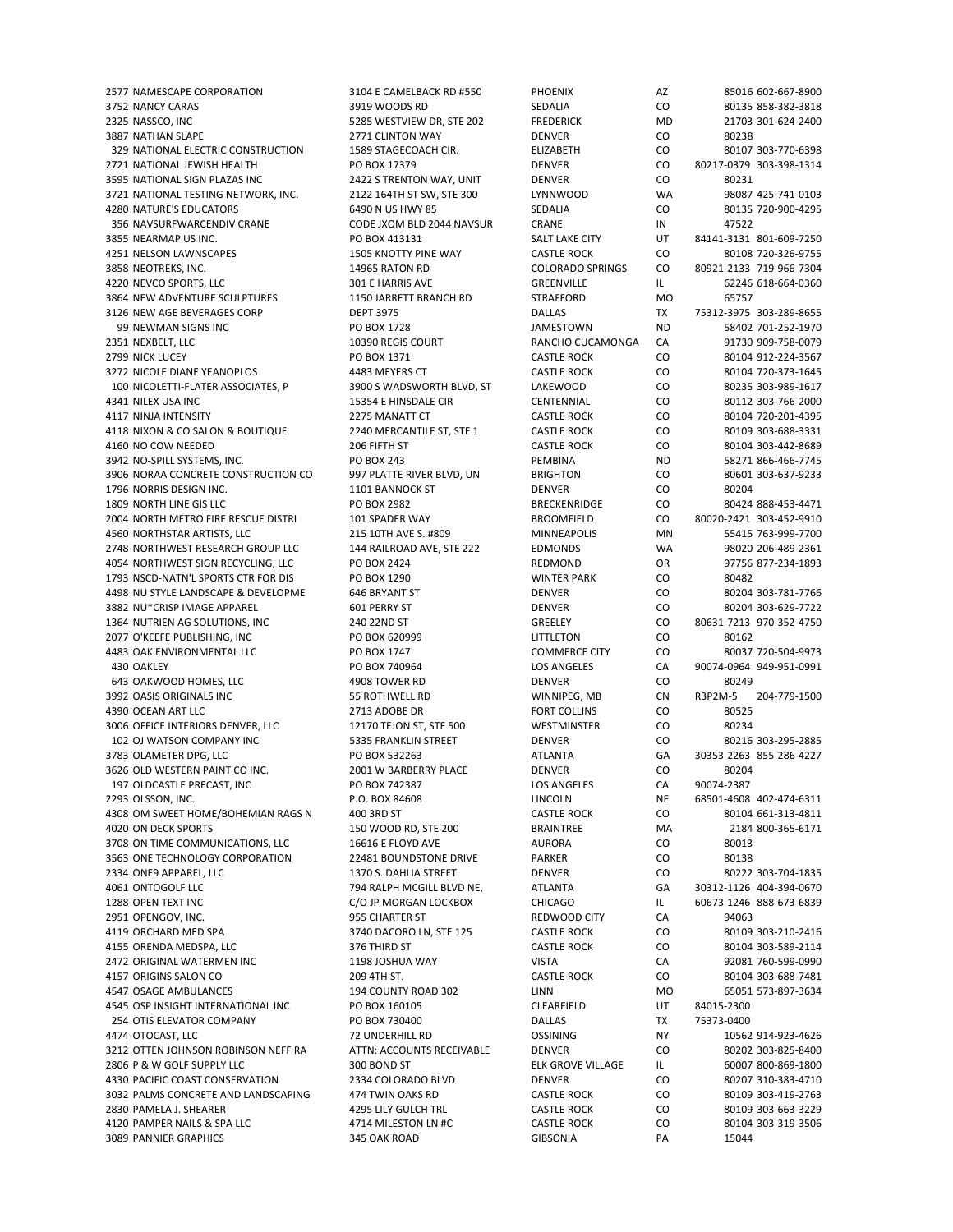3752 NANCY CARAS 3919 WOODS RD SEDALIA CO 80135 858‐382‐3818 2325 NASSCO, INC **1286 SEPT SEEMS WESTVIEW DR. STE 202** FREDERICK MD 21703 301-624-2400 3887 NATHAN SLAPE 2771 CLINTON WAY DENVER CO 80238 329 NATIONAL ELECTRIC CONSTRUCTION 1589 STAGECOACH CIR. ELIZABETH CO 80107 303‐770‐6398 2721 NATIONAL JEWISH HEALTH PO BOX 17379 DENVER CO 80217‐0379 303‐398‐1314 3595 NATIONAL SIGN PLAZAS INC 2422 S TRENTON WAY, UNIT DENVER CO 80231 3721 NATIONAL TESTING NETWORK, INC. 2122 164TH ST SW, STE 300 LYNNWOOD WA 4280 NATURE'S EDUCATORS 6490 N US HWY 85 SEDALIA CO 80135 720‐900‐4295 356 NAVSURFWARCENDIV CRANE CODE JXQM BLD 2044 NAVSUR CRANE IN 47522 3855 NEARMAP US INC. PO BOX 413131 SALT LAKE CITY UT 84141‐3131 801‐609‐7250 4251 NELSON LAWNSCAPES 1505 KNOTTY PINE WAY CASTLE ROCK CO 80108 720‐326‐9755 3858 NEOTREKS, INC. 14965 NETRATON RD COLORADO SPRINGS CO 80921‐2133 719‐966‐7304 4220 NEVCO SPORTS, LLC 301 E HARRIS AVE GREENVILLE IL 62246 618‐664‐0360 3864 NEW ADVENTURE SCULPTURES 
and the strain of the strain of the strafford and the strafford of the strain of the strain  $\sim$  65757 3126 NEW AGE BEVERAGES CORP DEPT 3975 DALLAS TX 75312‐3975 303‐289‐8655 99 NEWMAN SIGNS INC PO BOX 1728 JAMESTOWN ND 58402 701‐252‐1970 2351 NEXBELT, LLC 10390 REGIS COURT RANCHO CUCAMONGA CA 91730 909‐758‐0079 2799 NICK LUCEY PO BOX 1371 CASTLE ROCK CO 80104 912‐224‐3567 3272 NICOLE DIANE YEANOPLOS 4483 MEYERS CT CASTLE ROCK CO 80104 720‐373‐1645 100 NICOLETTI‐FLATER ASSOCIATES, P 3900 S WADSWORTH BLVD, ST LAKEWOOD CO 80235 303‐989‐1617 4341 NILEX USA INC 15354 E HINSDALE CIR CENTENNIAL CO 80112 303-766-2000 4117 NINJA INTENSITY 2275 MANATT CT CASTLE ROCK CO 80104 720‐201‐4395 4118 NIXON & CO SALON & BOUTIQUE 2240 MERCANTILE ST, STE 1 CASTLE ROCK CO 80109 303‐688‐3331 4160 NO COW NEEDED 206 FIFTH ST CASTLE ROCK CO 80104 303‐442‐8689 3942 NO‐SPILL SYSTEMS, INC. PO BOX 243 PEMBINA ND 58271 866‐466‐7745 3906 NORAA CONCRETE CONSTRUCTION CO 997 PLATTE RIVER BLVD, UN BRIGHTON CO 80601 303‐637‐9233 1796 NORRIS DESIGN INC. 1101 BANNOCK ST DENVER CO 80204 1809 NORTH LINE GIS LLC PO BOX 2982 BRECKENRIDGE CO 80424 888‐453‐4471 2004 NORTH METRO FIRE RESCUE DISTRI 101 SPADER WAY BROOMFIELD CO 80020-2421 303-452-9910 4560 NORTHSTAR ARTISTS, LLC 215 10TH AVE S. #809 MINNEAPOLIS MN 55415 763‐999‐7700 2748 NORTHWEST RESEARCH GROUP LLC 144 RAILROAD AVE, STE 222 EDMONDS WA 98020 206‐489‐2361 4054 NORTHWEST SIGN RECYCLING. LLC PO BOX 2424 REDMOND OR 1793 NSCD-NATN'L SPORTS CTR FOR DIS PO BOX 1290 WINTER PARK CO 80482 4498 NU STYLE LANDSCAPE & DEVELOPME 646 BRYANT ST DENVER CO 80204 303‐781‐7766 3882 NU\*CRISP IMAGE APPAREL 601 PERRY ST DENVER CO 80204 303‐629‐7722 1364 NUTRIEN AG SOLUTIONS, INC 240 22ND ST GREELEY CO 80631‐7213 970‐352‐4750 2077 O'KEEFE PUBLISHING, INC PO BOX 620999 LITTLETON CO 80162 4483 OAK ENVIRONMENTAL LLC PO BOX 1747 COMMERCE CITY CO 80037 720‐504‐9973 430 OAKLEY PO BOX 740964 LOS ANGELES CA 90074‐0964 949‐951‐0991 643 OAKWOOD HOMES, LLC 4908 TOWER RD DENVER CO 80249 3992 OASIS ORIGINALS INC 55 ROTHWELL RD WINNIPEG, MB CN R3P2M‐5 204‐779‐1500 4390 OCEAN ART LLC 2713 ADOBE DR FORT COLLINS CO 80525 3006 OFFICE INTERIORS DENVER, LLC 12170 TEJON ST, STE 500 WESTMINSTER CO 80234 102 OJ WATSON COMPANY INC 5335 FRANKLIN STREET DENVER CO 80216 303‐295‐2885 3783 OLAMETER DPG, LLC PO BOX 532263 ATLANTA GA 30353‐2263 855‐286‐4227 3626 OLD WESTERN PAINT CO INC. 2001 W BARBERRY PLACE DENVER CO 80204 197 OLDCASTLE PRECAST, INC PO BOX 742387 LOS ANGELES CA 90074‐2387 2293 OLSSON, INC. P.O. BOX 84608 LINCOLN NE 68501‐4608 402‐474‐6311 4308 OM SWEET HOME/BOHEMIAN RAGS N 400 3RD ST CASTLE ROCK CO 80104 661‐313‐4811 4020 ON DECK SPORTS 150 WOOD RD, STE 200 BRAINTREE MA 2184 800‐365‐6171 3708 ON TIME COMMUNICATIONS, LLC 16616 E FLOYD AVE AURORA CO 80013 3563 ONE TECHNOLOGY CORPORATION 22481 BOUNDSTONE DRIVE PARKER CO 80138 2334 ONE9 APPAREL, LLC 1370 S. DAHLIA STREET DENVER CO 80222 303‐704‐1835 1288 OPEN TEXT INC **C/O JP MORGAN LOCKBOX** CHICAGO IL 60673-1246 888-673-6839 2951 OPENGOV, INC. 955 CHARTER ST REDWOOD CITY CA 94063 4119 ORCHARD MED SPA **3740 DACORO LN. STE 125** CASTLE ROCK CO 4155 ORENDA MEDSPA, LLC 376 THIRD ST CASTLE ROCK CO 80104 303‐589‐2114 2472 ORIGINAL WATERMEN INC 1198 JOSHUA WAY VISTA CA 92081 760‐599‐0990 4157 ORIGINS SALON CO 209 4TH ST. CASTLE ROCK CO 80104 303‐688‐7481 4547 OSAGE AMBULANCES 194 COUNTY ROAD 302 LINN 1945 OSP 194 COUNTY ROAD 302 CLEARFIELD 1949 MO 65051 573-897-3634<br>1945 OSP INSIGHT INTERNATIONAL INC 1956 PO BOX 160105 1956 2002 CLEARFIELD 1956 UT 84015-2300 4545 OSP INSIGHT INTERNATIONAL INC PO BOX 160105 CLEARFIELD UT 254 OTIS ELEVATOR COMPANY PO BOX 730400 DALLAS TX 75373‐0400 4474 OTOCAST, LLC 72 UNDERHILL RD OSSINING NY 10562 914‐923‐4626 3212 OTTEN JOHNSON ROBINSON NEFF RA ATTN: ACCOUNTS RECEIVABLE DENVER CO 80202 303‐825‐8400 2806 P & W GOLF SUPPLY LLC 300 BOND ST ELK GROVE VILLAGE IL 60007 800‐869‐1800 4330 PACIFIC COAST CONSERVATION 2334 COLORADO BLVD DENVER CO 80207 310‐383‐4710 3032 PALMS CONCRETE AND LANDSCAPING 474 TWIN OAKS RD CASTLE ROCK CO 80109 303‐419‐2763 2830 PAMELA J. SHEARER 4295 LILY GULCH TRL CASTLE ROCK CO 80109 303‐663‐3229 4120 PAMPER NAILS & SPA LLC 4714 MILESTON LN #C CASTLE ROCK CO 80104 303-319-3506 3089 PANNIER GRAPHICS 345 OAK ROAD GIBSONIA PA 15044

2577 NAMESCAPE CORPORATION 3104 E CAMELBACK RD #550 PHOENIX AZ 85016 602‐667‐8900 794 RALPH MCGILL BLVD NE, ATLANTA 304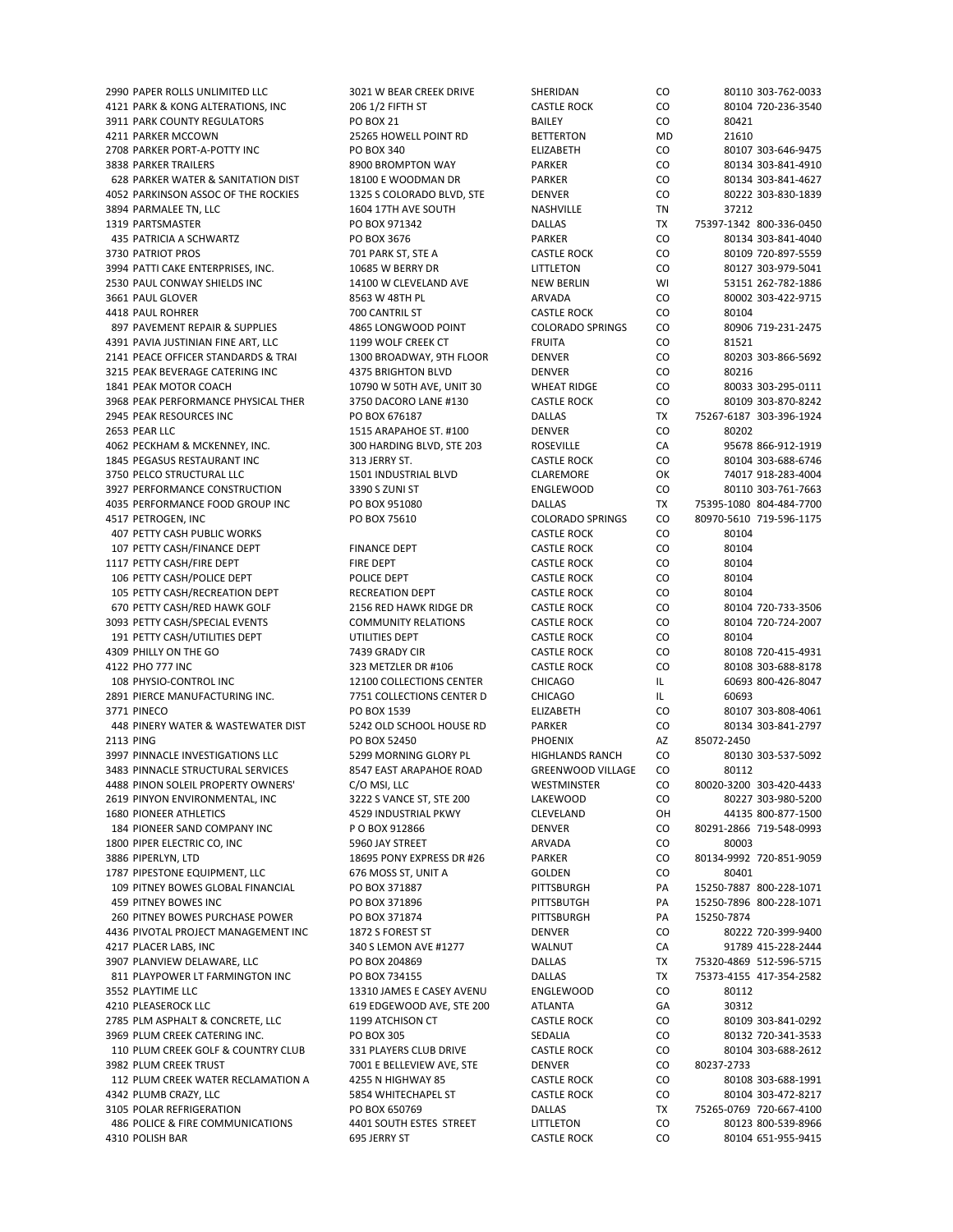4121 PARK & KONG ALTERATIONS, INC 206 1/2 FIFTH ST CASTLE ROCK CO 80104 720‐236‐3540 3911 PARK COUNTY REGULATORS PO BOX 21 BAILEY CO 80421 4211 PARKER MCCOWN 25265 HOWELL POINT RD BETTERTON MD 21610 2708 PARKER PORT‐A‐POTTY INC PO BOX 340 ELIZABETH CO 80107 303‐646‐9475 3838 PARKER TRAILERS 8900 BROMPTON WAY PARKER CO 80134 303‐841‐4910 628 PARKER WATER & SANITATION DIST 18100 E WOODMAN DR PARKER CO 80134 303‐841‐4627 4052 PARKINSON ASSOC OF THE ROCKIES 1325 S COLORADO BLVD, STE DENVER CO 80222 303‐830‐1839 3894 PARMALEE TN, LLC 1604 17TH AVE SOUTH NASHVILLE TN 37212 1319 PARTSMASTER PO BOX 971342 DALLAS TX 75397‐1342 800‐336‐0450 435 PATRICIA A SCHWARTZ PO BOX 3676 PARKER CO 80134 303‐841‐4040 3730 PATRIOT PROS 720-897-5559 701 PARK ST, STE A CASTLE ROCK CO 80109 720‐897‐5559 3994 PATTI CAKE ENTERPRISES, INC. 10685 W BERRY DR LITTLETON CO 80127 303‐979‐5041 2530 PAUL CONWAY SHIELDS INC 14100 W CLEVELAND AVE NEW BERLIN WI 53151 262-782-1886 3661 PAUL GLOVER 8563 W 48TH PL ARVADA CO 80002 303‐422‐9715 4418 PAUL ROHRER 700 CANTRIL ST CASTLE ROCK CO 80104 897 PAVEMENT REPAIR & SUPPLIES 4865 LONGWOOD POINT COLORADO SPRINGS CO 80906 719-231-2475 4391 PAVIA JUSTINIAN FINE ART, LLC 1199 WOLF CREEK CT FRUITA CO 81521 2141 PEACE OFFICER STANDARDS & TRAI 1300 BROADWAY, 9TH FLOOR DENVER CO 3215 PEAK BEVERAGE CATERING INC 4375 BRIGHTON BLVD DENVER CO 80216 1841 PEAK MOTOR COACH 10790 W 50TH AVE, UNIT 30 WHEAT RIDGE CO 80033 303‐295‐0111 3968 PEAK PERFORMANCE PHYSICAL THER 3750 DACORO LANE #130 CASTLE ROCK CO 80109 303‐870‐8242 2945 PEAK RESOURCES INC RESOURCES INC RESOURCES INCLUSION OF BOX 676187 DALLAS DALLAS TX 75267‐6187 303‐396‐1924<br>2653 PEAR LLC RESOURCES DAN RESOURCE STRAIN ARAPAHOE ST. #100 DENVER DENTAR COM RESOURCES 2653 PEAR LLC 1515 ARAPAHOE ST. #100 DENVER CO 80202 4062 PECKHAM & MCKENNEY, INC. 300 HARDING BLVD, STE 203 ROSEVILLE CA 95678 866‐912‐1919 1845 PEGASUS RESTAURANT INC 313 JERRY ST. CASTLE ROCK CO 80104 303‐688‐6746 3750 PELCO STRUCTURAL LLC 1501 INDUSTRIAL BLVD CLAREMORE OK 74017 918-283-4004 3927 PERFORMANCE CONSTRUCTION 3390 S ZUNI ST ENGLEWOOD CO 80110 303-761-7663 4035 PERFORMANCE FOOD GROUP INC PO BOX 951080 DALLAS TX 75395‐1080 804‐484‐7700 4517 PETROGEN, INC PO BOX 75610 COLORADO SPRINGS CO 80970‐5610 719‐596‐1175 407 PETTY CASH PUBLIC WORKS CASTLE ROCK CONSIDER THE ROCK CONSIDER A RESERVE CONSIDER A RESERVE COMPUTER ON A RESERVE COMPUTER SOLD A RESERVE COMPUTER ON A RESERVE COMPUTER ON A RESERVE COMPUTER ON A RESERVE COMPUTER ON A 107 PETTY CASH/FINANCE DEPT FINANCE DEPT CASTLE ROCK CO 80104 1117 PETTY CASH/FIRE DEPT FIRE DEPT FIRE DEPT CASTLE ROCK 106 PETTY CASH/POLICE DEPT **POLICE DEPT** POLICE DEPT CASTLE ROCK CO 80104 105 PETTY CASH/RECREATION DEPT RECREATION DEPT CASTLE ROCK CO 80104 670 PETTY CASH/RED HAWK GOLF 2156 RED HAWK RIDGE DR CASTLE ROCK CO 80104 720‐733‐3506 3093 PETTY CASH/SPECIAL EVENTS COMMUNITY RELATIONS CASTLE ROCK CO 80104 720‐724‐2007 191 PETTY CASH/UTILITIES DEPT **UTILITIES DEPT** CASTLE ROCK CO 80104 4309 PHILLY ON THE GO **1200 PMILLY ON THE GO** 7439 GRADY CIR CASTLE ROCK CO 80108 720-415-4931 4122 PHO 777 INC 323 METZLER DR #106 CASTLE ROCK CO 80108 303‐688‐8178 108 PHYSIO‐CONTROL INC 12100 COLLECTIONS CENTER CHICAGO IL 60693 800‐426‐8047 2891 PIERCE MANUFACTURING INC. 7751 COLLECTIONS CENTER D CHICAGO IL 60693 3771 PINECO PO BOX 1539 ELIZABETH CO 80107 303‐808‐4061 448 PINERY WATER & WASTEWATER DIST 5242 OLD SCHOOL HOUSE RD PARKER CO 80134 303‐841‐2797 2113 PING PO BOX 52450 PHOENIX AZ 85072‐2450 3997 PINNACLE INVESTIGATIONS LLC 5299 MORNING GLORY PL HIGHLANDS RANCH CO 80130 303‐537‐5092 3483 PINNACLE STRUCTURAL SERVICES 8547 EAST ARAPAHOE ROAD GREENWOOD VILLAGE CO 80112 4488 PINON SOLEIL PROPERTY OWNERS' C/O MSI, LLC WESTMINSTER CO 80020‐3200 303‐420‐4433 2619 PINYON ENVIRONMENTAL, INC 3222 S VANCE ST, STE 200 LAKEWOOD CO 80227 303‐980‐5200 1680 PIONEER ATHLETICS 4529 INDUSTRIAL PKWY CLEVELAND OH 44135 800‐877‐1500 184 PIONEER SAND COMPANY INC P O BOX 912866 DENVER CO 80291‐2866 719‐548‐0993 1800 PIPER ELECTRIC CO, INC 5960 JAY STREET ARVADA CO 80003 3886 PIPERLYN, LTD 18695 PONY EXPRESS DR #26 PARKER CO 80134-9992 720-851-9059 1787 PIPESTONE EQUIPMENT, LLC 676 MOSS ST, UNIT A GOLDEN CO 80401 109 PITNEY BOWES GLOBAL FINANCIAL 459 PITNEY BOWES INC PO BOX 371896 PITTSBUTGH PA 15250‐7896 800‐228‐1071 260 PITNEY BOWES PURCHASE POWER PO BOX 371874 PITTSBURGH PA 15250‐7874 4436 PIVOTAL PROJECT MANAGEMENT INC 1872 S FOREST ST DENVER DENVER CO 80222 720-399-9400 4217 PLACER LABS, INC 340 S LEMON AVE #1277 WALNUT CA 91789 415‐228‐2444 3907 PLANVIEW DELAWARE, LLC PO BOX 204869 DALLAS TX 75320‐4869 512‐596‐5715 811 PLAYPOWER LT FARMINGTON INC PO BOX 734155 DALLAS DALLAS TX 75373-4155 417-354-2582 3552 PLAYTIME LLC 13310 JAMES E CASEY AVENU ENGLEWOOD CO 80112 4210 PLEASEROCK LLC 619 EDGEWOOD AVE, STE 200 ATLANTA GA 30312 2785 PLM ASPHALT & CONCRETE, LLC 1199 ATCHISON CT CASTLE ROCK CO 80109 303‐841‐0292 3969 PLUM CREEK CATERING INC. PO BOX 305 SEDALIA CO 80132 720‐341‐3533 110 PLUM CREEK GOLF & COUNTRY CLUB 331 PLAYERS CLUB DRIVE CASTLE ROCK CO 80104 303‐688‐2612 3982 PLUM CREEK TRUST TRUST THE RELLEVIEW AVE, STE DENVER THE CO 80237-2733 112 PLUM CREEK WATER RECLAMATION A 4255 N HIGHWAY 85 CASTLE ROCK CO 80108 303‐688‐1991 4342 PLUMB CRAZY, LLC 5854 WHITECHAPEL ST CASTLE ROCK CO 80104 303‐472‐8217 3105 POLAR REFRIGERATION PO BOX 650769 DALLAS TX 75265‐0769 720‐667‐4100 486 POLICE & FIRE COMMUNICATIONS 4401 SOUTH ESTES STREET LITTLETON CO 80123 800-539-8966 4310 POLISH BAR 695 JERRY ST CASTLE ROCK CO 80104 651‐955‐9415

2990 PAPER ROLLS UNLIMITED LLC 3021 W BEAR CREEK DRIVE SHERIDAN CO 80110 303‐762‐0033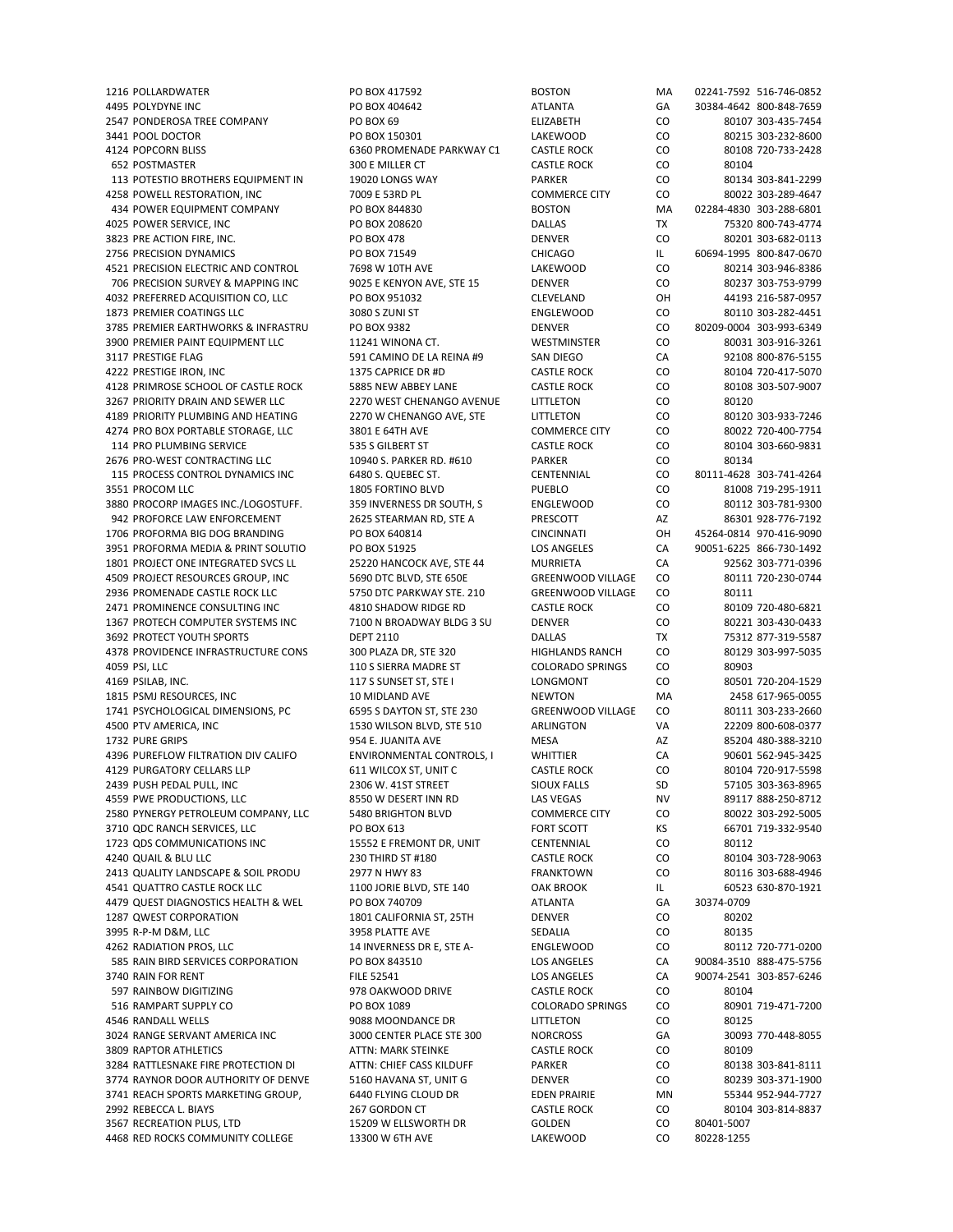4495 POLYDYNE INC PO BOX 404642 ATLANTA GA 30384‐4642 800‐848‐7659 2547 PONDEROSA TREE COMPANY PO BOX 69 ELIZABETH CO 80107 303‐435‐7454 3441 POOL DOCTOR PO BOX 150301 PO BOX 150301 LAKEWOOD CO 80215 303-232-8600 4124 POPCORN BLISS 6360 PROMENADE PARKWAY C1 CASTLE ROCK CO 80108 720‐733‐2428 652 POSTMASTER **300 E MILLER CT CASTLE ROCK CO** 80104 113 POTESTIO BROTHERS EQUIPMENT IN 19020 LONGS WAY PARKER CO 80134 303‐841‐2299<br>1958 POWELL RESTORATION INC 7009 F 53RD PLOTESTION COMMERCE CITY CO 80022 303‐289‐4647 4258 POWELL RESTORATION, INC 7009 E 53RD PL COMMERCE CITY CO 80022 303‐289‐4647 434 POWER EQUIPMENT COMPANY PO BOX 844830 BOSTON MA 02284‐4830 303‐288‐6801 4025 POWER SERVICE, INC PO BOX 208620 DALLAS TX 75320 800‐743‐4774 3823 PRE ACTION FIRE, INC. PO BOX 478 DENVER CO 80201 303‐682‐0113 2756 PRECISION DYNAMICS PO BOX 71549 CHICAGO IL 60694‐1995 800‐847‐0670 4521 PRECISION ELECTRIC AND CONTROL 7698 W 10TH AVE LAKEWOOD CO 80214 303‐946‐8386 706 PRECISION SURVEY & MAPPING INC 9025 E KENYON AVE, STE 15 DENVER CO 80237 303‐753‐9799 4032 PREFERRED ACQUISITION CO, LLC PO BOX 951032 CLEVELAND OH 44193 216‐587‐0957 1873 PREMIER COATINGS LLC 3080 S ZUNI ST ENGLEWOOD CO 80110 303‐282‐4451 3785 PREMIER EARTHWORKS & INFRASTRU PO BOX 9382 DENVER CO 80209‐0004 303‐993‐6349 3900 PREMIER PAINT EQUIPMENT LLC 11241 WINONA CT. WESTMINSTER CO 80031 303‐916‐3261 3117 PRESTIGE FLAG 591 CAMINO DE LA REINA #9 SAN DIEGO CA 92108 800‐876‐5155 4222 PRESTIGE IRON, INC 1375 CAPRICE DR #D CASTLE ROCK CO 80104 720‐417‐5070 4128 PRIMROSE SCHOOL OF CASTLE ROCK 5885 NEW ABBEY LANE CASTLE ROCK CO 80108 303‐507‐9007 3267 PRIORITY DRAIN AND SEWER LLC 2270 WEST CHENANGO AVENUE LITTLETON CO 80120 4189 PRIORITY PLUMBING AND HEATING 2270 W CHENANGO AVE, STE LITTLETON CO 80120 303‐933‐7246 4274 PRO BOX PORTABLE STORAGE, LLC 3801 E 64TH AVE COMMERCE CITY CO 80022 720‐400‐7754 114 PRO PLUMBING SERVICE 535 S GILBERT ST CASTLE ROCK CO 80104 303‐660‐9831 2676 PRO‐WEST CONTRACTING LLC 10940 S. PARKER RD. #610 PARKER CO 80134 115 PROCESS CONTROL DYNAMICS INC 6480 S. QUEBEC ST. CENTENNIAL CO 80111‐4628 303‐741‐4264 3551 PROCOM LLC 1805 FORTINO BLVD PUEBLO CO 81008 719‐295‐1911 3880 PROCORP IMAGES INC./LOGOSTUFF. 359 INVERNESS DR SOUTH, S ENGLEWOOD CO 80112 303-781-9300 942 PROFORCE LAW ENFORCEMENT 2625 STEARMAN RD, STE A PRESCOTT AZ 86301 928‐776‐7192 1706 PROFORMA BIG DOG BRANDING PO BOX 640814 CINCINNATI OH 45264‐0814 970‐416‐9090 3951 PROFORMA MEDIA & PRINT SOLUTIO PO BOX 51925 LOS ANGELES CA 90051-6225 866-730-1492<br>1801 PROJECT ONE INTEGRATED SVCS LL 25220 HANCOCK AVE, STE 44 MURRIETA CA 92562 303-771-0396 1801 PROJECT ONE INTEGRATED SVCS LL 25220 HANCOCK AVE, STE 44 MURRIETA CA 92562 30 4509 PROJECT RESOURCES GROUP, INC 5690 DTC BLVD, STE 650E GREENWOOD VILLAGE CO 80111 720‐230‐0744 2936 PROMENADE CASTLE ROCK LLC 5750 DTC PARKWAY STE. 210 GREENWOOD VILLAGE CO 80111 2471 PROMINENCE CONSULTING INC 4810 SHADOW RIDGE RD CASTLE ROCK CO 80109 720‐480‐6821 1367 PROTECH COMPUTER SYSTEMS INC 7100 N BROADWAY BLDG 3 SU DENVER CO 80221 303‐430‐0433 3692 PROTECT YOUTH SPORTS DEPT 2110 DALLAS TX 75312 877‐319‐5587 4378 PROVIDENCE INFRASTRUCTURE CONS 300 PLAZA DR, STE 320 HIGHLANDS RANCH CO 80129 303‐997‐5035 4059 PSI, LLC 110 S SIERRA MADRE ST COLORADO SPRINGS CO 80903 4169 PSILAB, INC. 117 S SUNSET ST, STE I LONGMONT CO 80501 720‐204‐1529 1815 PSMJ RESOURCES, INC 10 MIDLAND AVE NEWTON MA 2458 617‐965‐0055 1741 PSYCHOLOGICAL DIMENSIONS, PC 6595 S DAYTON ST, STE 230 GREENWOOD VILLAGE CO 80111 303-233-2660 4500 PTV AMERICA, INC 1530 WILSON BLVD, STE 510 ARLINGTON VA 22209 800-608-0377 1732 PURE GRIPS 85204 ABO-388-3210 954 E. JUANITA AVE MESA MESA AZ 85204 480‐388‐3210 4396 PUREFLOW FILTRATION DIV CALIFO ENVIRONMENTAL CONTROLS, I WHITTIER CA 90601 562‐945‐3425 4129 PURGATORY CELLARS LLP 611 WILCOX ST, UNIT C CASTLE ROCK CO 80104 720‐917‐5598 2439 PUSH PEDAL PULL, INC 2306 W. 41ST STREET SIOUX FALLS SD 57105 303‐363‐8965 4559 PWE PRODUCTIONS, LLC 8550 W DESERT INN RD LAS VEGAS NV 89117 888-250-8712 2580 PYNERGY PETROLEUM COMPANY, LLC 5480 BRIGHTON BLVD COMMERCE CITY CO 80022 303‐292‐5005 3710 QDC RANCH SERVICES, LLC PO BOX 613 FORT SCOTT KS 66701 719‐332‐9540 1723 ODS COMMUNICATIONS INC<br>
15552 E FREMONT DR. UNIT CENTENNIAL CO 80112 4240 QUAIL & BLU LLC 230 THIRD ST #180 CASTLE ROCK CO 80104 303‐728‐9063 2413 QUALITY LANDSCAPE & SOIL PRODU 2977 N HWY 83 FRANKTOWN CO 80116 303‐688‐4946<br>2541 QUATTRO CASTLE ROCK LLC 100 10RIE BLVD, STE 140 GAK BROOK IL 60523 630‐870‐1921 4541 QUATTRO CASTLE ROCK LLC **1100 JORIE BLVD, STE 140** OAK BROOK IL 60523 645 4479 QUEST DIAGNOSTICS HEALTH & WEL PO BOX 740709 ATLANTA GA 30374-0709 1287 QWEST CORPORATION 1801 CALIFORNIA ST, 25TH DENVER CO 80202 3995 R‐P‐M D&M, LLC 3958 PLATTE AVE SEDALIA CO 80135 4262 RADIATION PROS, LLC **14 INVERNESS DR E, STE A‐** ENGLEWOOD CO 80112 720‐771‐0200 585 RAIN BIRD SERVICES CORPORATION PO BOX 843510 LOS ANGELES CA 90084-3510 888-475-5756 3740 RAIN FOR RENT FILE 52541 LOS ANGELES CA 90074‐2541 303‐857‐6246 597 RAINBOW DIGITIZING 978 OAKWOOD DRIVE CASTLE ROCK CO 80104 516 RAMPART SUPPLY CO **PO BOX 1089** PO BOX 1089 COLORADO SPRINGS CO 80901 719-471-7200 4546 RANDALL WELLS 9088 MOONDANCE DR LITTLETON CO 80125 3024 RANGE SERVANT AMERICA INC 3000 CENTER PLACE STE 300 NORCROSS GA 30093 770‐448‐8055 3809 RAPTOR ATHLETICS **ATTN: MARK STEINKE CASTLE ROCK** CO 80109 3284 RATTLESNAKE FIRE PROTECTION DI ATTN: CHIEF CASS KILDUFF PARKER CO 80138 303-841-8111 3774 RAYNOR DOOR AUTHORITY OF DENVE 5160 HAVANA ST, UNIT G DENVER CO 80239 303-371-1900 3741 REACH SPORTS MARKETING GROUP. 6440 FLYING CLOUD DR EDEN PRAIRIE MN 55344 952-944-7727 2992 REBECCA L. BIAYS 267 GORDON CT CASTLE ROCK CO 80104 303‐814‐8837 3567 RECREATION PLUS, LTD 15209 W ELLSWORTH DR GOLDEN CO 80401‐5007 4468 RED ROCKS COMMUNITY COLLEGE 13300 W 6TH AVE LAKEWOOD CO

1216 POLLARDWATER PO BOX 417592 BOSTON MA 02241‐7592 516‐746‐0852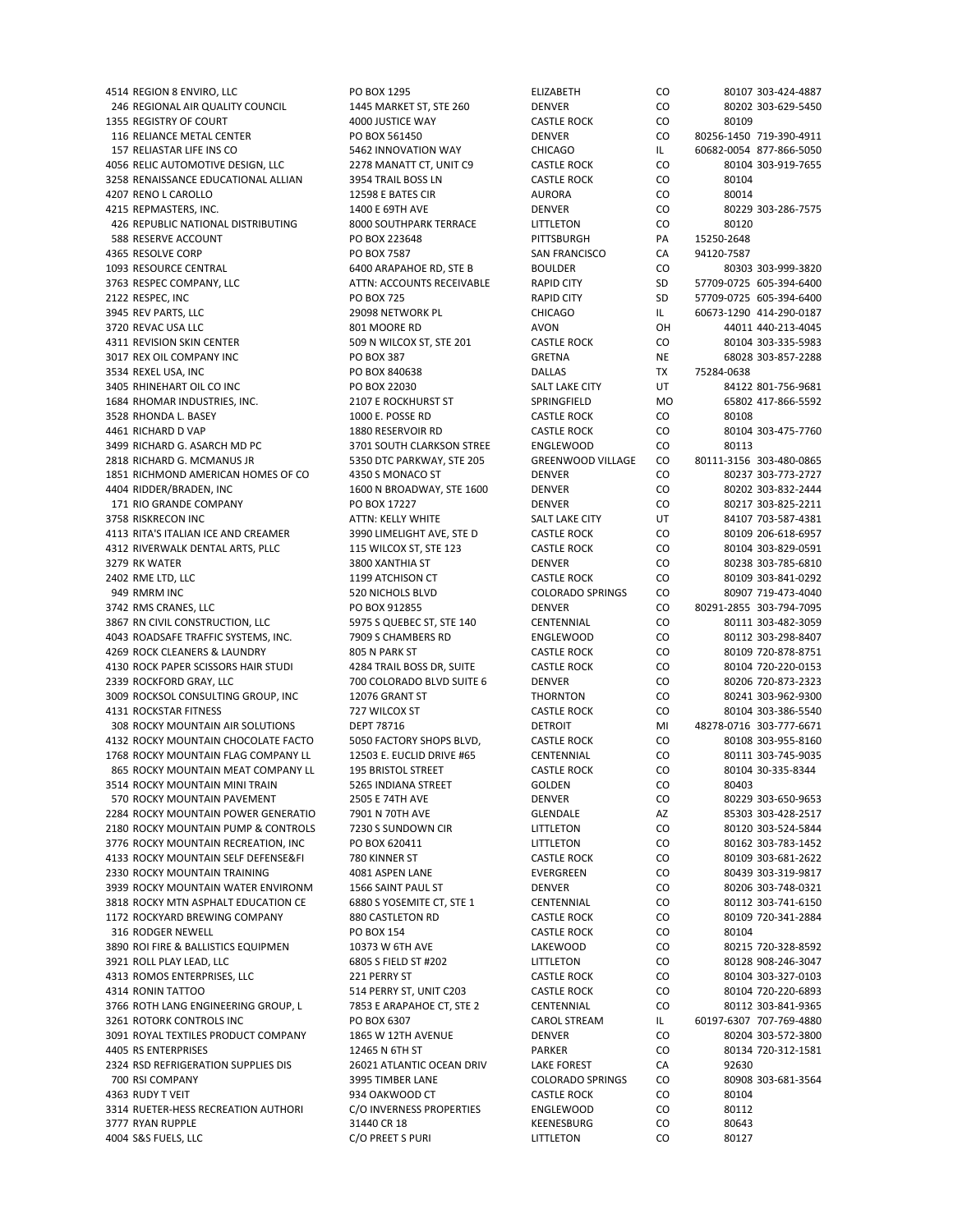4514 REGION 8 ENVIRO, LLC PO BOX 1295 ELIZABETH CO 80107 303‐424‐4887 246 REGIONAL AIR QUALITY COUNCIL 1445 MARKET ST, STE 260 DENVER CO 80202 303-629-5450 1355 REGISTRY OF COURT 4000 JUSTICE WAY CASTLE ROCK CO 80109 116 RELIANCE METAL CENTER PO BOX 561450 DENVER CO 80256‐1450 719‐390‐4911 157 RELIASTAR LIFE INS CO 5462 INNOVATION WAY CHICAGO IL 60682‐0054 877‐866‐5050 4056 RELIC AUTOMOTIVE DESIGN, LLC 2278 MANATT CT, UNIT C9 CASTLE ROCK CO 80104 303‐919‐7655 3258 RENAISSANCE EDUCATIONAL ALLIAN 3954 TRAIL BOSS LN CASTLE ROCK CO 80104 4207 RENO L CAROLLO 12598 E BATES CIR AURORA CO 80014 4215 REPMASTERS, INC. 1400 E 69TH AVE DENVER CO 80229 303‐286‐7575 426 REPUBLIC NATIONAL DISTRIBUTING 8000 SOUTHPARK TERRACE LITTLETON CO 80120 588 RESERVE ACCOUNT PO BOX 223648 PITTSBURGH PA 15250‐2648 4365 RESOLVE CORP PO PO BOX 7587 SAN FRANCISCO CA 94120‐7587 1093 RESOURCE CENTRAL 6400 ARAPAHOE RD, STE B BOULDER CO 80303 303‐999‐3820 3763 RESPEC COMPANY, LLC ATTN: ACCOUNTS RECEIVABLE RAPID CITY SD 57709‐0725 605‐394‐6400 2122 RESPEC, INC PO BOX 725 RAPID CITY SD 57709‐0725 605‐394‐6400 3945 REV PARTS, LLC 2909 29098 NETWORK PL CHICAGO IL 60673-1290 414-290-0187 3720 REVAC USA LLC 801 MOORE RD AVON OH 44011 440‐213‐4045 4311 REVISION SKIN CENTER 609 N WILCOX ST, STE 201 CASTLE ROCK CO 80104 303-335-5983 3017 REX OIL COMPANY INC PO BOX 387 GRETNA NE 68028 303‐857‐2288 3534 REXEL USA, INC PO BOX 840638 DALLAS TX 75284‐0638 3405 RHINEHART OIL CO INC PO BOX 22030 SALT LAKE CITY UT 84122 801‐756‐9681 1684 RHOMAR INDUSTRIES, INC. 2107 E ROCKHURST ST SPRINGFIELD MO 65802 417‐866‐5592 3528 RHONDA L. BASEY 1000 E. POSSE RD CASTLE ROCK CO 80108 4461 RICHARD D VAP 1880 RESERVOIR RD CASTLE ROCK CO 80104 303‐475‐7760 3499 RICHARD G. ASARCH MD PC 3701 SOUTH CLARKSON STREE ENGLEWOOD CO 80113 2818 RICHARD G. MCMANUS JR 5350 DTC PARKWAY, STE 205 GREENWOOD VILLAGE CO 80111‐3156 303‐480‐0865 1851 RICHMOND AMERICAN HOMES OF CO 4350 S MONACO ST DENVER CO 80237 303‐773‐2727 4404 RIDDER/BRADEN, INC 1600 N BROADWAY, STE 1600 DENVER CO 80202 303‐832‐2444 171 RIO GRANDE COMPANY PO BOX 17227 DENVER CO 80217 303‐825‐2211 3758 RISKRECON INC ATTN: KELLY WHITE SALT LAKE CITY UT 84107 703‐587‐4381 4113 RITA'S ITALIAN ICE AND CREAMER 3990 LIMELIGHT AVE, STE D CASTLE ROCK CO 80109 206‐618‐6957 4312 RIVERWALK DENTAL ARTS, PLLC 115 WILCOX ST, STE 123 CASTLE ROCK CO 80104 303-829-0591 3279 RK WATER 3800 XANTHIA ST DENVER CO 80238 303‐785‐6810 2402 RME LTD, LLC 1199 ATCHISON CT CASTLE ROCK CO 80109 303‐841‐0292 949 RMRM INC 520 NICHOLS BLVD COLORADO SPRINGS CO 80907 719‐473‐4040 3742 RMS CRANES, LLC PO BOX 912855 DENVER CO 80291‐2855 303‐794‐7095 3867 RN CIVIL CONSTRUCTION, LLC 5975 S QUEBEC ST, STE 140 CENTENNIAL CO 80111 303‐482‐3059 4043 ROADSAFE TRAFFIC SYSTEMS, INC. 7909 S CHAMBERS RD ENGLEWOOD CO 80112 303‐298‐8407 4269 ROCK CLEANERS & LAUNDRY 805 N PARK ST CASTLE ROCK CO 80109 720‐878‐8751 4130 ROCK PAPER SCISSORS HAIR STUDI 4284 TRAIL BOSS DR, SUITE CASTLE ROCK CO 80104 720‐220‐0153 2339 ROCKFORD GRAY, LLC 700 COLORADO BLVD SUITE 6 DENVER CO 80206 720‐873‐2323 3009 ROCKSOL CONSULTING GROUP, INC 12076 GRANT ST THORNTON CO 80241 303‐962‐9300 4131 ROCKSTAR FITNESS 727 WILCOX ST CASTLE ROCK CO 80104 303‐386‐5540 308 ROCKY MOUNTAIN AIR SOLUTIONS DEPT 78716 DETROIT MI 48278‐0716 303‐777‐6671 4132 ROCKY MOUNTAIN CHOCOLATE FACTO 5050 FACTORY SHOPS BLVD, CASTLE ROCK CO 80108 303‐955‐8160 1768 ROCKY MOUNTAIN FLAG COMPANY LL 12503 E. EUCLID DRIVE #65 CENTENNIAL CO 80111 303‐745‐9035 865 ROCKY MOUNTAIN MEAT COMPANY LL 195 BRISTOL STREET CASTLE ROCK CO 80104 30‐335‐8344 3514 ROCKY MOUNTAIN MINI TRAIN 5265 INDIANA STREET GOLDEN CO 80403 570 ROCKY MOUNTAIN PAVEMENT 2505 E 74TH AVE DENVER CO 80229 303‐650‐9653 2284 ROCKY MOUNTAIN POWER GENERATIO 7901 N 70TH AVE GLENDALE GLENDALE AZ 85303 303-428-2517 2180 ROCKY MOUNTAIN PUMP & CONTROLS 7230 S SUNDOWN CIR LITTLETON CO 80120 303‐524‐5844 3776 ROCKY MOUNTAIN RECREATION, INC PO BOX 620411 LITTLETON CO 80162 303-783-1452 4133 ROCKY MOUNTAIN SELF DEFENSE&FI 780 KINNER ST CASTLE ROCK CO 80109 303‐681‐2622 2330 ROCKY MOUNTAIN TRAINING 4081 ASPEN LANE EVERGREEN CO 80439 303‐319‐9817 3939 ROCKY MOUNTAIN WATER ENVIRONM 1566 SAINT PAUL ST DENVER 3818 ROCKY MTN ASPHALT EDUCATION CE 6880 S YOSEMITE CT, STE 1 CENTENNIAL CO 80112 303‐741‐6150 1172 ROCKYARD BREWING COMPANY 880 CASTLETON RD CASTLE ROCK CO 80109 720‐341‐2884 316 RODGER NEWELL PO BOX 154 CASTLE ROCK CO 80104 3890 ROI FIRE & BALLISTICS EQUIPMEN 10373 W 6TH AVE LAKEWOOD CO 80215 720‐328‐8592 3921 ROLL PLAY LEAD, LLC 6805 S FIELD ST #202 LITTLETON CO 80128 908‐246‐3047 4313 ROMOS ENTERPRISES, LLC 221 PERRY ST CASTLE ROCK CO 80104 303‐327‐0103 4314 RONIN TATTOO 6893 STALE ROCK CONTROLLED FOR SOLO 4314 RONIN TATTOO 46893 3766 ROTH LANG ENGINEERING GROUP, L 7853 E ARAPAHOE CT, STE 2 CENTENNIAL CO 80112 303‐841‐9365 3261 ROTORK CONTROLS INC PO BOX 6307 CAROL STREAM IL 60197‐6307 707‐769‐4880 3091 ROYAL TEXTILES PRODUCT COMPANY 1865 W 12TH AVENUE DENVER CO 80204 303‐572‐3800 4405 RS ENTERPRISES 12465 N 6TH ST PARKER CO 80134 720‐312‐1581 2324 RSD REFRIGERATION SUPPLIES DIS 26021 ATLANTIC OCEAN DRIV LAKE FOREST CA 92630 700 RSI COMPANY 3995 TIMBER LANE COLORADO SPRINGS CO 80908 303‐681‐3564 4363 RUDY T VEIT 934 OAKWOOD CT CASTLE ROCK CO 80104 3314 RUETER‐HESS RECREATION AUTHORI C/O INVERNESS PROPERTIES ENGLEWOOD CO 80112 3777 RYAN RUPPLE **31440 CR 18** S1440 CR 18 KEENESBURG CO 80643 4004 S&S FUELS, LLC C/O PREET S PURI LITTLETON CO 80127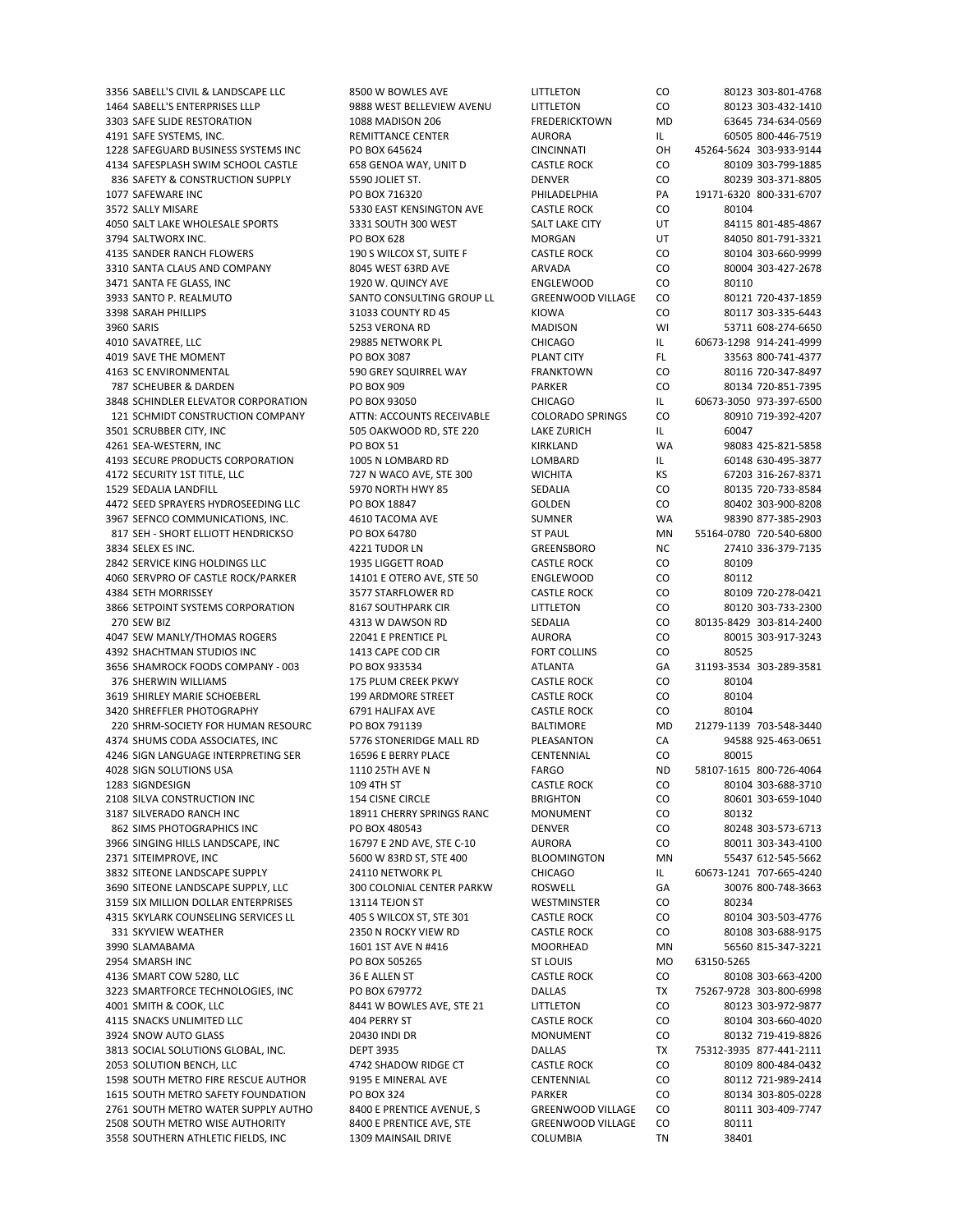1464 SABELL'S ENTERPRISES LLLP 9888 WEST BELLEVIEW AVENU LITTLETON CO 80123 303‐432‐1410 3303 SAFE SLIDE RESTORATION 1088 MADISON 206 FREDERICKTOWN MD 63645 734-634-0569 4191 SAFE SYSTEMS, INC. AURORA IL GOSOS 800‐446‐7519 REMITTANCE CENTER AURORA IL 60505 800‐446‐7519 1228 SAFEGUARD BUSINESS SYSTEMS INC PO BOX 645624 CINCINNATI OH 45264‐5624 303‐933‐9144 4134 SAFESPLASH SWIM SCHOOL CASTLE 658 GENOA WAY, UNIT D CASTLE ROCK CO 80109 303‐799‐1885 836 SAFETY & CONSTRUCTION SUPPLY 5590 JOLIET ST. SERVER SERVER CO 80239 303‐371‐8805<br>1077 SAFEWARE INC 800‐331‐6707 PO BOX 716320 PHILADEL PHIA PA 19171‐6320 800‐331‐6707 1077 SAFEWARE INC PO BOX 716320 PHILADELPHIA PA 19171‐6320 800‐331‐6707 3572 SALLY MISARE 5330 EAST KENSINGTON AVE CASTLE ROCK CO 80104 4050 SALT LAKE WHOLESALE SPORTS 3331 SOUTH 300 WEST SALT LAKE CITY UT 84115 801‐485‐4867 3794 SALTWORX INC. PO BOX 628 MORGAN UT 84050 801‐791‐3321 4135 SANDER RANCH FLOWERS 190 S WILCOX ST, SUITE F CASTLE ROCK CO 80104 303‐660‐9999 3310 SANTA CLAUS AND COMPANY 8045 WEST 63RD AVE ARVADA CO 80004 303‐427‐2678 3471 SANTA FE GLASS, INC 1920 W. QUINCY AVE ENGLEWOOD CO 80110 3933 SANTO P. REALMUTO SANTO CONSULTING GROUP LL GREENWOOD VILLAGE CO 80121 720-437-1859 3398 SARAH PHILLIPS 31033 COUNTY RD 45 KIOWA CO 80117 303‐335‐6443 3960 SARIS 5253 VERONA RD MADISON WI 53711 608‐274‐6650 4010 SAVATREE, LLC 29885 NETWORK PL CHICAGO IL 60673‐1298 914‐241‐4999 4019 SAVE THE MOMENT PO BOX 3087 PLANT CITY FL 33563 800‐741‐4377 4163 SC ENVIRONMENTAL 590 GREY SQUIRREL WAY FRANKTOWN CO 80116 720‐347‐8497 787 SCHEUBER & DARDEN PO BOX 909 PARKER CO 80134 720‐851‐7395 3848 SCHINDLER ELEVATOR CORPORATION PO BOX 93050 CHICAGO IL 60673‐3050 973‐397‐6500 121 SCHMIDT CONSTRUCTION COMPANY ATTN: ACCOUNTS RECEIVABLE COLORADO SPRINGS CO 80910 719‐392‐4207 3501 SCRUBBER CITY, INC 505 OAKWOOD RD, STE 220 LAKE ZURICH IL 60047 4261 SEA‐WESTERN, INC PO BOX 51 KIRKLAND WA 98083 425‐821‐5858 4193 SECURE PRODUCTS CORPORATION 1005 N LOMBARD RD LOMBARD IL 60148 630-495-3877 4172 SECURITY 1ST TITLE, LLC 727 N WACO AVE, STE 300 WICHITA KS 67203 316‐267‐8371 1529 SEDALIA LANDFILL 5970 NORTH HWY 85 SEDALIA CO 80135 720-733-8584 4472 SEED SPRAYERS HYDROSEEDING LLC PO BOX 18847 GOLDEN CO 80402 303‐900‐8208 3967 SEFNCO COMMUNICATIONS, INC. 4610 TACOMA AVE SUMNER WA 98390 877‐385‐2903 817 SEH - SHORT ELLIOTT HENDRICKSO PO BOX 64780 ST PAUL MN 55164-0780 720-540-6800 3834 SELEX ES INC. 4221 TUDOR LN GREENSBORO NC 27410 336-379-7135 (1991) 4221 TUDOR LN GREENSBORO NC 27410 336-379-7135<br>1994 SERVICE KING HOLDINGS LLC 1995 LIGGETT ROAD CASTI E ROCK CO 80109 2842 SERVICE KING HOLDINGS LLC 
<sup>1935</sup> LIGGETT ROAD **CASTLE ROCK** 

CO 4060 SERVPRO OF CASTLE ROCK/PARKER 14101 E OTERO AVE, STE 50 ENGLEWOOD CO 80112 4384 SETH MORRISSEY 3577 STARFLOWER RD CASTLE ROCK CO 80109 720‐278‐0421 3866 SETPOINT SYSTEMS CORPORATION 8167 SOUTHPARK CIR LITTLETON CO 80120 303‐733‐2300 270 SEW BIZ 4313 W DAWSON RD SEDALIA CO 80135‐8429 303‐814‐2400 4047 SEW MANLY/THOMAS ROGERS 22041 E PRENTICE PL AURORA CO 80015 303‐917‐3243 4392 SHACHTMAN STUDIOS INC 1413 CAPE COD CIR FORT COLLINS CO 80525 3656 SHAMROCK FOODS COMPANY ‐ 003 PO BOX 933534 ATLANTA GA 31193‐3534 303‐289‐3581 376 SHERWIN WILLIAMS 175 PLUM CREEK PKWY CASTLE ROCK CO 80104 3619 SHIRLEY MARIE SCHOEBERL 199 ARDMORE STREET CASTLE ROCK CO 80104 3420 SHREFFLER PHOTOGRAPHY 6791 HALIFAX AVE CASTLE ROCK CO 80104 220 SHRM‐SOCIETY FOR HUMAN RESOURC PO BOX 791139 BALTIMORE MD 21279‐1139 703‐548‐3440 4374 SHUMS CODA ASSOCIATES, INC 5776 STONERIDGE MALL RD PLEASANTON CA 94588 925‐463‐0651 4246 SIGN LANGUAGE INTERPRETING SER 16596 E BERRY PLACE CENTENNIAL CO 80015 4028 SIGN SOLUTIONS USA 1110 25TH AVE N FARGO ND 58107‐1615 800‐726‐4064 1283 SIGNDESIGN 109 4TH ST CASTLE ROCK CO 80104 303‐688‐3710 2108 SILVA CONSTRUCTION INC 154 CISNE CIRCLE BRIGHTON CO 80601 303‐659‐1040 3187 SILVERADO RANCH INC 18911 CHERRY SPRINGS RANC MONUMENT CO 80132 862 SIMS PHOTOGRAPHICS INC PO BOX 480543 DENVER CO 80248 303‐573‐6713 3966 SINGING HILLS LANDSCAPE, INC 16797 E 2ND AVE, STE C-10 AURORA CO 80011 303-343-4100 2371 SITEIMPROVE, INC 5600 W 83RD ST, STE 400 BLOOMINGTON MN 55437 612‐545‐5662 3832 SITEONE LANDSCAPE SUPPLY 24110 NETWORK PL CHICAGO IL 60673-1241 707-665-4240<br>2690 SITEONE LANDSCAPE SUPPLY, LLC 300 COLONIAL CENTER PARKW ROSWELL GA 30076 800-748-3663 3690 SITEONE LANDSCAPE SUPPLY, LLC 300 COLONIAL CENTER PARKW ROSWELL GA 30 3159 SIX MILLION DOLLAR ENTERPRISES 13114 TEJON ST THE MESTMINSTER CO 80234 4315 SKYLARK COUNSELING SERVICES LL 405 S WILCOX ST, STE 301 CASTLE ROCK CO 80104 303‐503‐4776 331 SKYVIEW WEATHER 2350 N ROCKY VIEW RD CASTLE ROCK CO 80108 303-688-9175 3990 SLAMABAMA 1601 1601 1ST AVE N #416 MOORHEAD MN 56560 815-347-3221 2954 SMARSH INC **No. 2018 PO BOX 505265** ST LOUIS MO 63150‐5265 4136 SMART COW 5280, LLC 36 E ALLEN ST CASTLE ROCK CO 80108 303‐663‐4200 3223 SMARTFORCE TECHNOLOGIES, INC PO BOX 679772 DALLAS TX 75267‐9728 303‐800‐6998 4001 SMITH & COOK, LLC 8441 W BOWLES AVE, STE 21 LITTLETON CO 80123 303‐972‐9877 4115 SNACKS UNLIMITED LLC 404 PERRY ST CASTLE ROCK CO 80104 303‐660‐4020 3924 SNOW AUTO GLASS 20430 INDI DR MONUMENT CO 80132 719‐419‐8826 3813 SOCIAL SOLUTIONS GLOBAL, INC. DEPT 3935 DALLAS TX 75312‐3935 877‐441‐2111 2053 SOLUTION BENCH, LLC 4742 SHADOW RIDGE CT CASTLE ROCK CO 80109 800‐484‐0432 1598 SOUTH METRO FIRE RESCUE AUTHOR 9195 E MINERAL AVE CENTENNIAL CO 80112 721‐989‐2414 1615 SOUTH METRO SAFETY FOUNDATION PO BOX 324 PARKER CO 80134 303-805-0228 2761 SOUTH METRO WATER SUPPLY AUTHO 8400 E PRENTICE AVENUE, S GREENWOOD VILLAGE CO 80111 303-409-7747 2508 SOUTH METRO WISE AUTHORITY 8400 E PRENTICE AVE, STE GREENWOOD VILLAGE CO 80111 3558 SOUTHERN ATHLETIC FIELDS. INC 1309 MAINSAIL DRIVE COLUMBIA TN 38401

3356 SABELL'S CIVIL & LANDSCAPE LLC 8500 W BOWLES AVE LITTLETON CO 80123 303-801-4768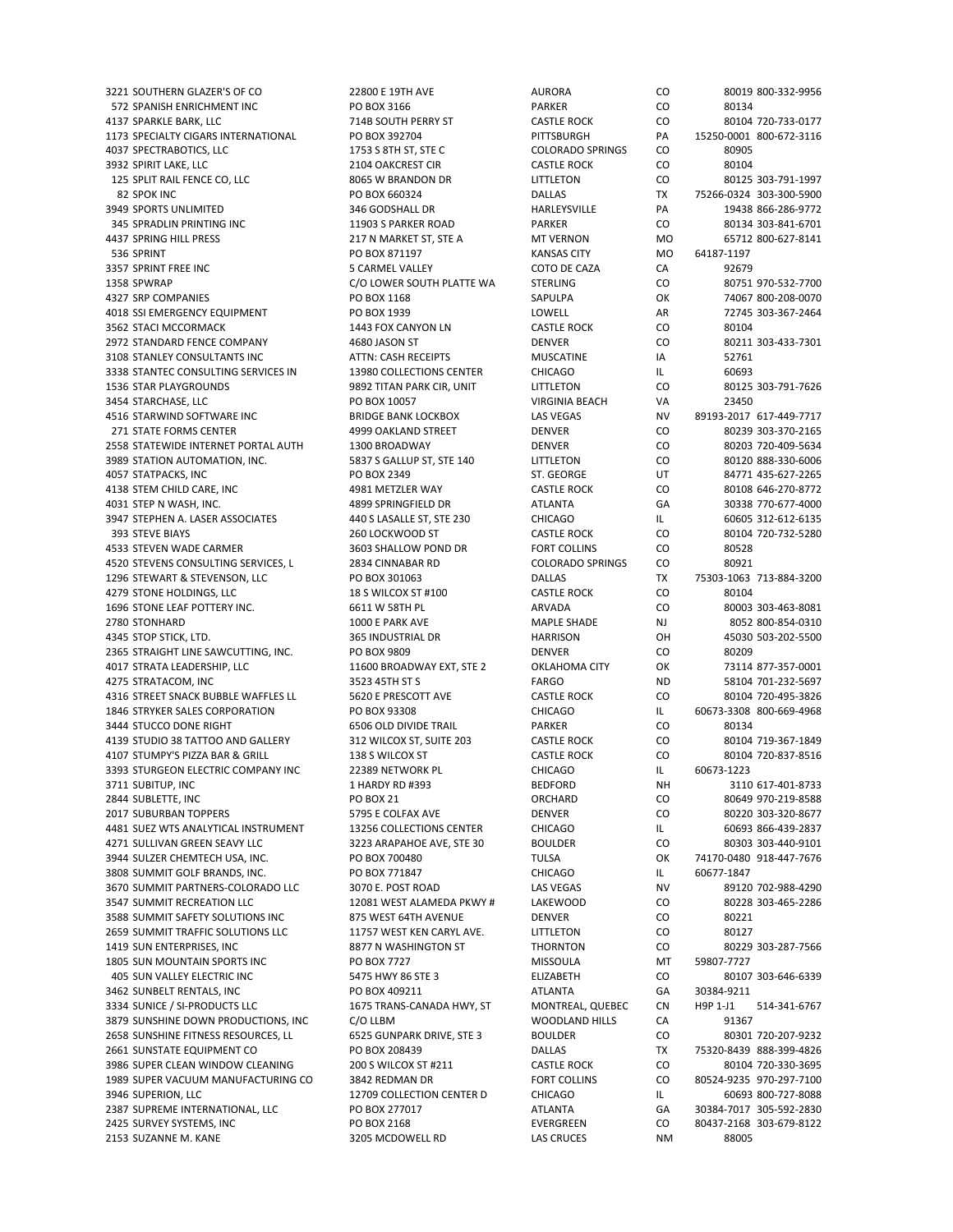572 SPANISH ENRICHMENT INC PO BOX 3166 PARKER CO 80134 4137 SPARKLE BARK, LLC 714B SOUTH PERRY ST CASTLE ROCK CO 80104 720‐733‐0177 1173 SPECIALTY CIGARS INTERNATIONAL PO BOX 392704 PITTSBURGH PA 15250‐0001 800‐672‐3116 4037 SPECTRABOTICS, LLC 1753 S 8TH ST, STE C COLORADO SPRINGS CO 80905 3932 SPIRIT LAKE, LLC 2104 OAKCREST CIR CASTLE ROCK CO 80104 125 SPLIT RAIL FENCE CO, LLC 8065 W BRANDON DR LITTLETON CO 80125 303‐791‐1997 82 SPOK INC PO BOX 660324 DALLAS TX 75266‐0324 303‐300‐5900 3949 SPORTS UNLIMITED 346 GODSHALL DR HARLEYSVILLE PA 19438 866-286-9772 345 SPRADLIN PRINTING INC 11903 S PARKER ROAD PARKER CO 80134 303‐841‐6701 4437 SPRING HILL PRESS 217 N MARKET ST, STE A MT VERNON MO 65712 800‐627‐8141 536 SPRINT PO BOX 871197 KANSAS CITY MO 64187‐1197 3357 SPRINT FREE INC 5 CARMEL VALLEY COTO DE CAZA CA 92679 1358 SPWRAP C/O LOWER SOUTH PLATTE WA STERLING CO 80751 970‐532‐7700 4327 SRP COMPANIES AND RESOURD BOX 1168 SAPULPA SAPULPA OK 74067 800-208-0070 4018 SSI EMERGENCY EQUIPMENT PO BOX 1939 LOWELL AR 72745 303-367-2464 3562 STACI MCCORMACK 1443 FOX CANYON LN CASTLE ROCK CO 80104 2972 STANDARD FENCE COMPANY 4680 JASON ST DENVER CO 80211 303‐433‐7301 3108 STANLEY CONSULTANTS INC **ATTN: CASH RECEIPTS** MUSCATINE **IA S2761** 3338 STANTEC CONSULTING SERVICES IN 13980 COLLECTIONS CENTER CHICAGO IL IL 60693 1536 STAR PLAYGROUNDS 9892 TITAN PARK CIR, UNIT LITTLETON CO 80125 303‐791‐7626 3454 STARCHASE, LLC PO BOX 10057 VIRGINIA BEACH VA 23450 4516 STARWIND SOFTWARE INC BRIDGE BANK LOCKBOX LAS VEGAS NV 89193‐2017 617‐449‐7717 271 STATE FORMS CENTER 4999 OAKLAND STREET DENVER CO 80239 303‐370‐2165 2558 STATEWIDE INTERNET PORTAL AUTH 1300 BROADWAY DENVER CO 80203 720‐409‐5634 3989 STATION AUTOMATION, INC. 5837 S GALLUP ST, STE 140 LITTLETON CO 80120 888‐330‐6006 4057 STATPACKS, INC PO BOX 2349 ST. GEORGE UT 84771 435‐627‐2265 4138 STEM CHILD CARE, INC 4981 METZLER WAY CASTLE ROCK CO 80108 646‐270‐8772 4031 STEP N WASH, INC. And the State of the Mass of the Magnetic DR ATLANTA GA 30338 770-677-4000 3947 STEPHEN A. LASER ASSOCIATES 440 S LASALLE ST, STE 230 CHICAGO IL 60605 312‐612‐6135 393 STEVE BIAYS 260 LOCKWOOD ST CASTLE ROCK CO 80104 720‐732‐5280 4533 STEVEN WADE CARMER 3603 SHALLOW POND DR FORT COLLINS CO 80528 4520 STEVENS CONSULTING SERVICES, L 2834 CINNABAR RD 1296 STEWART & STEVENSON, LLC PO BOX 301063 DALLAS TX 75303‐1063 713‐884‐3200 4279 STONE HOLDINGS, LLC **18 S WILCOX ST #100** CASTLE ROCK CO 80104 1696 STONE LEAF POTTERY INC. 6611 W 58TH PL ARVADA CO 80003 303-463-8081 2780 STONHARD 1000 E PARK AVE MAPLE SHADE NJ 8052 800‐854‐0310 4345 STOP STICK, LTD. 365 INDUSTRIAL DR HARRISON OH 45030 503‐202‐5500 2365 STRAIGHT LINE SAWCUTTING, INC. PO BOX 9809 DENVER CO 80209 4017 STRATA LEADERSHIP, LLC 11600 BROADWAY EXT, STE 2 OKLAHOMA CITY OK 73114 877‐357‐0001 4275 STRATACOM, INC 66 AND 58104 701-232-5697 STRATACOM, INC SEARCH STRATACOM, INC 4316 STREET SNACK BUBBLE WAFFLES LL 5620 E PRESCOTT AVE CASTLE ROCK CO 80104 720‐495‐3826 1846 STRYKER SALES CORPORATION PO BOX 93308 CHICAGO IL 60673‐3308 800‐669‐4968 3444 STUCCO DONE RIGHT 6506 OLD DIVIDE TRAIL PARKER CO 80134 4139 STUDIO 38 TATTOO AND GALLERY 312 WILCOX ST, SUITE 203 CASTLE ROCK CO 80104 719‐367‐1849 4107 STUMPY'S PIZZA BAR & GRILL 138 S WILCOX ST CASTLE ROCK CO 80104 720‐837‐8516 3393 STURGEON ELECTRIC COMPANY INC 22389 NETWORK PL CHICAGO IL 60673‐1223 3711 SUBITUP, INC 1 HARDY RD #393 BEDFORD NH 3110 617-401-8733 2844 SUBLETTE, INC PO BOX 21 ORCHARD CO 80649 970‐219‐8588 2017 SUBURBAN TOPPERS 5795 E COLFAX AVE DENVER DENVER CO 80220 303-320-8677 4481 SUEZ WTS ANALYTICAL INSTRUMENT 13256 COLLECTIONS CENTER CHICAGO IL 60693 866‐439‐2837 4271 SULLIVAN GREEN SEAVY LLC 3223 ARAPAHOE AVE, STE 30 BOULDER CO 80303 303‐440‐9101 3944 SULZER CHEMTECH USA, INC. PO BOX 700480 TULSA TULSA OK 74170‐0480 918‐447‐7676 3808 SUMMIT GOLF BRANDS, INC. PO BOX 771847 CHICAGO IL 60677‐1847 3670 SUMMIT PARTNERS‐COLORADO LLC 3070 E. POST ROAD LAS VEGAS 3547 SUMMIT RECREATION LLC 12081 WEST ALAMEDA PKWY # LAKEWOOD CO 80228 303‐465‐2286 3588 SUMMIT SAFETY SOLUTIONS INC 875 WEST 64TH AVENUE DENVER CO 80221 2659 SUMMIT TRAFFIC SOLUTIONS LLC 11757 WEST KEN CARYL AVE. LITTLETON CO 80127 1419 SUN ENTERPRISES, INC 8877 N WASHINGTON ST THORNTON CO 80229 303‐287‐7566 1805 SUN MOUNTAIN SPORTS INC PO BOX 7727 MISSOULA MISSOULA MT 59807-7727 405 SUN VALLEY ELECTRIC INC 5475 HWY 86 STE 3 ELIZABETH CO 80107 303‐646‐6339 3462 SUNBELT RENTALS, INC PO BOX 409211 ATLANTA GA 30384‐9211 3334 SUNICE / SI-PRODUCTS LLC **1675 TRANS-CANADA HWY, ST** MONTREAL, QUEBEC CN H9P 1-J1 514-341-6767 3879 SUNSHINE DOWN PRODUCTIONS. INC COLLBM WOODLAND HILLS CA 91367 2658 SUNSHINE FITNESS RESOURCES, LL 6525 GUNPARK DRIVE, STE 3 BOULDER CO 80301 720‐207‐9232 2661 SUNSTATE EQUIPMENT CO PO BOX 208439 DALLAS TX 75320‐8439 888‐399‐4826 3986 SUPER CLEAN WINDOW CLEANING 200 S WILCOX ST #211 CASTLE ROCK CO 80104 720‐330‐3695 1989 SUPER VACUUM MANUFACTURING CO 3842 REDMAN DR FORT COLLINS CO 80524-9235 970-297-7100 3946 SUPERION, LLC 12709 COLLECTION CENTER D CHICAGO IL 60693 800‐727‐8088 2387 SUPREME INTERNATIONAL, LLC PO BOX 277017 ATLANTA GA 30384‐7017 305‐592‐2830 2425 SURVEY SYSTEMS, INC PO BOX 2168 EVERGREEN CO 80437‐2168 303‐679‐8122 2153 SUZANNE M. KANE 3205 MCDOWELL RD LAS CRUCES NM 88005

3221 SOUTHERN GLAZER'S OF CO 22800 F 19TH AVE AURORA AURORA CO 80019 800-332-9956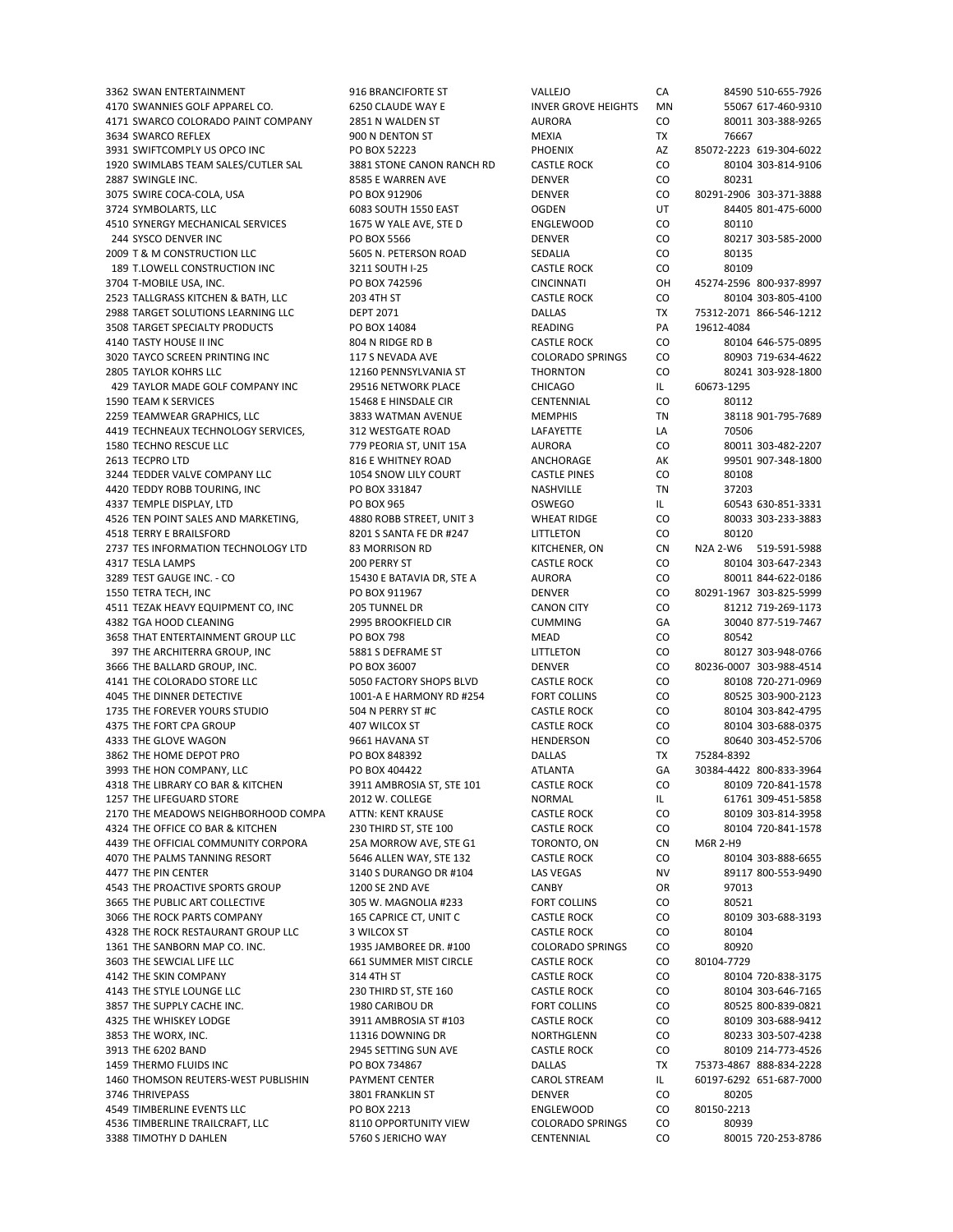4170 SWANNIES GOLF APPAREL CO. 6250 CLAUDE WAY E INVER GROVE HEIGHTS MN 55067 617-460-9310 4171 SWARCO COLORADO PAINT COMPANY 2851 N WALDEN ST AURORA CO 80011 303‐388‐9265 3634 SWARCO REFLEX **300 N DENTON ST SEE A SWARE ASSA SWARCO REFLEX** 76667 3931 SWIFTCOMPLY US OPCO INC PO BOX 52223 PHOENIX AZ 85072‐2223 619‐304‐6022 1920 SWIMLABS TEAM SALES/CUTLER SAL 3881 STONE CANON RANCH RD CASTLE ROCK CO 80104 303‐814‐9106 2887 SWINGLE INC. 8585 E WARREN AVE DENVER CO 80231 3075 SWIRE COCA‐COLA, USA PO BOX 912906 DENVER CO 3724 SYMBOLARTS, LLC 6083 SOUTH 1550 EAST OGDEN UT 84405 801-475-6000 4510 SYNERGY MECHANICAL SERVICES 1675 W YALE AVE, STE D ENGLEWOOD CO 80110 244 SYSCO DENVER INC PO BOX 5566 DENVER CO 80217 303‐585‐2000 2009 T & M CONSTRUCTION LLC 5605 N. PETERSON ROAD SEDALIA CO 80135 189 T.LOWELL CONSTRUCTION INC 3211 SOUTH I‐25 CASTLE ROCK CO 80109 3704 T‐MOBILE USA, INC. PO BOX 742596 CINCINNATI OH 45274‐2596 800‐937‐8997 2523 TALLGRASS KITCHEN & BATH, LLC 203 4TH ST CASTLE ROCK CO 80104 303‐805‐4100 2988 TARGET SOLUTIONS LEARNING LLC DEPT 2071 DALLAS TX 75312‐2071 866‐546‐1212 3508 TARGET SPECIALTY PRODUCTS PO BOX 14084 READING PA 19612-4084 4140 TASTY HOUSE II INC CONSERVERS AND BOAN RIDGE RD BOAN AND BRIDGE RESULTS AND COUNTAING AND BOAN AND BRIDGE<br>117 S ANGLE ROLL COURADO SPRINGS CONSERVERS AND BOAN ASSAMENT AND BRIDGE RESULTS AND BOAN AND BOAN AND BOAN A 3020 TAYCO SCREEN PRINTING INC 117 S NEVADA AVE COLORADO SPRINGS CO 80903 719-634-4622 2805 TAYLOR KOHRS LLC 12160 PENNSYLVANIA ST THORNTON CO 80241 303‐928‐1800 429 TAYLOR MADE GOLF COMPANY INC 29516 NETWORK PLACE CHICAGO IL 60673-1295 1590 TEAM K SERVICES 15468 E HINSDALE CIR CENTENNIAL CO 80112 2259 TEAMWEAR GRAPHICS, LLC 3833 WATMAN AVENUE MEMPHIS TN 38118 901-795-7689<br>2419 TECHNEAUX TECHNOLOGY SERVICES. 312 WESTGATE ROAD LAFAYETTE IA 70506 4419 TECHNEAUX TECHNOLOGY SERVICES, 312 WESTGATE ROAD LAFAYETTE LA 1580 TECHNO RESCUE LLC 779 PEORIA ST, UNIT 15A AURORA CO 80011 303‐482‐2207 2613 TECPRO LTD 816 E WHITNEY ROAD ANCHORAGE AK 99501 907‐348‐1800 3244 TEDDER VALVE COMPANY LLC 1054 SNOW LILY COURT CASTLE PINES CO 80108 4420 TEDDY ROBB TOURING, INC PO BOX 331847 NASHVILLE TN 37203 4337 TEMPLE DISPLAY, LTD **PO BOX 965** PO BOX 965 OSWEGO IL 60543 630‐851‐3331 4526 TEN POINT SALES AND MARKETING, 4880 ROBB STREET, UNIT 3 WHEAT RIDGE CO 80033 303‐233‐3883 4518 TERRY E BRAILSFORD 8201 S SANTA FE DR #247 LITTLETON CO 80120 2737 TES INFORMATION TECHNOLOGY LTD 83 MORRISON RD KITCHENER, ON CN N2A 2‐W6 519‐591‐5988<br>2317 TESI A LAMPS 900 PERRY ST CASTIF ROCK CO 80104 303‐647‐2343 4317 TESLA LAMPS 200 PERRY ST CASTLE ROCK CO 80104 303‐647‐2343 3289 TEST GAUGE INC. - CO 15430 E BATAVIA DR, STE A AURORA CO 80011 844-622-0186 1550 TETRA TECH, INC PO BOX 911967 DENVER CO 80291‐1967 303‐825‐5999 4511 TEZAK HEAVY EQUIPMENT CO, INC 205 TUNNEL DR CANON CITY CO 81212 719‐269‐1173 4382 TGA HOOD CLEANING 2995 BROOKFIELD CIR CUMMING GA 30040 877‐519‐7467 3658 THAT ENTERTAINMENT GROUP LLC PO BOX 798 MEAD CO 80542 397 THE ARCHITERRA GROUP, INC 5881 S DEFRAME ST LITTLETON CO 80127 303-948-0766 3666 THE BALLARD GROUP, INC. PO BOX 36007 DENVER CO 80236‐0007 303‐988‐4514 4141 THE COLORADO STORE LLC 5050 FACTORY SHOPS BLVD CASTLE ROCK CO 80108 720‐271‐0969 4045 THE DINNER DETECTIVE 1001‐A E HARMONY RD #254 FORT COLLINS CO 80525 303‐900‐2123 1735 THE FOREVER YOURS STUDIO 504 N PERRY ST #C CASTLE ROCK CO 80104 303-842-4795 4375 THE FORT CPA GROUP 407 WILCOX ST CASTLE ROCK CO 80104 303‐688‐0375 4333 THE GLOVE WAGON 666 HOLD 9661 HAVANA ST HENDERSON CO 80640 303-452-5706 3862 THE HOME DEPOT PRO PO BOX 848392 DALLAS TX 75284‐8392 3993 THE HON COMPANY, LLC PO BOX 404422 ATLANTA GA 30384-4422 800-833-3964 4318 THE LIBRARY CO BAR & KITCHEN 3911 AMBROSIA ST, STE 101 CASTLE ROCK CO 80109 720‐841‐1578 1257 THE LIFEGUARD STORE 2012 W. COLLEGE NORMAL NORMAL IL 61761 309-451-5858 2170 THE MEADOWS NEIGHBORHOOD COMPA ATTN: KENT KRAUSE CASTLE ROCK CO 80109 303-814-3958 4324 THE OFFICE CO BAR & KITCHEN 230 THIRD ST, STE 100 CASTLE ROCK CO 80104 720‐841‐1578 4439 THE OFFICIAL COMMUNITY CORPORA 25A MORROW AVE, STE G1 TORONTO, ON CN M6R 2‐H9 4070 THE PALMS TANNING RESORT 5646 ALLEN WAY, STE 132 CASTLE ROCK CO 80104 303‐888‐6655 4477 THE PIN CENTER 300-553-9490 SAMILLANGO DR #104 LAS VEGAS NO SENSENGER AND A SENSENGER AND A SENSENGER AND<br>4543 THE PROACTIVE SPORTS GROUP 1200 SE 2ND AVE AND SAMBY CANBY OR 97013 4543 THE PROACTIVE SPORTS GROUP 1200 SE 2ND AVE 3665 THE PUBLIC ART COLLECTIVE 305 W. MAGNOLIA #233 FORT COLLINS CO 80521 3066 THE ROCK PARTS COMPANY 165 CAPRICE CT, UNIT C CASTLE ROCK CO 80109 303-688-3193 4328 THE ROCK RESTAURANT GROUP LLC 3 WILCOX ST CASTLE ROCK CO 80104 1361 THE SANBORN MAP CO. INC. 1935 JAMBOREE DR. #100 COLORADO SPRINGS CO 80920 3603 THE SEWCIAL LIFE LLC 661 SUMMER MIST CIRCLE CASTLE ROCK CO 80104‐7729 4142 THE SKIN COMPANY 314 4TH ST CASTLE ROCK CO 80104 720‐838‐3175 4143 THE STYLE LOUNGE LLC 230 THIRD ST, STE 160 CASTLE ROCK CO 80104 303‐646‐7165 3857 THE SUPPLY CACHE INC. 1980 CARIBOU DR FORT COLLINS CO 80525 800-839-0821 4325 THE WHISKEY LODGE 3911 AMBROSIA ST #103 CASTLE ROCK CO 80109 303‐688‐9412 3853 THE WORX, INC. 11316 DOWNING DR NORTHGLENN CO 80233 303-507-4238 3913 THE 6202 BAND 2945 SETTING SUN AVE CASTLE ROCK CO 80109 214‐773‐4526 1459 THERMO FLUIDS INC PO BOX 734867 DALLAS TX 75373‐4867 888‐834‐2228 1460 THOMSON REUTERS‐WEST PUBLISHIN PAYMENT CENTER CAROL STREAM IL 60197‐6292 651‐687‐7000 3746 THRIVEPASS 3801 FRANKLIN ST DENVER CO 80205 4549 TIMBERLINE EVENTS LLC PO BOX 2213 ENGLEWOOD CO 80150‐2213 4536 TIMBERLINE TRAILCRAFT, LLC 8110 OPPORTUNITY VIEW COLORADO SPRINGS CO 80939 3388 TIMOTHY D DAHLEN 5760 S JERICHO WAY CENTENNIAL CO 80015 720-253-8786

3362 SWAN ENTERTAINMENT 916 BRANCIFORTE ST VALLEJO CA 84590 510‐655‐7926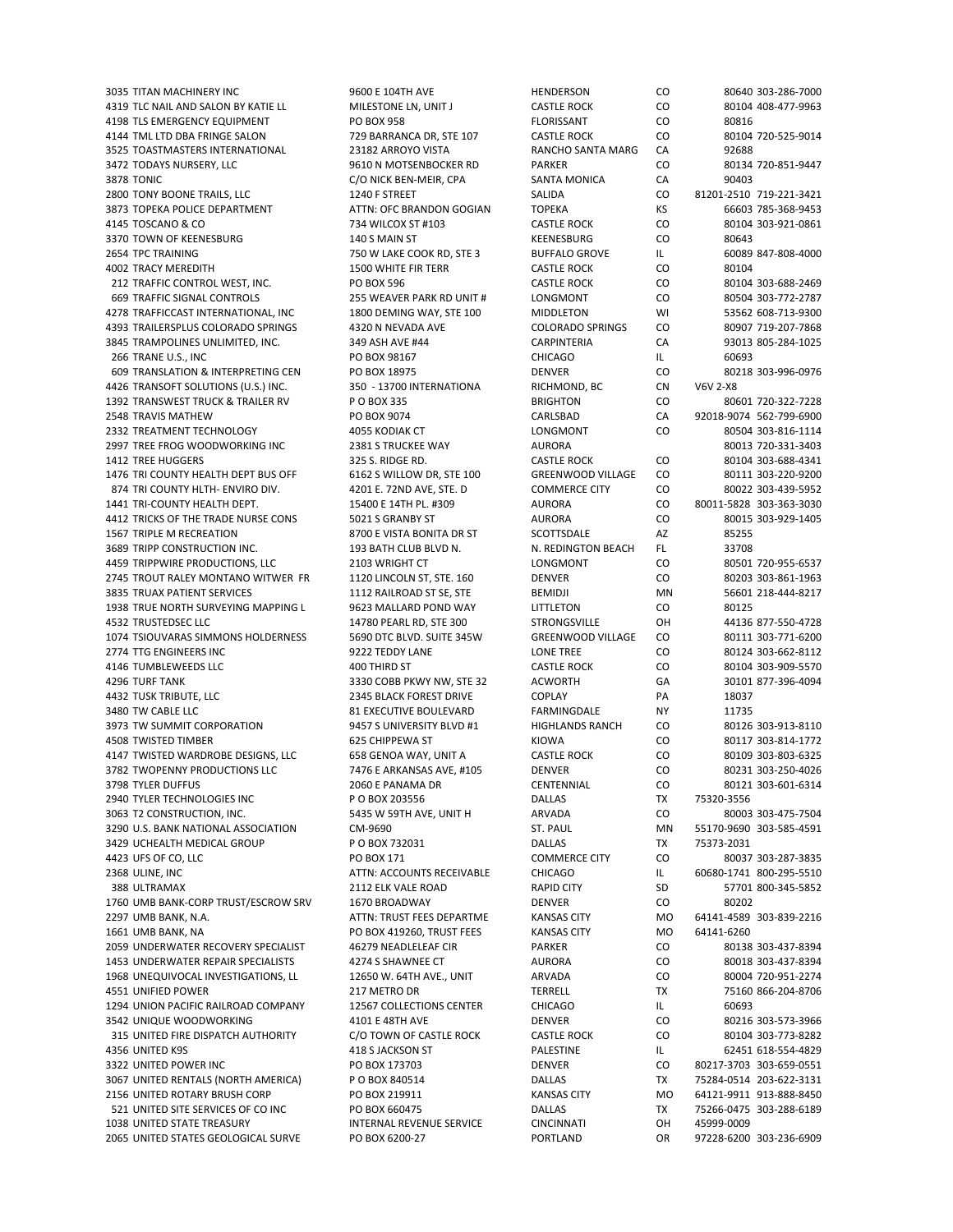4319 TLC NAIL AND SALON BY KATIE LL MILESTONE LN, UNIT J CASTLE ROCK CO 80104 408‐477‐9963 4198 TLS EMERGENCY EQUIPMENT PO BOX 958 FLORISSANT CO 80816 4144 TML LTD DBA FRINGE SALON 729 BARRANCA DR, STE 107 CASTLE ROCK CO 80104 720‐525‐9014 3525 TOASTMASTERS INTERNATIONAL 23182 ARROYO VISTA RANCHO SANTA MARG CA 92688 3472 TODAYS NURSERY, LLC 9610 N MOTSENBOCKER RD PARKER CO 80134 720‐851‐9447 3878 TONIC CONICK BEN-MEIR, CPA SANTA MONICA CA 90403 2800 TONY BOONE TRAILS, LLC 1240 F STREET SALIDA CO 81201−2510 719−221−3421 3873 TOPEKA POLICE DEPARTMENT ATTN: OFC BRANDON GOGIAN TOPEKA KS 66603 785-368-9453 4145 TOSCANO & CO 734 WILCOX ST #103 CASTLE ROCK CO 80104 303‐921‐0861 3370 TOWN OF KEENESBURG 140 S MAIN ST KEENESBURG CO 80643 2654 TPC TRAINING 750 W LAKE COOK RD, STE 3 BUFFALO GROVE IL 60089 847‐808‐4000 4002 TRACY MEREDITH 1500 WHITE FIR TERR CASTLE ROCK CO 80104 212 TRAFFIC CONTROL WEST, INC. PO BOX 596 CASTLE ROCK CO 80104 303‐688‐2469 669 TRAFFIC SIGNAL CONTROLS 255 WEAVER PARK RD UNIT # LONGMONT CO 80504 303‐772‐2787 4278 TRAFFICCAST INTERNATIONAL, INC 1800 DEMING WAY, STE 100 MIDDLETON WI 53562 608‐713‐9300 4393 TRAILERSPLUS COLORADO SPRINGS 4320 N NEVADA AVE COLORADO SPRINGS CO 80907 719‐207‐7868 3845 TRAMPOLINES UNLIMITED, INC. 349 ASH AVE #44 CARPINTERIA CA 93013 805‐284‐1025 266 TRANE U.S., INC PO BOX 98167 CHICAGO IL 60693 609 TRANSLATION & INTERPRETING CEN PO BOX 18975 DENVER CO 80218 303‐996‐0976 4426 TRANSOFT SOLUTIONS (U.S.) INC. 350 - 13700 INTERNATIONA RICHMOND, BC CN V6V 2-X8 1392 TRANSWEST TRUCK & TRAILER RV P O BOX 335 BRIGHTON CO 80601 720‐322‐7228 2548 TRAVIS MATHEW PO BOX 9074 CARLSBAD CA 92018‐9074 562‐799‐6900 2332 TREATMENT TECHNOLOGY 4055 KODIAK CT LONGMONT CO 80504 303‐816‐1114 2997 TREE FROG WOODWORKING INC 2381 S TRUCKEE WAY AURORA AND BLOCK AND 80013 720-331-3403 1412 TREE HUGGERS 325 S. RIDGE RD. CASTLE ROCK CO 80104 303‐688‐4341 1476 TRI COUNTY HEALTH DEPT BUS OFF 6162 S WILLOW DR, STE 100 GREENWOOD VILLAGE CO 80111 303‐220‐9200 874 TRI COUNTY HLTH- ENVIRO DIV. 4201 E. 72ND AVE. STE. D COMMERCE CITY CO 80022 303-439-5952 1441 TRI‐COUNTY HEALTH DEPT. 15400 E 14TH PL. #309 AURORA CO 80011‐5828 303‐363‐3030 4412 TRICKS OF THE TRADE NURSE CONS 5021 S GRANBY ST AURORA CO 80015 303‐929‐1405 1567 TRIPLE M RECREATION **8700 E VISTA BONITA DR ST** SCOTTSDALE AZ 85255 3689 TRIPP CONSTRUCTION INC. 193 BATH CLUB BLVD N. N. REDINGTON BEACH FL 33708 4459 TRIPPWIRE PRODUCTIONS, LLC 2103 WRIGHT CT 2745 TROUT RALEY MONTANO WITWER FR 1120 LINCOLN ST, STE. 160 DENVER CO 80203 303-861-1963 3835 TRUAX PATIENT SERVICES 1112 RAILROAD ST SE, STE BEMIDJI MN 56601 218-444-8217 1938 TRUE NORTH SURVEYING MAPPING L 9623 MALLARD POND WAY LITTLETON CO 80125 4532 TRUSTEDSEC LLC 14780 PEARL RD, STE 300 STRONGSVILLE OH 44136 877‐550‐4728 1074 TSIOUVARAS SIMMONS HOLDERNESS 5690 DTC BLVD. SUITE 345W GREENWOOD VILLAGE CO 80111 303‐771‐6200 2774 TTG ENGINEERS INC 9222 TEDDY LANE LONE TREE CO 80124 303‐662‐8112 4146 TUMBLEWEEDS LLC 400 THIRD ST CASTLE ROCK CO 80104 303‐909‐5570 4296 TURF TANK 3330 COBB PKWY NW, STE 32 ACWORTH GA 30101 877‐396‐4094 4432 TUSK TRIBUTE, LLC 2345 BLACK FOREST DRIVE COPLAY PA 18037 3480 TW CABLE LLC 81 EXECUTIVE BOULEVARD FARMINGDALE NY 11735 3973 TW SUMMIT CORPORATION 9457 S UNIVERSITY BLVD #1 HIGHLANDS RANCH CO 80126 303-913-8110 4508 TWISTED TIMBER 625 CHIPPEWA ST KIOWA CO 80117 303‐814‐1772 4147 TWISTED WARDROBE DESIGNS, LLC 658 GENOA WAY, UNIT A CASTLE ROCK CO 80109 303‐803‐6325 3782 TWOPENNY PRODUCTIONS LLC 7476 E ARKANSAS AVE, #105 DENVER CO 80231 303‐250‐4026 3798 TYLER DUFFUS 2060 E PANAMA DR CENTENNIAL CO 80121 303‐601‐6314 2940 TYLER TECHNOLOGIES INC PO BOX 203556 DALLAS TX 75320-3556 3063 T2 CONSTRUCTION, INC. 5435 W 59TH AVE, UNIT H ARVADA CO 80003 303‐475‐7504 3290 U.S. BANK NATIONAL ASSOCIATION CM‐9690 ST. PAUL MN 55170‐9690 303‐585‐4591 3429 UCHEALTH MEDICAL GROUP P O BOX 732031 DALLAS TX 75373‐2031 4423 UFS OF CO, LLC PO BOX 171 COMMERCE CITY CO 80037 303‐287‐3835 2368 ULINE, INC ATTN: ACCOUNTS RECEIVABLE CHICAGO IL 60680‐1741 800‐295‐5510 388 ULTRAMAX 2112 ELK VALE ROAD 1760 UMB BANK‐CORP TRUST/ESCROW SRV 1670 BROADWAY DENVER CO 80202 2297 UMB BANK, N.A. ATTN: TRUST FEES DEPARTME KANSAS CITY MO 64141-4589 303-839-2216 1661 UMB BANK, NA PO BOX 419260, TRUST FEES KANSAS CITY MO 64141‐6260 2059 UNDERWATER RECOVERY SPECIALIST 46279 NEADLELEAF CIR PARKER CO 80138 303‐437‐8394 1453 UNDERWATER REPAIR SPECIALISTS 4274 S SHAWNEE CT AURORA CO 80018 303-437-8394 1968 UNEQUIVOCAL INVESTIGATIONS, LL 12650 W. 64TH AVE., UNIT ARVADA CO 80004 720‐951‐2274 4551 UNIFIED POWER 217 METRO DR TERRELL TAN TERRELL TAN 75160 866-204-8706 1294 UNION PACIFIC RAILROAD COMPANY 12567 COLLECTIONS CENTER CHICAGO IL 60693 3542 UNIQUE WOODWORKING 4101 E 48TH AVE DENVER CO 80216 303‐573‐3966 315 UNITED FIRE DISPATCH AUTHORITY C/O TOWN OF CASTLE ROCK CASTLE ROCK CO 80104 303-773-8282 4356 UNITED K9S 418 S JACKSON ST PALESTINE IL 62451 618‐554‐4829 3322 UNITED POWER INC PO BOX 173703 DENVER CO 80217‐3703 303‐659‐0551 3067 UNITED RENTALS (NORTH AMERICA) P O BOX 840514 DALLAS TX 75284‐0514 203‐622‐3131 2156 UNITED ROTARY BRUSH CORP PO BOX 219911 KANSAS CITY MO 64121‐9911 913‐888‐8450 521 UNITED SITE SERVICES OF CO INC PO BOX 660475 DALLAS TX 75266‐0475 303‐288‐6189 1038 UNITED STATE TREASURY INTERNAL REVENUE SERVICE CINCINNATI OH 45999‐0009 2065 UNITED STATES GEOLOGICAL SURVE PO BOX 6200‐27 PORTLAND OR 97228‐6200 303‐236‐6909

3035 TITAN MACHINERY INC 9600 E 104TH AVE HENDERSON CO 80640 303‐286‐7000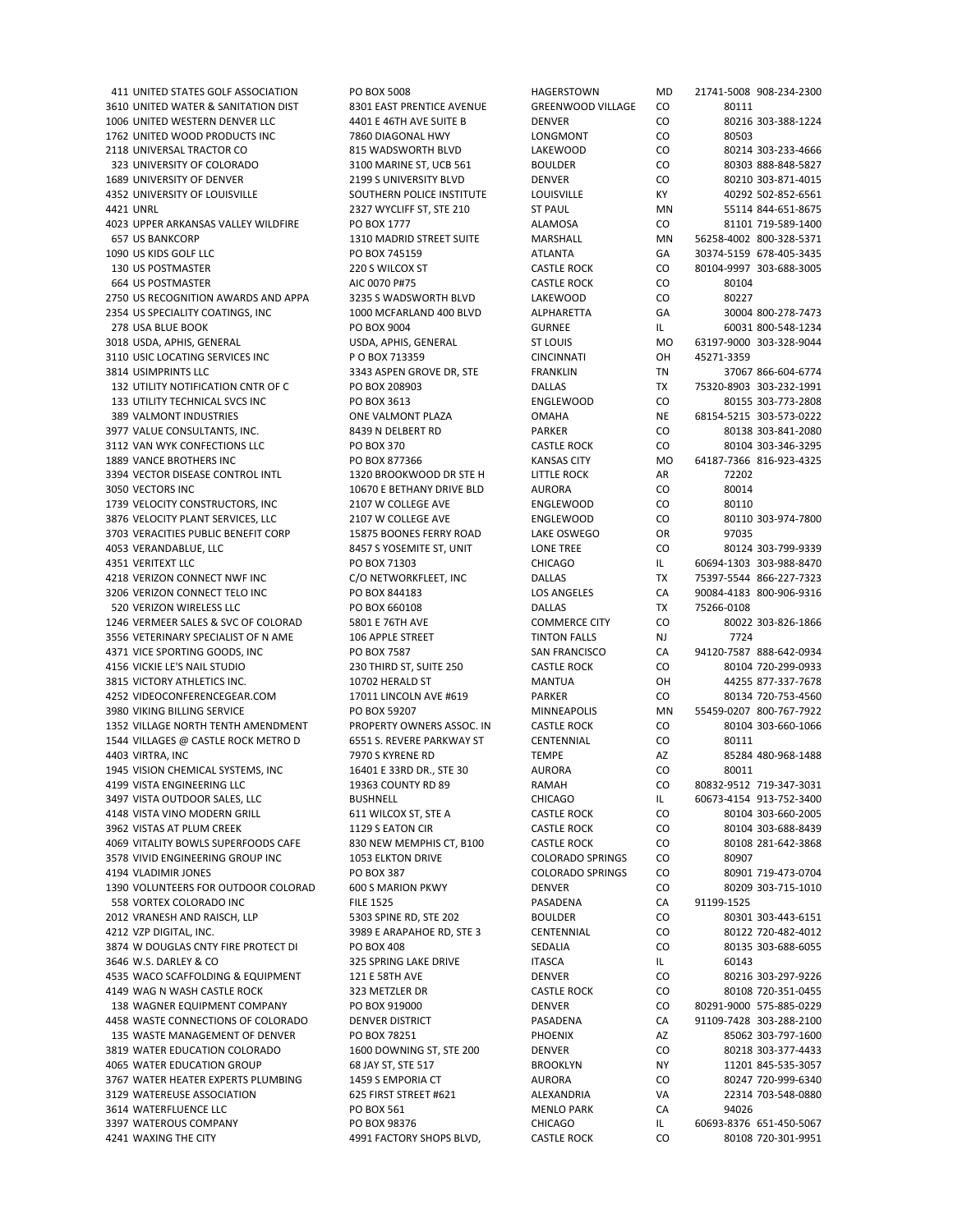411 UNITED STATES GOLF ASSOCIATION PO BOX 5008 HAGERSTOWN MD 21741‐5008 908‐234‐2300 3610 UNITED WATER & SANITATION DIST 8301 EAST PRENTICE AVENUE GREENWOOD VILLAGE CO 80111 1006 UNITED WESTERN DENVER LLC 4401 E 46TH AVE SUITE B DENVER CO 80216 303‐388‐1224 1762 UNITED WOOD PRODUCTS INC 7860 DIAGONAL HWY LONGMONT CO 80503 2118 UNIVERSAL TRACTOR CO 815 WADSWORTH BLVD LAKEWOOD CO 80214 303‐233‐4666 323 UNIVERSITY OF COLORADO 3100 MARINE ST, UCB 561 BOULDER CO 80303 888‐848‐5827 1689 UNIVERSITY OF DENVER 2199 S UNIVERSITY BLVD DENVER CO 80210 303‐871‐4015 4352 UNIVERSITY OF LOUISVILLE SOUTHERN POLICE INSTITUTE LOUISVILLE KY 40292 502‐852‐6561 4421 UNRL 2327 WYCLIFF ST, STE 210 ST PAUL MN 55114 844‐651‐8675 4023 UPPER ARKANSAS VALLEY WILDFIRE PO BOX 1777 ALAMOSA CO 81101 719‐589‐1400 657 US BANKCORP 1310 MADRID STREET SUITE MARSHALL MN 56258‐4002 800‐328‐5371 1090 US KIDS GOLF LLC PO BOX 745159 ATLANTA GA 30374‐5159 678‐405‐3435 130 US POSTMASTER 220 S WILCOX ST CASTLE ROCK CO 80104‐9997 303‐688‐3005 664 US POSTMASTER AIC 0070 P#75 CASTLE ROCK CO 80104 2750 US RECOGNITION AWARDS AND APPA 3235 S WADSWORTH BLVD LAKEWOOD CO 80227 2354 US SPECIALITY COATINGS, INC 1000 MCFARLAND 400 BLVD ALPHARETTA GA 30004 800-278-7473 278 USA BLUE BOOK PO BOX 9004 GURNEE IL 60031 800‐548‐1234 3018 USDA, APHIS, GENERAL USDA, APHIS, GENERAL ST LOUIS MO 63197‐9000 303‐328‐9044 3110 USIC LOCATING SERVICES INC P O BOX 713359 CINCINNATI OH 45271-3359 3814 USIMPRINTS LLC 3343 ASPEN GROVE DR. STE FRANKLIN TN 37067 866‐604‐6774 132 UTILITY NOTIFICATION CNTR OF C PO BOX 208903 DALLAS TX 75320‐8903 303‐232‐1991 133 UTILITY TECHNICAL SVCS INC PO BOX 3613 ENGLEWOOD CO 80155 303‐773‐2808 389 VALMONT INDUSTRIES ONE VALMONT PLAZA OMAHA NE 68154‐5215 303‐573‐0222 3977 VALUE CONSULTANTS, INC. 68439 N DELBERT RD PARKER CO 80138 303-841-2080 3112 VAN WYK CONFECTIONS LLC PO BOX 370 CASTLE ROCK CO 80104 303‐346‐3295 1889 VANCE BROTHERS INC PO BOX 877366 KANSAS CITY MO 64187‐7366 816‐923‐4325 3394 VECTOR DISEASE CONTROL INTL 1320 BROOKWOOD DR STE H LITTLE ROCK AR 72202 3050 VECTORS INC 10670 E BETHANY DRIVE BLD AURORA CO 80014 1739 VELOCITY CONSTRUCTORS, INC 2107 W COLLEGE AVE ENGLEWOOD CO 80110 3876 VELOCITY PLANT SERVICES, LLC 2107 W COLLEGE AVE ENGLEWOOD CO 80110 303‐974‐7800 3703 VERACITIES PUBLIC BENEFIT CORP 15875 BOONES FERRY ROAD LAKE OSWEGO OR 97035 4053 VERANDABLUE, LLC 8457 S YOSEMITE ST, UNIT LONE TREE CO 80124 303‐799‐9339 4351 VERITEXT LLC PO BOX 71303 CHICAGO IL 60694‐1303 303‐988‐8470 4218 VERIZON CONNECT NWF INC C/O NETWORKFLEET, INC DALLAS TX 75397-5544 866-227-7323 3206 VERIZON CONNECT TELO INC PO BOX 844183 CON 844183 LOS ANGELES CA 90084-4183 800-906-9316 520 VERIZON WIRELESS LLC PO BOX 660108 DALLAS TX 75266‐0108 1246 VERMEER SALES & SVC OF COLORAD 5801 E 76TH AVE COMMERCE CITY CO 80022 303‐826‐1866 3556 VETERINARY SPECIALIST OF N AME 106 APPLE STREET THE TINTON FALLS NJ 2724 4371 VICE SPORTING GOODS, INC PO BOX 7587 SAN FRANCISCO CA 94120‐7587 888‐642‐0934 4156 VICKIE LE'S NAIL STUDIO 230 THIRD ST, SUITE 250 CASTLE ROCK CO 80104 720‐299‐0933 3815 VICTORY ATHLETICS INC. 10702 HERALD ST MANTUA OH 44255 877‐337‐7678 4252 VIDEOCONFERENCEGEAR.COM 17011 LINCOLN AVE #619 PARKER CO 80134 720-753-4560 3980 VIKING BILLING SERVICE PO BOX 59207 MINNEAPOLIS MN 55459‐0207 800‐767‐7922 1352 VILLAGE NORTH TENTH AMENDMENT PROPERTY OWNERS ASSOC. IN CASTLE ROCK CO 80104 303‐660‐1066 1544 VILLAGES @ CASTLE ROCK METRO D 6551 S. REVERE PARKWAY ST CENTENNIAL CO 80111 4403 VIRTRA, INC 7970 S KYRENE RD TEMPE AZ 85284 480‐968‐1488 1945 VISION CHEMICAL SYSTEMS, INC 16401 E 33RD DR., STE 30 AURORA CO 80011 4199 VISTA ENGINEERING LLC 19363 COUNTY RD 89 RAMAH CO 80832‐9512 719‐347‐3031 3497 VISTA OUTDOOR SALES, LLC BUSHNELL CHICAGO IL 60673‐4154 913‐752‐3400 4148 VISTA VINO MODERN GRILL 611 WILCOX ST, STE A CASTLE ROCK CO 80104 303‐660‐2005 3962 VISTAS AT PLUM CREEK 1129 S EATON CIR CASTLE ROCK CO 80104 303‐688‐8439 4069 VITALITY BOWLS SUPERFOODS CAFE 830 NEW MEMPHIS CT, B100 CASTLE ROCK CO 80108 281‐642‐3868 3578 VIVID ENGINEERING GROUP INC 1053 ELKTON DRIVE COLORADO SPRINGS CO 80907 4194 VLADIMIR JONES PO BOX 387 COLORADO SPRINGS CO 80901 719‐473‐0704 1390 VOLUNTEERS FOR OUTDOOR COLORAD 558 VORTEX COLORADO INC FILE 1525 PASADENA CA 91199-1525 2012 VRANESH AND RAISCH, LLP 5303 SPINE RD, STE 202 BOULDER CO 80301 303‐443‐6151 4212 VZP DIGITAL, INC. 3989 E ARAPAHOE RD, STE 3 CENTENNIAL CO 80122 720‐482‐4012 3874 W DOUGLAS CNTY FIRE PROTECT DI PO BOX 408 SEDALIA SEDALIA CO 80135 303-688-6055 3646 W.S. DARLEY & CO 325 SPRING LAKE DRIVE TASCA IL 60143 4535 WACO SCAFFOLDING & EQUIPMENT 121 E 58TH AVE DENVER CO 80216 303‐297‐9226 4149 WAG N WASH CASTLE ROCK 323 METZLER DR CASTLE ROCK CO 80108 720‐351‐0455 138 WAGNER EQUIPMENT COMPANY PO BOX 919000 DENVER CO 80291‐9000 575‐885‐0229 4458 WASTE CONNECTIONS OF COLORADO DENVER DISTRICT NEW PASADENA CA 91109‐7428 303‐288‐2100<br>135 WASTE MANAGEMENT OF DENVER PO BOX 78251 PHOENIX AZ 85062 303‐797‐1600 135 WASTE MANAGEMENT OF DENVER PO BOX 78251 PHOENIX AZ 85062 303‐797‐1600 3819 WATER EDUCATION COLORADO 1600 DOWNING ST, STE 200 DENVER CO 80218 303‐377‐4433 4065 WATER EDUCATION GROUP 68 JAY ST, STE 517 BROOKLYN NY 11201 845‐535‐3057 3767 WATER HEATER EXPERTS PLUMBING 1459 S EMPORIA CT AURORA CO 80247 720‐999‐6340 3129 WATEREUSE ASSOCIATION 625 FIRST STREET #621 ALEXANDRIA VA 22314 703-548-0880 3614 WATERFLUENCE LLC PO BOX 561 MENLO PARK CA 94026 3397 WATEROUS COMPANY PO BOX 98376 CHICAGO IL 60693‐8376 651‐450‐5067 4241 WAXING THE CITY **And ASSESSED ASSESSED MANUSIC PACTORY SHOPS BLVD.** CASTLE ROCK CO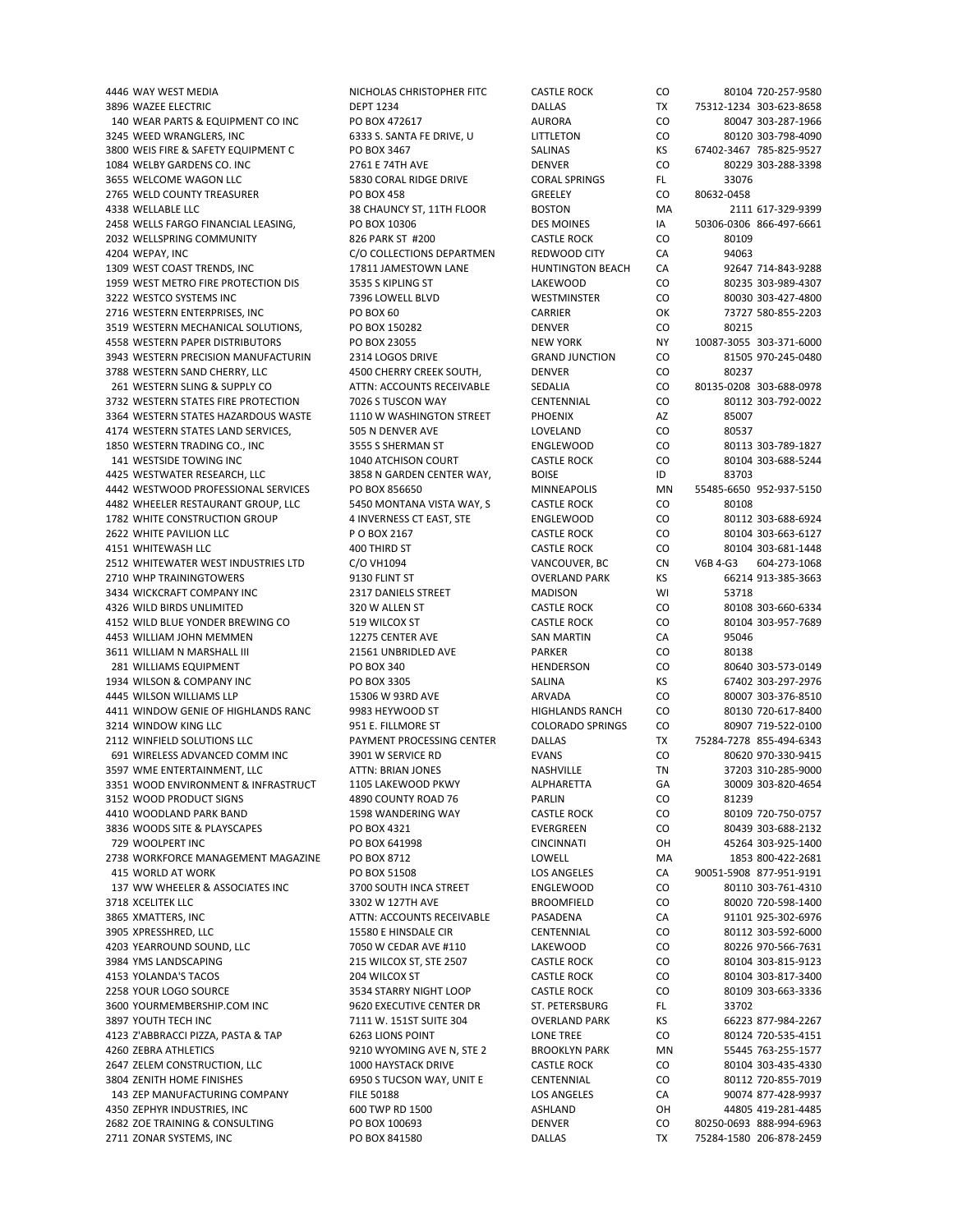3896 WAZEE ELECTRIC DEPT 1234 DALLAS TX 75312‐1234 303‐623‐8658 140 WEAR PARTS & EQUIPMENT CO INC PO BOX 472617 AURORA CO 80047 303‐287‐1966 3245 WEED WRANGLERS, INC 6333 S. SANTA FE DRIVE, U LITTLETON CO 80120 303-798-4090 3800 WEIS FIRE & SAFETY EQUIPMENT C PO BOX 3467 SALINAS SALINAS KS 67402‐3467 785‐825‐9527 1084 WELBY GARDENS CO. INC 2761 E 74TH AVE DENVER CO 80229 303‐288‐3398 3655 WELCOME WAGON LLC 5830 CORAL RIDGE DRIVE CORAL SPRINGS FL 33076 2765 WELD COUNTY TREASURER PO BOX 458 GREELEY CO 80632‐0458 4338 WELLABLE LLC 411 BOSTON 38 CHAUNCY ST, 11TH FLOOR BOSTON MA 2111 617‐329‐9399 2458 WELLS FARGO FINANCIAL LEASING, PO BOX 10306 DES MOINES IA 50306‐0306 866‐497‐6661 2032 WELLSPRING COMMUNITY **826 PARK ST #200** CASTLE ROCK CO 80109 4204 WEPAY, INC C/O COLLECTIONS DEPARTMEN REDWOOD CITY CA 94063 1309 WEST COAST TRENDS, INC 17811 JAMESTOWN LANE HUNTINGTON BEACH CA 1959 WEST METRO FIRE PROTECTION DIS 3535 S KIPLING ST LAKEWOOD CO 80235 303‐989‐4307 3222 WESTCO SYSTEMS INC 7396 LOWELL BLVD WESTMINSTER CO 80030 303‐427‐4800 2716 WESTERN ENTERPRISES, INC PO BOX 60 CARRIER OK 73727 580‐855‐2203 3519 WESTERN MECHANICAL SOLUTIONS, PO BOX 150282 DENVER CO 80215 4558 WESTERN PAPER DISTRIBUTORS PO BOX 23055 NEW YORK NY 10087‐3055 303‐371‐6000 3943 WESTERN PRECISION MANUFACTURIN 2314 LOGOS DRIVE GRAND JUNCTION CO 3788 WESTERN SAND CHERRY, LLC 4500 CHERRY CREEK SOUTH, DENVER CO 80237 261 WESTERN SLING & SUPPLY CO ATTN: ACCOUNTS RECEIVABLE SEDALIA CO 80135‐0208 303‐688‐0978 3732 WESTERN STATES FIRE PROTECTION 7026 S TUSCON WAY CENTENNIAL CO 80112 303‐792‐0022 3364 WESTERN STATES HAZARDOUS WASTE 1110 W WASHINGTON STREET PHOENIX AZ 85007 4174 WESTERN STATES LAND SERVICES, 505 N DENVER AVE LOVELAND CO 80537 1850 WESTERN TRADING CO., INC 3555 S SHERMAN ST ENGLEWOOD CO 80113 303‐789‐1827 141 WESTSIDE TOWING INC 1040 ATCHISON COURT CASTLE ROCK CO 80104 303‐688‐5244 4425 WESTWATER RESEARCH, LLC 3858 N GARDEN CENTER WAY, BOISE ID 83703 4442 WESTWOOD PROFESSIONAL SERVICES PO BOX 856650 MINNEAPOLIS MN 55485‐6650 952‐937‐5150 4482 WHEELER RESTAURANT GROUP, LLC 5450 MONTANA VISTA WAY, S CASTLE ROCK CO 80108 1782 WHITE CONSTRUCTION GROUP 4 INVERNESS CT EAST, STE ENGLEWOOD CO 80112 303-688-6924 2622 WHITE PAVILION LLC P O BOX 2167 CASTLE ROCK CO 80104 303‐663‐6127 4151 WHITEWASH LLC ENDUSTRIES LTD 400 THIRD ST AND STAND CONSTLE ROCK CONSTRIES 2512 WHITEWATER WEST INDUSTRIES LTD COUNTION CONSTRIES CONSTRIES CONSTRIES LTD COUNTION CONSTRIES CONSTRIES CONSTRIES COUNTION CONSTRIES CONST 2512 WHITEWATER WEST INDUSTRIES LTD C/O VH1094 VANCOUVER, BC CN CN 2710 WHP TRAININGTOWERS 9130 FLINT ST OVERLAND PARK KS 66214 913-385-3663 3434 WICKCRAFT COMPANY INC **2317 DANIELS STREET** MADISON WI 53718 4326 WILD BIRDS UNLIMITED 320 W ALLEN ST CASTLE ROCK CO 80108 303‐660‐6334 4152 WILD BLUE YONDER BREWING CO 519 WILCOX ST CASTLE ROCK CO 80104 303‐957‐7689 4453 WILLIAM JOHN MEMMEN 12275 CENTER AVE SAN MARTIN CA 95046 3611 WILLIAM N MARSHALL III 21561 UNBRIDLED AVE PARKER CO 80138 281 WILLIAMS EQUIPMENT PO BOX 340 HENDERSON CO 80640 303‐573‐0149 1934 WILSON & COMPANY INC PO BOX 3305 SALINA KS 67402 303‐297‐2976 4445 WILSON WILLIAMS LLP 15306 W 93RD AVE ARVADA CO 80007 303‐376‐8510 4411 WINDOW GENIE OF HIGHLANDS RANC 9983 HEYWOOD ST HIGHLANDS RANCH CO 80130 720‐617‐8400 3214 WINDOW KING LLC 951 E. FILLMORE ST COLORADO SPRINGS CO 80907 719‐522‐0100 2112 WINFIELD SOLUTIONS LLC PAYMENT PROCESSING CENTER DALLAS TX 75284‐7278 855‐494‐6343 691 WIRELESS ADVANCED COMM INC 3901 W SERVICE RD EVANS CO 80620 970‐330‐9415 3597 WME ENTERTAINMENT, LLC ATTN: BRIAN JONES NASHVILLE TN 37203 310-285-9000 3351 WOOD ENVIRONMENT & INFRASTRUCT 1105 LAKEWOOD PKWY ALPHARETTA GA 30009 303‐820‐4654 3152 WOOD PRODUCT SIGNS 4890 COUNTY ROAD 76 PARLIN CO 81239 4410 WOODLAND PARK BAND 1598 WANDERING WAY CASTLE ROCK CO 80109 720‐750‐0757 3836 WOODS SITE & PLAYSCAPES **PO BOX 4321** PO BOX 4321 **EVERGREEN** CO 80439 303-688-2132 729 WOOLPERT INC PO BOX 641998 CINCINNATI OH 45264 303‐925‐1400 2738 WORKFORCE MANAGEMENT MAGAZINE PO BOX 8712 LOWELL MA 1853 800-422-2681 415 WORLD AT WORK AT WORK AND RESOLUTE PO BOX 51508 LOS ANGELES ANGELES CA 90051-5908 877-951-9191<br>137 WW WHEELER & ASSOCIATES INC 3700 SOUTH INCA STREET BRGLEWOOD CO 80110 303-761-4310 137 WW WHEELER & ASSOCIATES INC 3718 XCELITEK LLC 3302 W 127TH AVE BROOMFIELD CO 80020 720‐598‐1400 3865 XMATTERS, INC ATTN: ACCOUNTS RECEIVABLE PASADENA CA 91101 925‐302‐6976 3905 XPRESSHRED, LLC 15580 E HINSDALE CIR CENTENNIAL CO 80112 303‐592‐6000 4203 YEARROUND SOUND, LLC 7050 W CEDAR AVE #110 LAKEWOOD CO 80226 970‐566‐7631 3984 YMS LANDSCAPING 215 WILCOX ST, STE 2507 CASTLE ROCK CO 80104 303‐815‐9123 4153 YOLANDA'S TACOS 204 WILCOX ST CASTLE ROCK CO 80104 303‐817‐3400 2258 YOUR LOGO SOURCE 3534 STARRY NIGHT LOOP CASTLE ROCK CO 80109 303‐663‐3336 3600 YOURMEMBERSHIP.COM INC 9620 EXECUTIVE CENTER DR ST. PETERSBURG FL 33702 3897 YOUTH TECH INC 7111 W. 151ST SUITE 304 OVERLAND PARK KS 66223 877‐984‐2267 4123 Z'ABBRACCI PIZZA, PASTA & TAP 6263 LIONS POINT LONE TREE CO 80124 720‐535‐4151 4260 ZEBRA ATHLETICS 9210 WYOMING AVE N, STE 2 BROOKLYN PARK MN 55445 763‐255‐1577 2647 ZELEM CONSTRUCTION, LLC 1000 HAYSTACK DRIVE CASTLE ROCK CO 80104 303‐435‐4330 3804 ZENITH HOME FINISHES 6950 S TUCSON WAY, UNIT E CENTENNIAL CO 80112 720‐855‐7019 143 ZEP MANUFACTURING COMPANY FILE 50188 LOS ANGELES CA 90074 877‐428‐9937 4350 ZEPHYR INDUSTRIES, INC 600 TWP RD 1500 ASHLAND OH 44805 419-281-4485 ASHLAND 2682 ZOE TRAINING & CONSULTING PO BOX 100693 DENVER CO 80250‐0693 888‐994‐6963 DENVER CO 260250‐0693 888‐994‐6963<br>2711 ZONAR SYSTEMS, INC CONSULTING PO BOX 841580 DALLAS DALLAS TX 75284‐1580 206‐878‐2459 2711 ZONAR SYSTEMS, INC PO BOX 841580 DALLAS TX 75284‐1580 206‐878‐2459

4446 WAY WEST MEDIA NICHOLAS CHRISTOPHER FITC CASTLE ROCK CO 80104 720‐257‐9580